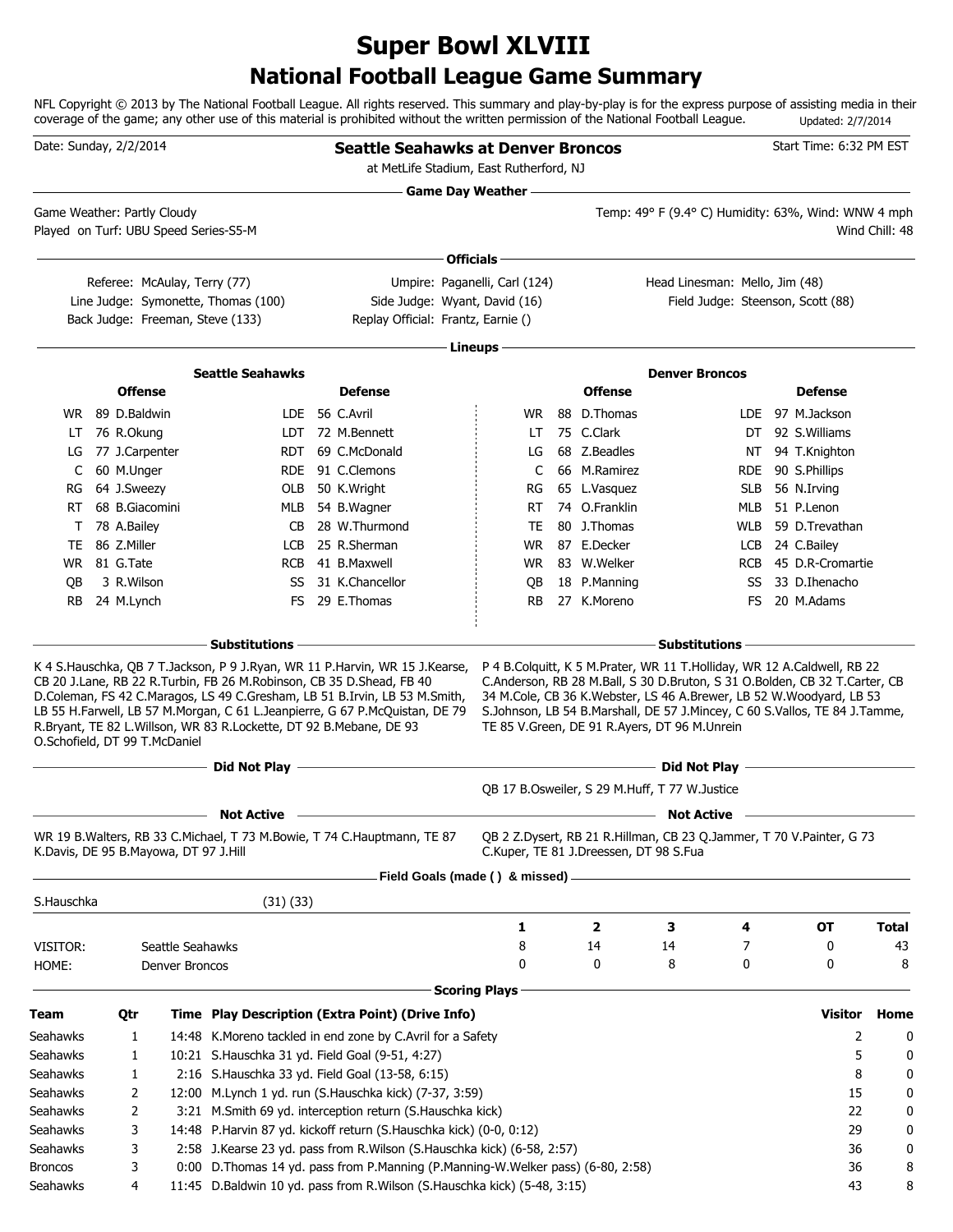# **National Football League Game Summary Super Bowl XLVIII**

NFL Copyright © 2013 by The National Football League. All rights reserved. This summary and play-by-play is for the express purpose of assisting media in their coverage of the game; any other use of this material is prohibited without the written permission of the National Football League. Updated: 2/7/2014

| Date: Sunday, 2/2/2014 |             |                                       |                                                                         | <b>Seattle Seahawks at Denver Broncos</b><br>at MetLife Stadium, East Rutherford, NJ                                                                                                                                                |                      |                                        |                                                                                                                            |            | Start Time: 6:32 PM EST                                     |    |                |
|------------------------|-------------|---------------------------------------|-------------------------------------------------------------------------|-------------------------------------------------------------------------------------------------------------------------------------------------------------------------------------------------------------------------------------|----------------------|----------------------------------------|----------------------------------------------------------------------------------------------------------------------------|------------|-------------------------------------------------------------|----|----------------|
|                        |             | Game Weather: Partly Cloudy           |                                                                         |                                                                                                                                                                                                                                     | Game Day Weather —   |                                        | Temp: 49° F (9.4° C) Humidity: 63%, Wind: WNW 4 mph                                                                        |            |                                                             |    |                |
|                        |             |                                       | Played on Turf: UBU Speed Series-S5-M                                   |                                                                                                                                                                                                                                     |                      |                                        |                                                                                                                            |            |                                                             |    | Wind Chill: 48 |
|                        |             |                                       |                                                                         |                                                                                                                                                                                                                                     | Officials -          |                                        |                                                                                                                            |            |                                                             |    |                |
|                        |             |                                       | Referee: McAulay, Terry (77)                                            | Umpire: Paganelli, Carl (124)                                                                                                                                                                                                       |                      |                                        | Head Linesman: Mello, Jim (48)                                                                                             |            |                                                             |    |                |
|                        |             |                                       | Line Judge: Symonette, Thomas (100)<br>Back Judge: Freeman, Steve (133) | Side Judge: Wyant, David (16)<br>Replay Official: Frantz, Earnie ()                                                                                                                                                                 |                      |                                        |                                                                                                                            |            | Field Judge: Steenson, Scott (88)                           |    |                |
|                        |             |                                       |                                                                         |                                                                                                                                                                                                                                     | Lineups -            |                                        |                                                                                                                            |            |                                                             |    |                |
|                        |             |                                       | <b>Seattle Seahawks</b>                                                 |                                                                                                                                                                                                                                     |                      |                                        | <b>Denver Broncos</b>                                                                                                      |            |                                                             |    |                |
|                        |             | <b>Offense</b>                        |                                                                         | <b>Defense</b>                                                                                                                                                                                                                      |                      | <b>Offense</b>                         |                                                                                                                            |            | <b>Defense</b>                                              |    |                |
|                        |             | WR 89 D.Baldwin                       |                                                                         | LDE 56 C.Avril                                                                                                                                                                                                                      | WR.                  | 88 D.Thomas                            |                                                                                                                            |            | LDE 97 M.Jackson                                            |    |                |
| LT.                    |             | 76 R.Okung                            |                                                                         | LDT 72 M.Bennett                                                                                                                                                                                                                    | LT                   | 75 C.Clark                             |                                                                                                                            |            | DT 92 S. Williams                                           |    |                |
| LG                     |             | 77 J.Carpenter                        | <b>RDT</b>                                                              | 69 C.McDonald                                                                                                                                                                                                                       | LG                   | 68 Z.Beadles                           |                                                                                                                            |            | NT 94 T.Knighton                                            |    |                |
| C                      |             | 60 M.Unger                            |                                                                         | RDE 91 C.Clemons                                                                                                                                                                                                                    | C                    | 66 M.Ramirez                           |                                                                                                                            | <b>RDE</b> | 90 S.Phillips                                               |    |                |
| RG                     |             | 64 J.Sweezy                           | OLB                                                                     | 50 K.Wright                                                                                                                                                                                                                         | RG                   | 65 L.Vasquez                           |                                                                                                                            | SLB        | 56 N.Irving                                                 |    |                |
| RT                     |             | 68 B.Giacomini                        |                                                                         | MLB 54 B.Wagner                                                                                                                                                                                                                     | RT                   | 74 O.Franklin                          |                                                                                                                            | MLB        | 51 P.Lenon                                                  |    |                |
| T                      | 78 A.Bailey |                                       | CB                                                                      | 28 W.Thurmond                                                                                                                                                                                                                       | TE                   | 80 J.Thomas                            |                                                                                                                            | <b>WLB</b> | 59 D.Trevathan                                              |    |                |
| TE                     | 86 Z.Miller |                                       | <b>LCB</b>                                                              | 25 R.Sherman                                                                                                                                                                                                                        | WR.                  | 87 E.Decker                            |                                                                                                                            | LCB        | 24 C.Bailey                                                 |    |                |
| WR.                    | 81 G.Tate   |                                       | <b>RCB</b>                                                              | 41 B.Maxwell                                                                                                                                                                                                                        | WR.                  | 83 W.Welker                            |                                                                                                                            | <b>RCB</b> | 45 D.R-Cromartie                                            |    |                |
| OВ                     |             | 3 R.Wilson                            | SS                                                                      | 31 K.Chancellor                                                                                                                                                                                                                     | QB                   | 18 P.Manning                           |                                                                                                                            | SS         | 33 D.Ihenacho                                               |    |                |
| RB                     |             | 24 M.Lynch                            |                                                                         | FS 29 E.Thomas                                                                                                                                                                                                                      | RB.                  | 27 K.Moreno                            |                                                                                                                            | FS.        | 20 M.Adams                                                  |    |                |
|                        |             | O.Schofield, DT 99 T.McDaniel         | R.Bryant, TE 82 L.Willson, WR 83 R.Lockette, DT 92 B.Mebane, DE 93      | LB 55 H.Farwell, LB 57 M.Morgan, C 61 L.Jeanpierre, G 67 P.McQuistan, DE 79                                                                                                                                                         |                      |                                        | S.Johnson, LB 54 B.Marshall, DE 57 J.Mincey, C 60 S.Vallos, TE 84 J.Tamme,<br>TE 85 V.Green, DE 91 R.Ayers, DT 96 M.Unrein |            |                                                             |    |                |
|                        |             |                                       | Did Not Play -                                                          | <b>Did Not Play -</b> New York Contract the Contract of the Contract of the Contract of the Contract of the Contract of the Contract of the Contract of the Contract of the Contract of the Contract of the Contract of the Contrac |                      |                                        |                                                                                                                            |            | the control of the control of the control of the control of |    |                |
|                        |             |                                       |                                                                         |                                                                                                                                                                                                                                     |                      |                                        | QB 17 B.Osweiler, S 29 M.Huff, T 77 W.Justice                                                                              |            |                                                             |    |                |
|                        |             |                                       | <b>Not Active</b>                                                       | <u> 1980 - Johann Barbara, martxa alemaniar arg</u>                                                                                                                                                                                 |                      |                                        | <b>Not Active</b>                                                                                                          |            |                                                             |    |                |
|                        |             | K.Davis, DE 95 B.Mayowa, DT 97 J.Hill |                                                                         | WR 19 B. Walters, RB 33 C. Michael, T 73 M. Bowie, T 74 C. Hauptmann, TE 87                                                                                                                                                         |                      | C.Kuper, TE 81 J.Dreessen, DT 98 S.Fua | QB 2 Z.Dysert, RB 21 R.Hillman, CB 23 Q.Jammer, T 70 V.Painter, G 73                                                       |            |                                                             |    |                |
|                        |             |                                       |                                                                         | Field Goals (made () & missed) -                                                                                                                                                                                                    |                      |                                        |                                                                                                                            |            |                                                             |    |                |
| S.Hauschka             |             |                                       | (31)(33)                                                                |                                                                                                                                                                                                                                     |                      |                                        |                                                                                                                            |            |                                                             |    |                |
|                        |             |                                       |                                                                         |                                                                                                                                                                                                                                     | 1                    | $\mathbf{2}$                           | З                                                                                                                          | 4          | ОT                                                          |    | <b>Total</b>   |
| VISITOR:               |             |                                       | Seattle Seahawks                                                        |                                                                                                                                                                                                                                     | 8                    | 14                                     | 14                                                                                                                         | 7          | 0                                                           |    | 43             |
| HOME:                  |             | Denver Broncos                        |                                                                         |                                                                                                                                                                                                                                     | 0                    | 0                                      | 8                                                                                                                          | 0          | 0                                                           |    | 8              |
|                        |             |                                       |                                                                         |                                                                                                                                                                                                                                     | <b>Scoring Plays</b> |                                        |                                                                                                                            |            |                                                             |    |                |
| Team                   |             | Qtr                                   |                                                                         | Time Play Description (Extra Point) (Drive Info)                                                                                                                                                                                    |                      |                                        |                                                                                                                            |            | <b>Visitor</b>                                              |    | Home           |
| Seahawks               |             | 1                                     |                                                                         | 14:48 K. Moreno tackled in end zone by C. Avril for a Safety                                                                                                                                                                        |                      |                                        |                                                                                                                            |            |                                                             | 2  | 0              |
| Seahawks               |             | 1                                     | 10:21 S.Hauschka 31 yd. Field Goal (9-51, 4:27)                         |                                                                                                                                                                                                                                     |                      |                                        |                                                                                                                            |            |                                                             | 5  | 0              |
| Seahawks               |             | $\mathbf{1}$                          | 2:16 S.Hauschka 33 yd. Field Goal (13-58, 6:15)                         |                                                                                                                                                                                                                                     |                      |                                        |                                                                                                                            |            |                                                             | 8  | 0              |
| Seahawks               |             | 2                                     |                                                                         | 12:00 M.Lynch 1 yd. run (S.Hauschka kick) (7-37, 3:59)                                                                                                                                                                              |                      |                                        |                                                                                                                            |            |                                                             | 15 | 0              |
| Seahawks               |             | 2                                     |                                                                         | 3:21 M.Smith 69 yd. interception return (S.Hauschka kick)                                                                                                                                                                           |                      |                                        |                                                                                                                            |            |                                                             | 22 | 0              |
| Seahawks               |             | 3                                     |                                                                         | 14:48 P.Harvin 87 yd. kickoff return (S.Hauschka kick) (0-0, 0:12)                                                                                                                                                                  |                      |                                        |                                                                                                                            |            |                                                             | 29 | 0              |
| Seahawks               |             | 3                                     |                                                                         | 2:58 J.Kearse 23 yd. pass from R.Wilson (S.Hauschka kick) (6-58, 2:57)                                                                                                                                                              |                      |                                        |                                                                                                                            |            |                                                             | 36 | 0              |
| <b>Broncos</b>         |             | 3                                     |                                                                         | 0:00 D.Thomas 14 yd. pass from P.Manning (P.Manning-W.Welker pass) (6-80, 2:58)                                                                                                                                                     |                      |                                        |                                                                                                                            |            |                                                             | 36 | 8              |
| Seahawks               |             | 4                                     |                                                                         | 11:45 D.Baldwin 10 yd. pass from R.Wilson (S.Hauschka kick) (5-48, 3:15)                                                                                                                                                            |                      |                                        |                                                                                                                            |            |                                                             | 43 | 8              |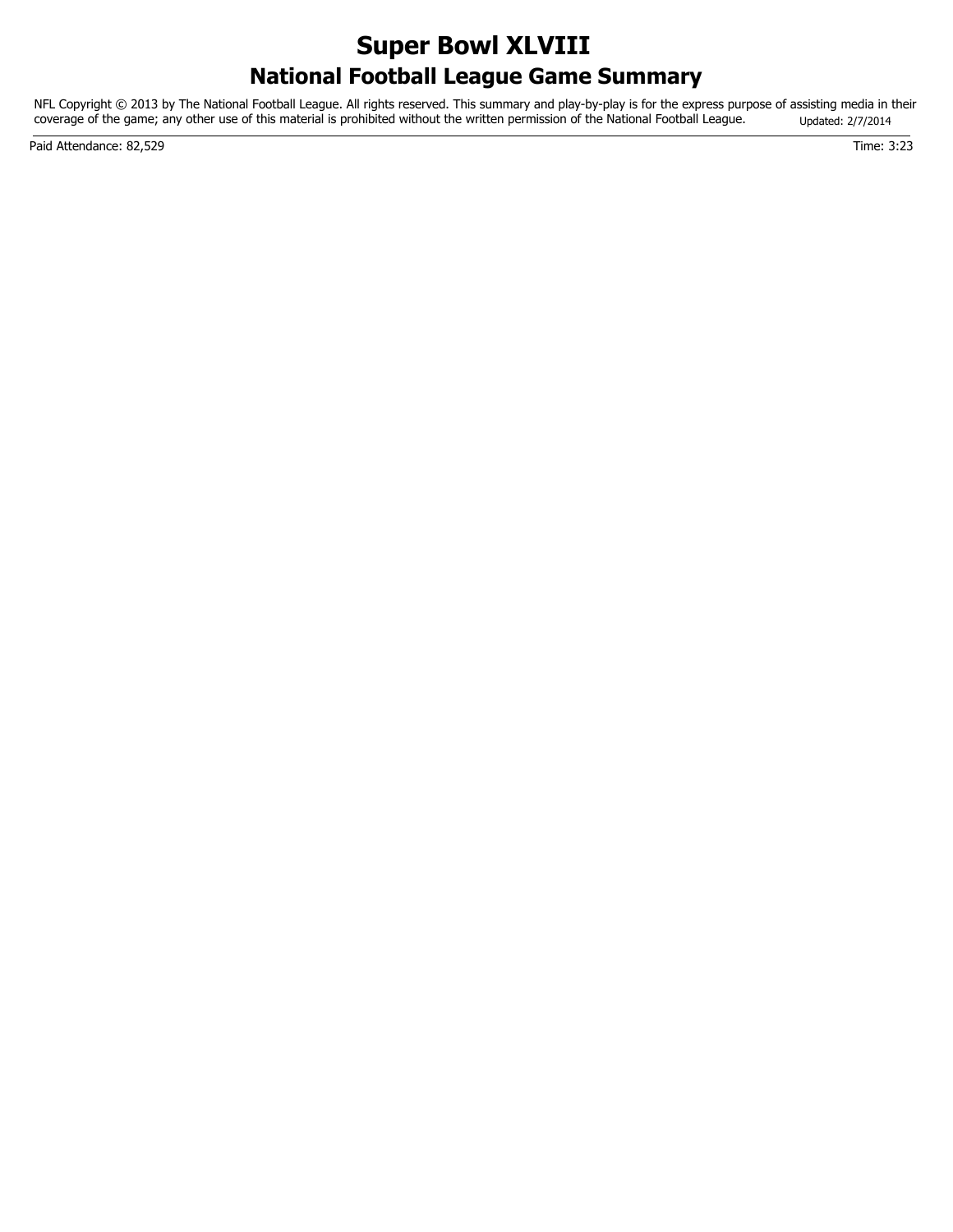## **National Football League Game Summary Super Bowl XLVIII**

NFL Copyright © 2013 by The National Football League. All rights reserved. This summary and play-by-play is for the express purpose of assisting media in their coverage of the game; any other use of this material is prohibited without the written permission of the National Football League. Updated: 2/7/2014

Paid Attendance: 82,529 Time: 3:23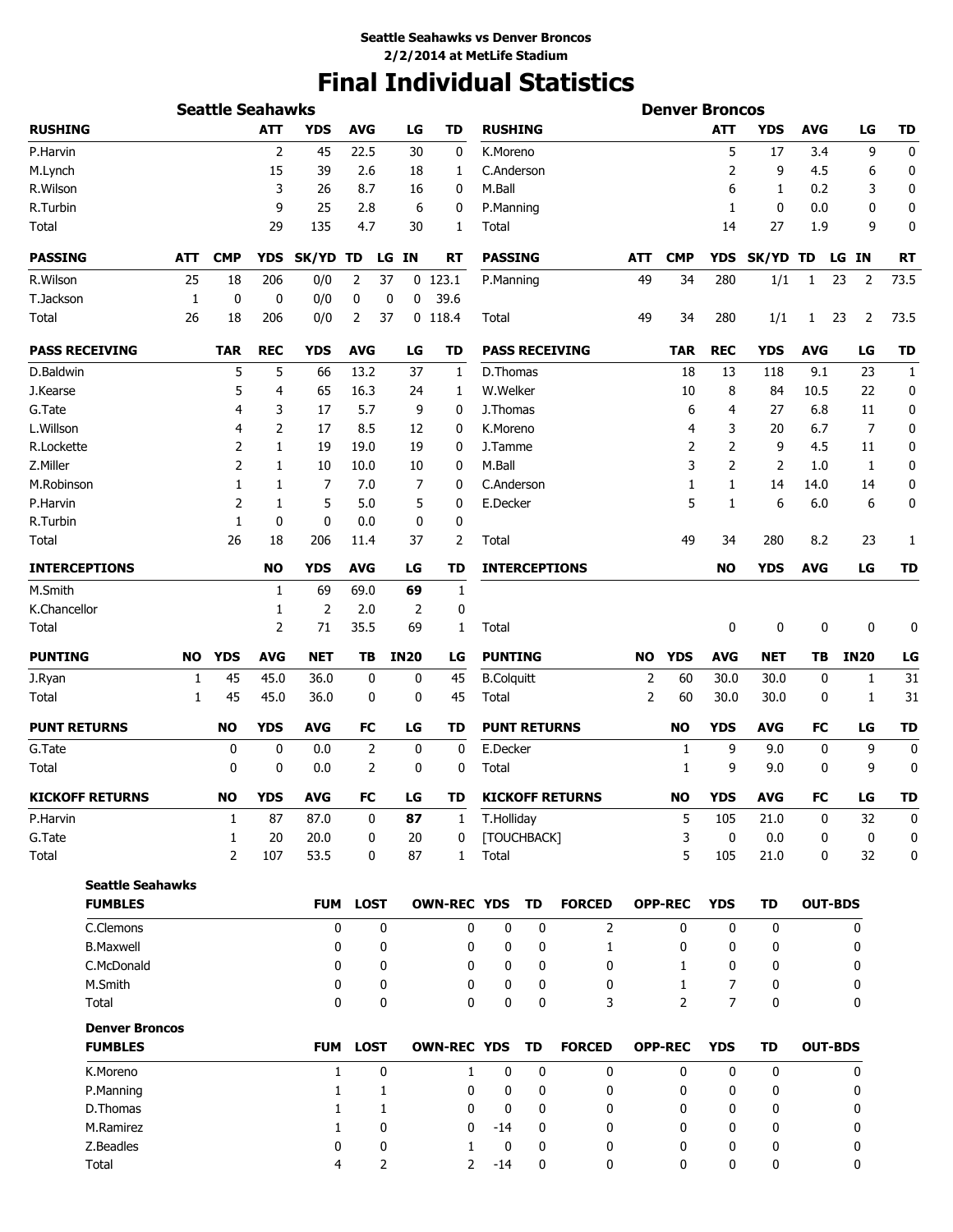# **Final Individual Statistics**

| <b>Seattle Seahawks</b> |            |                |                |              |             |             |                    |                   |                     |                        |                | <b>Denver Broncos</b> |                     |             |                |             |              |
|-------------------------|------------|----------------|----------------|--------------|-------------|-------------|--------------------|-------------------|---------------------|------------------------|----------------|-----------------------|---------------------|-------------|----------------|-------------|--------------|
| <b>RUSHING</b>          |            |                | <b>ATT</b>     | <b>YDS</b>   | <b>AVG</b>  | LG          | <b>TD</b>          | <b>RUSHING</b>    |                     |                        |                |                       | <b>ATT</b>          | <b>YDS</b>  | <b>AVG</b>     | LG          | <b>TD</b>    |
| P.Harvin                |            |                | $\overline{2}$ | 45           | 22.5        | 30          | 0                  | K.Moreno          |                     |                        |                |                       | 5                   | 17          | 3.4            | 9           | 0            |
| M.Lynch                 |            |                | 15             | 39           | 2.6         | 18          | 1                  | C.Anderson        |                     |                        |                |                       | 2                   | 9           | 4.5            | 6           | 0            |
| R.Wilson                |            |                | 3              | 26           | 8.7         | 16          | 0                  | M.Ball            |                     |                        |                |                       | 6                   | 1           | 0.2            | 3           | 0            |
| R.Turbin                |            |                | 9              | 25           | 2.8         |             | 6<br>0             | P.Manning         |                     |                        |                |                       | 1                   | 0           | 0.0            | 0           | 0            |
| Total                   |            |                | 29             | 135          | 4.7         | 30          | 1                  | Total             |                     |                        |                |                       | 14                  | 27          | 1.9            | 9           | 0            |
| <b>PASSING</b>          | <b>ATT</b> | <b>CMP</b>     | <b>YDS</b>     | <b>SK/YD</b> | TD          | LG IN       | RT                 | <b>PASSING</b>    |                     |                        | <b>ATT</b>     | <b>CMP</b>            | <b>YDS</b>          | SK/YD TD    |                | LG IN       | <b>RT</b>    |
| R.Wilson                | 25         | 18             | 206            | 0/0          | 2           | 37          | $0$ 123.1          | P.Manning         |                     |                        | 49             | 34                    | 280                 | 1/1         | 1              | 23<br>2     | 73.5         |
| T.Jackson               | 1          | 0              | 0              | 0/0          | 0           | 0<br>0      | 39.6               |                   |                     |                        |                |                       |                     |             |                |             |              |
| Total                   | 26         | 18             | 206            | 0/0          | 2           | 37          | $0$ 118.4          | Total             |                     |                        | 49             | 34                    | 280                 | 1/1         | $\mathbf{1}$   | 2<br>23     | 73.5         |
| <b>PASS RECEIVING</b>   |            | <b>TAR</b>     | <b>REC</b>     | <b>YDS</b>   | <b>AVG</b>  | LG          | TD                 |                   |                     | <b>PASS RECEIVING</b>  |                | <b>TAR</b>            | <b>REC</b>          | YDS         | <b>AVG</b>     | LG          | TD           |
| D.Baldwin               |            | 5              | 5              | 66           | 13.2        | 37          | 1                  | D.Thomas          |                     |                        |                | 18                    | 13                  | 118         | 9.1            | 23          | $\mathbf{1}$ |
| J.Kearse                |            | 5              | 4              | 65           | 16.3        | 24          | 1                  | W.Welker          |                     |                        |                | 10                    | 8                   | 84          | 10.5           | 22          | 0            |
| G.Tate                  |            | 4              | 3              | 17           | 5.7         |             | 9<br>0             | J.Thomas          |                     |                        |                | 6                     | 4                   | 27          | 6.8            | 11          | 0            |
| L.Willson               |            | 4              | 2              | 17           | 8.5         | 12          | 0                  | K.Moreno          |                     |                        |                | 4                     | 3                   | 20          | 6.7            | 7           | 0            |
| R.Lockette              |            | 2              | 1              | 19           | 19.0        | 19          | 0                  | J.Tamme           |                     |                        |                | 2                     | 2                   | 9           | 4.5            | 11          | 0            |
| Z.Miller                |            | 2              | 1              | 10           | 10.0        | 10          | 0                  | M.Ball            |                     |                        |                | 3                     | 2                   | 2           | 1.0            | 1           | 0            |
| M.Robinson              |            | 1              | 1              | 7            | 7.0         |             | 7<br>0             | C.Anderson        |                     |                        |                | 1                     | 1                   | 14          | 14.0           | 14          | 0            |
| P.Harvin                |            | 2              | 1              | 5            | 5.0         |             | 5<br>0             | E.Decker          |                     |                        |                | 5                     | 1                   | 6           | 6.0            | 6           | 0            |
| R.Turbin                |            | 1              | 0              | 0            | 0.0         |             | 0<br>0             |                   |                     |                        |                |                       |                     |             |                |             |              |
| Total                   |            | 26             | 18             | 206          | 11.4        | 37          | 2                  | Total             |                     |                        |                | 49                    | 34                  | 280         | 8.2            | 23          | 1            |
| <b>INTERCEPTIONS</b>    |            |                | <b>NO</b>      | <b>YDS</b>   | <b>AVG</b>  | LG          | TD                 |                   |                     | <b>INTERCEPTIONS</b>   |                |                       | <b>NO</b>           | <b>YDS</b>  | <b>AVG</b>     | LG          | <b>TD</b>    |
| M.Smith                 |            |                | 1              | 69           | 69.0        | 69          | 1                  |                   |                     |                        |                |                       |                     |             |                |             |              |
| K.Chancellor            |            |                | 1              | 2            | 2.0         | 2           | 0                  |                   |                     |                        |                |                       |                     |             |                |             |              |
| Total                   |            |                | 2              | 71           | 35.5        | 69          | 1                  | Total             |                     |                        |                |                       | 0                   | 0           | 0              | 0           | 0            |
| <b>PUNTING</b>          | <b>NO</b>  | <b>YDS</b>     | <b>AVG</b>     | <b>NET</b>   | TB          | <b>IN20</b> | LG                 | <b>PUNTING</b>    |                     |                        | <b>NO</b>      | <b>YDS</b>            | <b>AVG</b>          | <b>NET</b>  | TΒ             | <b>IN20</b> | LG           |
| J.Ryan                  | 1          | 45             | 45.0           | 36.0         | 0           | 0           | 45                 | <b>B.Colquitt</b> |                     |                        | 2              | 60                    | 30.0                | 30.0        | 0              | 1           | 31           |
| Total                   | 1          | 45             | 45.0           | 36.0         | 0           | 0           | 45                 | Total             |                     |                        | $\overline{2}$ | 60                    | 30.0                | 30.0        | 0              | 1           | 31           |
| <b>PUNT RETURNS</b>     |            | NO             | <b>YDS</b>     | <b>AVG</b>   | <b>FC</b>   | LG          | TD                 |                   | <b>PUNT RETURNS</b> |                        |                | <b>NO</b>             | <b>YDS</b>          | AVG         | FC             | LG          | <b>TD</b>    |
| G.Tate                  |            | 0              | $\mathbf 0$    | 0.0          | 2           | 0           | 0                  | E.Decker          |                     |                        |                | 1                     | 9                   | 9.0         | 0              | 9           | 0            |
| Total                   |            | 0              | 0              | 0.0          | 2           | 0           | 0                  | Total             |                     |                        |                | 1                     | 9                   | 9.0         | 0              | 9           | 0            |
| <b>KICKOFF RETURNS</b>  |            | NO.            | <b>YDS</b>     | <b>AVG</b>   | FC          | LG          | TD                 |                   |                     | <b>KICKOFF RETURNS</b> |                | <b>NO</b>             | <b>YDS</b>          | AVG         | FC.            | I G         | TD           |
| P.Harvin                |            | 1              | 87             | 87.0         | 0           | 87          | 1                  | T.Holliday        |                     |                        |                | 5                     | 105                 | 21.0        | 0              | 32          | 0            |
| G.Tate                  |            | 1              | 20             | 20.0         | 0           | 20          | 0                  | [TOUCHBACK]       |                     |                        |                | 3                     | 0                   | 0.0         | 0              | $\mathbf 0$ | 0            |
| Total                   |            | $\overline{2}$ | 107            | 53.5         | 0           | 87          | $\mathbf{1}$       | Total             |                     |                        |                | 5                     | 105                 | 21.0        | 0              | 32          | 0            |
| <b>Seattle Seahawks</b> |            |                |                |              |             |             |                    |                   |                     |                        |                |                       |                     |             |                |             |              |
| <b>FUMBLES</b>          |            |                |                | <b>FUM</b>   | <b>LOST</b> |             | <b>OWN-REC YDS</b> |                   | <b>TD</b>           | <b>FORCED</b>          |                | <b>OPP-REC</b>        | <b>YDS</b>          | <b>TD</b>   | <b>OUT-BDS</b> |             |              |
| C.Clemons               |            |                |                | 0            |             | 0           | 0                  | 0                 | 0                   | 2                      |                | 0                     | 0                   | 0           |                | 0           |              |
| <b>B.Maxwell</b>        |            |                |                | 0            |             | 0           | 0                  | 0                 | 0                   | 1                      |                | 0                     | 0                   | 0           |                | 0           |              |
| C.McDonald              |            |                |                | 0            |             | 0           | 0                  | 0                 | 0                   | 0                      |                | 1                     | 0                   | 0           |                | 0           |              |
| M.Smith                 |            |                |                | 0            |             | 0           | 0                  | 0                 | 0                   | 0                      |                | 1                     | 7<br>$\overline{7}$ | 0           |                | 0           |              |
| Total                   |            |                |                | 0            |             | 0           | 0                  | $\mathbf 0$       | 0                   | 3                      |                | $\overline{2}$        |                     | 0           |                | 0           |              |
| <b>Denver Broncos</b>   |            |                |                |              |             |             |                    |                   |                     |                        |                |                       |                     |             |                |             |              |
| <b>FUMBLES</b>          |            |                |                |              | FUM LOST    |             | <b>OWN-REC YDS</b> |                   | TD                  | <b>FORCED</b>          |                | <b>OPP-REC</b>        | <b>YDS</b>          | <b>TD</b>   | <b>OUT-BDS</b> |             |              |
| K.Moreno                |            |                |                | $\mathbf{1}$ |             | 0           | 1                  | 0                 | 0                   | 0                      |                | $\mathbf{0}$          | 0                   | $\mathbf 0$ |                | 0           |              |
| P.Manning               |            |                |                | 1            |             | 1           | 0                  | 0                 | 0                   | 0                      |                | 0                     | 0                   | 0           |                | 0           |              |
| D.Thomas                |            |                |                | 1            |             | 1           | 0                  | 0                 | 0                   | 0                      |                | 0                     | 0                   | 0           |                | 0           |              |
| M.Ramirez               |            |                |                | 1            |             | 0           | 0                  | -14               | 0                   | 0                      |                | 0                     | 0                   | 0           |                | 0           |              |
| Z.Beadles               |            |                |                | 0            |             | 0           | 1                  | 0                 | 0                   | 0                      |                | 0                     | 0                   | 0           |                | 0           |              |
| Total                   |            |                |                | 4            |             | 2           | $\overline{2}$     | $-14$             | 0                   | 0                      |                | 0                     | 0                   | 0           |                | 0           |              |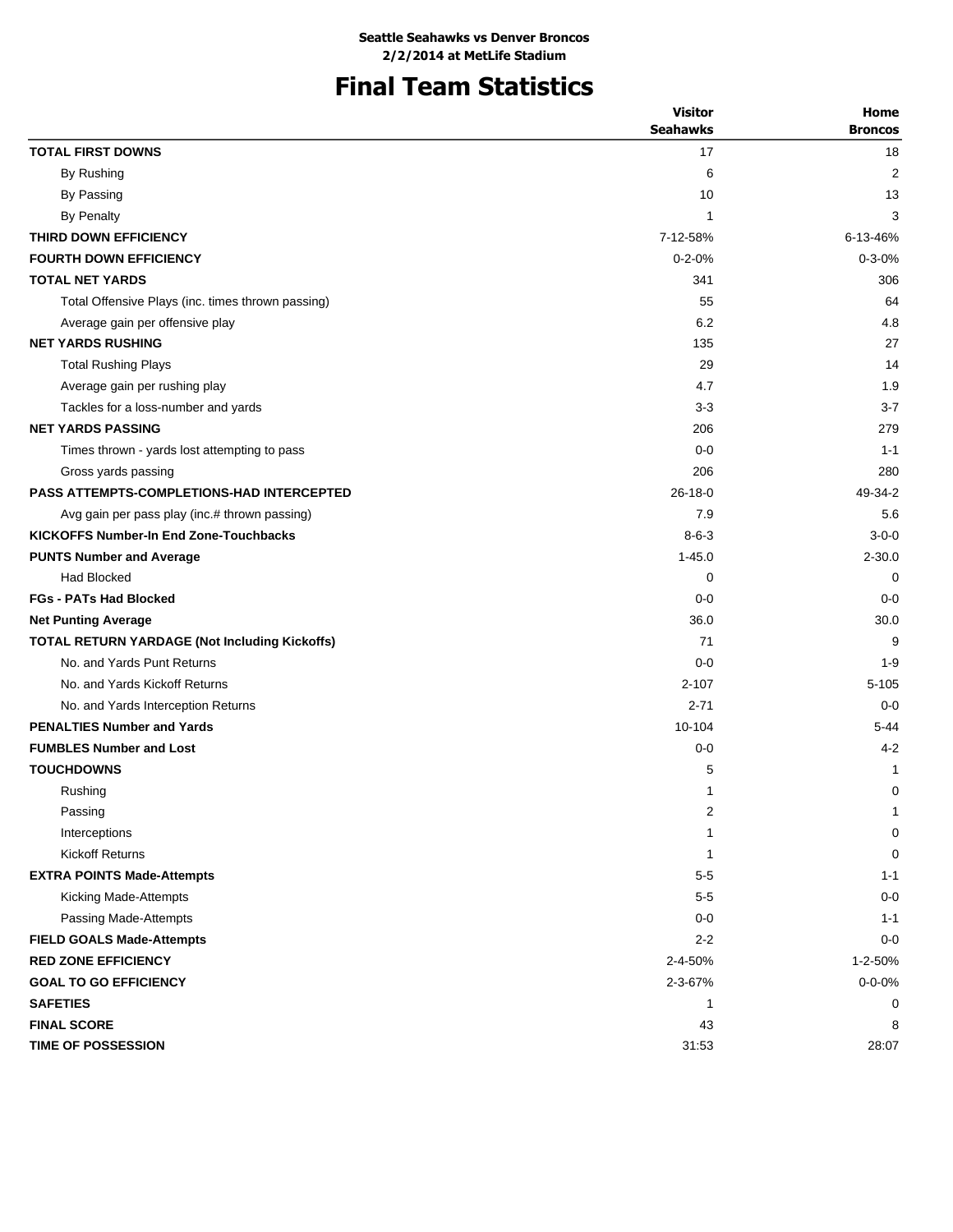# **Final Team Statistics**

|                                                      | <b>Visitor</b>  | Home           |
|------------------------------------------------------|-----------------|----------------|
|                                                      | <b>Seahawks</b> | <b>Broncos</b> |
| <b>TOTAL FIRST DOWNS</b>                             | 17              | 18             |
| By Rushing                                           | 6               | $\overline{2}$ |
| By Passing                                           | 10              | 13             |
| <b>By Penalty</b>                                    | 1               | 3              |
| THIRD DOWN EFFICIENCY                                | 7-12-58%        | 6-13-46%       |
| <b>FOURTH DOWN EFFICIENCY</b>                        | $0 - 2 - 0%$    | $0 - 3 - 0%$   |
| <b>TOTAL NET YARDS</b>                               | 341             | 306            |
| Total Offensive Plays (inc. times thrown passing)    | 55              | 64             |
| Average gain per offensive play                      | 6.2             | 4.8            |
| <b>NET YARDS RUSHING</b>                             | 135             | 27             |
| <b>Total Rushing Plays</b>                           | 29              | 14             |
| Average gain per rushing play                        | 4.7             | 1.9            |
| Tackles for a loss-number and yards                  | $3-3$           | $3 - 7$        |
| <b>NET YARDS PASSING</b>                             | 206             | 279            |
| Times thrown - yards lost attempting to pass         | $0 - 0$         | $1 - 1$        |
| Gross yards passing                                  | 206             | 280            |
| <b>PASS ATTEMPTS-COMPLETIONS-HAD INTERCEPTED</b>     | $26 - 18 - 0$   | 49-34-2        |
| Avg gain per pass play (inc.# thrown passing)        | 7.9             | 5.6            |
| <b>KICKOFFS Number-In End Zone-Touchbacks</b>        | $8 - 6 - 3$     | $3 - 0 - 0$    |
| <b>PUNTS Number and Average</b>                      | $1 - 45.0$      | $2 - 30.0$     |
| <b>Had Blocked</b>                                   | $\mathbf 0$     | $\Omega$       |
| <b>FGs - PATs Had Blocked</b>                        | $0 - 0$         | $0 - 0$        |
| <b>Net Punting Average</b>                           | 36.0            | 30.0           |
| <b>TOTAL RETURN YARDAGE (Not Including Kickoffs)</b> | 71              | 9              |
| No. and Yards Punt Returns                           | $0 - 0$         | $1 - 9$        |
| No. and Yards Kickoff Returns                        | $2 - 107$       | $5 - 105$      |
| No. and Yards Interception Returns                   | $2 - 71$        | $0 - 0$        |
| <b>PENALTIES Number and Yards</b>                    | 10-104          | $5 - 44$       |
| <b>FUMBLES Number and Lost</b>                       | $0 - 0$         | $4 - 2$        |
| <b>TOUCHDOWNS</b>                                    | 5               | 1              |
| Rushing                                              | 1               | 0              |
| Passing                                              | 2               | 1              |
| Interceptions                                        | 1               | 0              |
| <b>Kickoff Returns</b>                               | 1               | 0              |
| <b>EXTRA POINTS Made-Attempts</b>                    | $5-5$           | $1 - 1$        |
| Kicking Made-Attempts                                | $5-5$           | $0 - 0$        |
| Passing Made-Attempts                                | $0 - 0$         | $1 - 1$        |
| <b>FIELD GOALS Made-Attempts</b>                     | $2 - 2$         | $0 - 0$        |
| <b>RED ZONE EFFICIENCY</b>                           | 2-4-50%         | 1-2-50%        |
| <b>GOAL TO GO EFFICIENCY</b>                         | 2-3-67%         | $0 - 0 - 0\%$  |
| <b>SAFETIES</b>                                      | 1               | 0              |
| <b>FINAL SCORE</b>                                   | 43              | 8              |
| TIME OF POSSESSION                                   | 31:53           | 28:07          |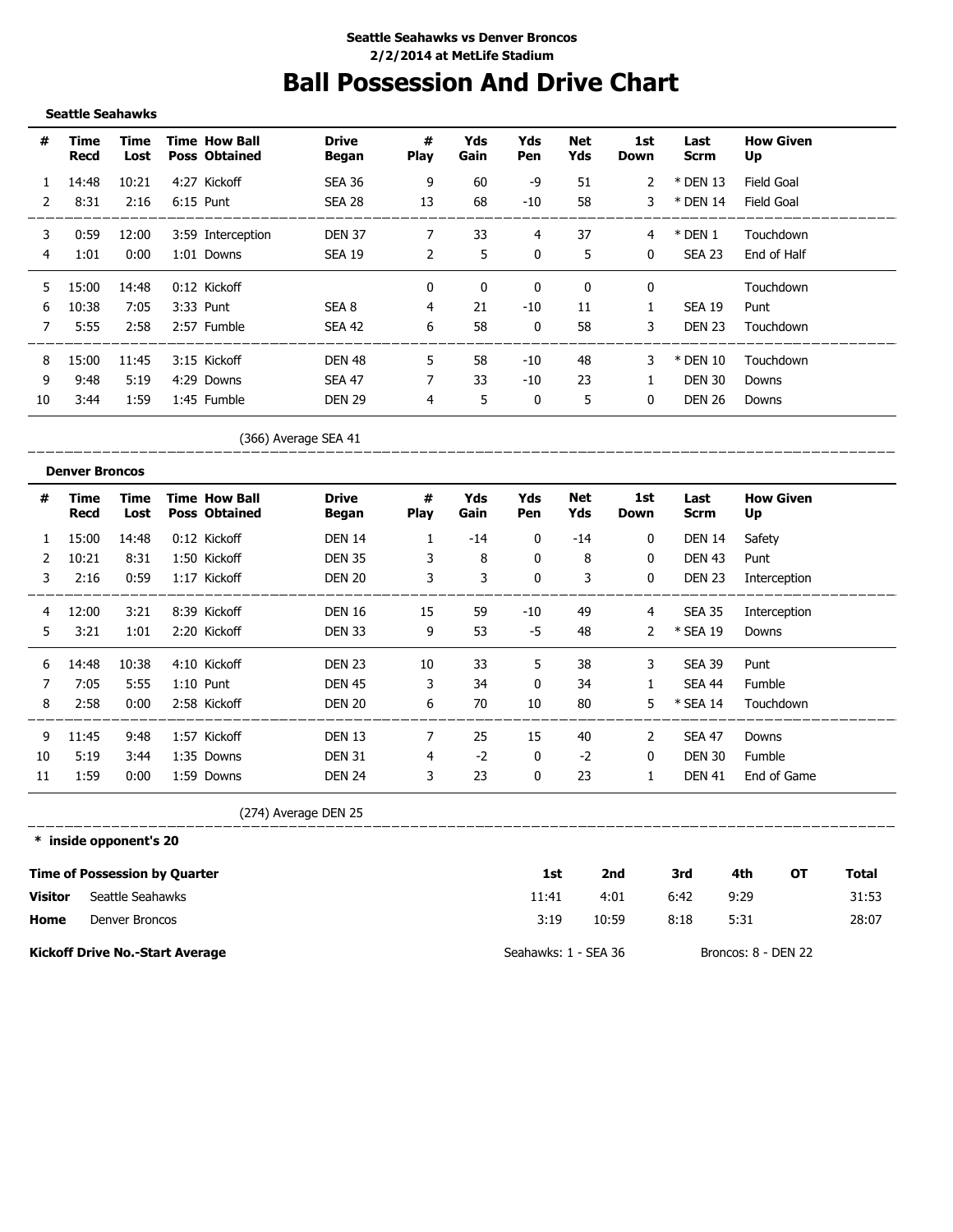# **Ball Possession And Drive Chart**

**Seattle Seahawks**

| #  | Time<br>Recd | Time<br>Lost | <b>Time How Ball</b><br><b>Poss Obtained</b> | <b>Drive</b><br><b>Began</b> | #<br><b>Play</b> | Yds<br>Gain | Yds<br>Pen   | Net<br>Yds | 1st<br>Down  | Last<br><b>Scrm</b> | <b>How Given</b><br>Up |
|----|--------------|--------------|----------------------------------------------|------------------------------|------------------|-------------|--------------|------------|--------------|---------------------|------------------------|
|    | 14:48        | 10:21        | 4:27 Kickoff                                 | <b>SEA 36</b>                | 9                | 60          | -9           | 51         | 2            | * DEN 13            | Field Goal             |
| 2  | 8:31         | 2:16         | $6:15$ Punt                                  | SEA 28                       | 13               | 68          | $-10$        | 58         | 3            | * DEN 14            | Field Goal             |
| 3  | 0:59         | 12:00        | 3:59 Interception                            | <b>DEN 37</b>                | 7                | 33          | 4            | 37         | 4            | $*$ DEN 1           | Touchdown              |
| 4  | 1:01         | 0:00         | 1:01 Downs                                   | SEA 19                       | $\overline{2}$   | 5           | 0            | 5          | 0            | SEA 23              | End of Half            |
| 5. | 15:00        | 14:48        | $0:12$ Kickoff                               |                              | $\mathbf{0}$     | $\mathbf 0$ | $\mathbf{0}$ | 0          | 0            |                     | Touchdown              |
| 6  | 10:38        | 7:05         | 3:33 Punt                                    | SEA 8                        | 4                | 21          | $-10$        | 11         |              | <b>SEA 19</b>       | Punt                   |
| 7  | 5:55         | 2:58         | 2:57 Fumble                                  | SEA 42                       | 6                | 58          | 0            | 58         | 3            | <b>DEN 23</b>       | Touchdown              |
| 8  | 15:00        | 11:45        | 3:15 Kickoff                                 | DEN 48                       | 5                | 58          | $-10$        | 48         | 3            | * DEN 10            | Touchdown              |
| 9  | 9:48         | 5:19         | 4:29 Downs                                   | <b>SEA 47</b>                |                  | 33          | $-10$        | 23         |              | <b>DEN 30</b>       | Downs                  |
| 10 | 3:44         | 1:59         | 1:45 Fumble                                  | <b>DEN 29</b>                | 4                | 5           | 0            | 5          | $\mathbf{0}$ | <b>DEN 26</b>       | Downs                  |

(366) Average SEA 41

\_\_\_\_\_\_\_\_\_\_\_\_\_\_\_ 

|    | <b>Denver Broncos</b> |              |                                              |                       |                  |             |            |            |                |               |                        |
|----|-----------------------|--------------|----------------------------------------------|-----------------------|------------------|-------------|------------|------------|----------------|---------------|------------------------|
| #  | Time<br>Recd          | Time<br>Lost | <b>Time How Ball</b><br><b>Poss Obtained</b> | <b>Drive</b><br>Began | #<br><b>Play</b> | Yds<br>Gain | Yds<br>Pen | Net<br>Yds | 1st<br>Down    | Last<br>Scrm  | <b>How Given</b><br>Up |
|    | 15:00                 | 14:48        | 0:12 Kickoff                                 | <b>DEN 14</b>         |                  | $-14$       | 0          | $-14$      | 0              | <b>DEN 14</b> | Safety                 |
| 2  | 10:21                 | 8:31         | 1:50 Kickoff                                 | <b>DEN 35</b>         | 3                | 8           | 0          | 8          | 0              | <b>DEN 43</b> | Punt                   |
| 3  | 2:16                  | 0:59         | 1:17 Kickoff                                 | <b>DEN 20</b>         | 3                | 3           | 0          | 3          | 0              | <b>DEN 23</b> | Interception           |
| 4  | 12:00                 | 3:21         | 8:39 Kickoff                                 | <b>DEN 16</b>         | 15               | 59          | -10        | 49         | 4              | <b>SEA 35</b> | Interception           |
| 5. | 3:21                  | 1:01         | 2:20 Kickoff                                 | <b>DEN 33</b>         | 9                | 53          | -5         | 48         | $\overline{2}$ | * SEA 19      | Downs                  |
| 6  | 14:48                 | 10:38        | 4:10 Kickoff                                 | <b>DEN 23</b>         | 10               | 33          | 5          | 38         | 3              | <b>SEA 39</b> | Punt                   |
|    | 7:05                  | 5:55         | $1:10$ Punt                                  | <b>DEN 45</b>         | 3                | 34          | $\Omega$   | 34         |                | <b>SEA 44</b> | Fumble                 |
| 8  | 2:58                  | 0:00         | 2:58 Kickoff                                 | <b>DEN 20</b>         | 6                | 70          | 10         | 80         | 5.             | * SEA 14      | Touchdown              |
| 9  | 11:45                 | 9:48         | 1:57 Kickoff                                 | <b>DEN 13</b>         | 7                | 25          | 15         | 40         | 2              | <b>SEA 47</b> | Downs                  |
| 10 | 5:19                  | 3:44         | 1:35 Downs                                   | <b>DEN 31</b>         | 4                | $-2$        | 0          | $-2$       | 0              | <b>DEN 30</b> | Fumble                 |
| 11 | 1:59                  | 0:00         | 1:59 Downs                                   | <b>DEN 24</b>         | 3                | 23          | 0          | 23         |                | <b>DEN 41</b> | End of Game            |

(274) Average DEN 25

**\* inside opponent's 20**

\_\_\_\_\_\_\_\_\_\_\_\_\_\_\_\_\_\_\_\_\_\_

|                | <b>Time of Possession by Quarter</b>   | 1st                  | 2nd   | 3rd  | 4th                 | OТ | Total |
|----------------|----------------------------------------|----------------------|-------|------|---------------------|----|-------|
| <b>Visitor</b> | Seattle Seahawks                       | 11:41                | 4:01  | 6:42 | 9:29                |    | 31:53 |
| Home           | Denver Broncos                         | 3:19                 | 10:59 | 8:18 | 5:31                |    | 28:07 |
|                | <b>Kickoff Drive No.-Start Average</b> | Seahawks: 1 - SEA 36 |       |      | Broncos: 8 - DEN 22 |    |       |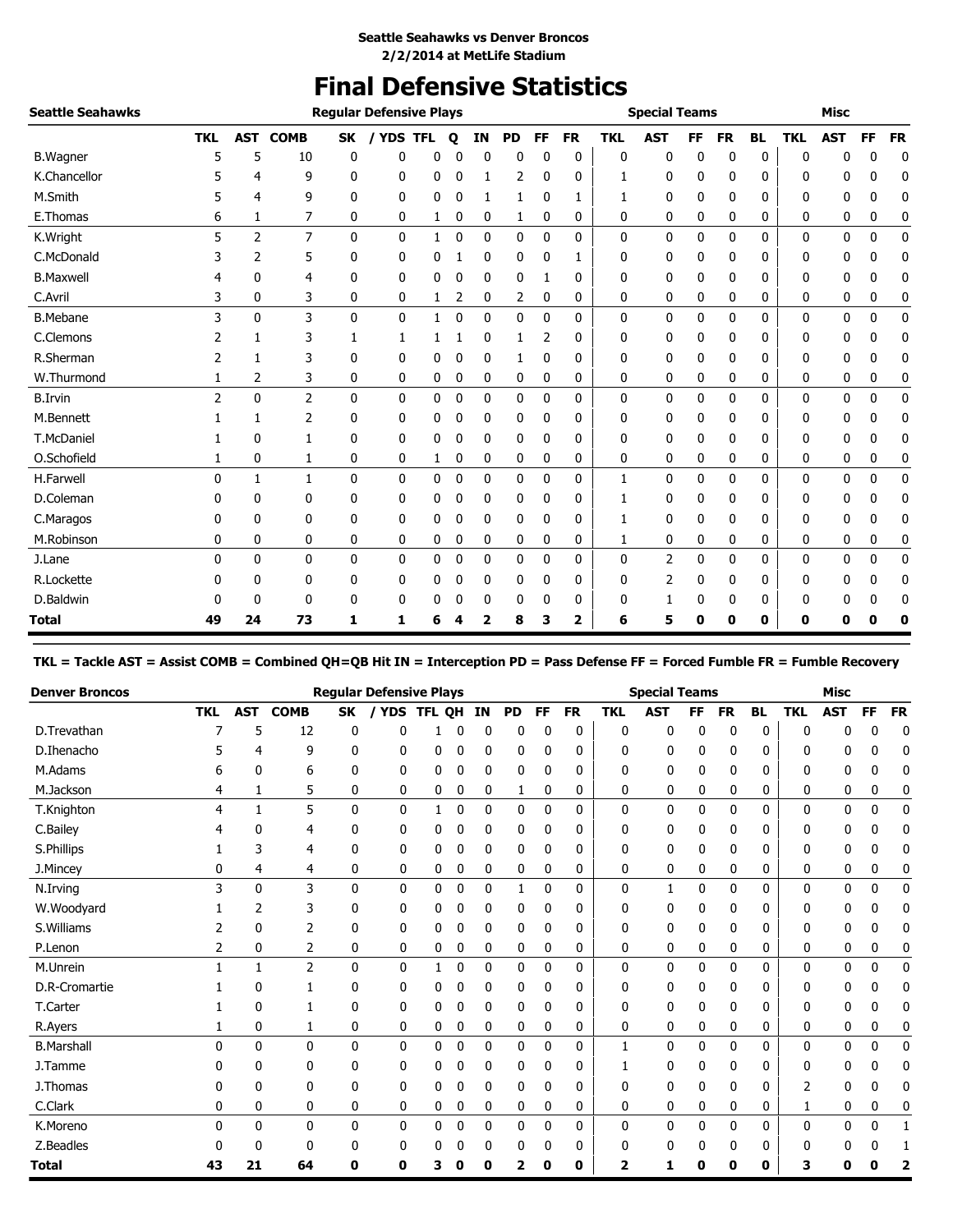# **Final Defensive Statistics**

| <b>Seattle Seahawks</b> |                |                |                |              | <b>Regular Defensive Plays</b> |   |              |              |              |              |           |            | <b>Special Teams</b> |           |           |              |            | <b>Misc</b>  |           |           |
|-------------------------|----------------|----------------|----------------|--------------|--------------------------------|---|--------------|--------------|--------------|--------------|-----------|------------|----------------------|-----------|-----------|--------------|------------|--------------|-----------|-----------|
|                         | <b>TKL</b>     | <b>AST</b>     | <b>COMB</b>    | SK           | <b>YDS TFL</b>                 |   | Q            | IN           | <b>PD</b>    | FF           | <b>FR</b> | <b>TKL</b> | <b>AST</b>           | <b>FF</b> | <b>FR</b> | <b>BL</b>    | <b>TKL</b> | <b>AST</b>   | <b>FF</b> | <b>FR</b> |
| <b>B.Wagner</b>         | 5              | 5              | 10             | 0            | 0                              | 0 |              | $\Omega$     | 0            | 0            | 0         | 0          | 0                    | 0         | 0         | $\mathbf 0$  | 0          | ŋ            | 0         | 0         |
| K.Chancellor            |                | 4              | 9              | 0            | 0                              | 0 | 0            | 1            | 2            | 0            | 0         | 1          | 0                    | 0         | 0         | 0            | 0          | 0            | 0         | 0         |
| M.Smith                 |                | 4              | 9              | 0            | 0                              | 0 | 0            | 1            | 1            | 0            | 1         | 1          | 0                    | 0         | 0         | 0            | 0          | 0            | 0         | 0         |
| E.Thomas                | 6              | 1              | 7              | 0            | 0                              | 1 | 0            | 0            | 1            | 0            | 0         | 0          | 0                    | 0         | 0         | 0            | 0          | 0            | 0         | 0         |
| K.Wright                | 5              | $\overline{2}$ | $\overline{7}$ | $\mathbf{0}$ | $\mathbf 0$                    | 1 | 0            | 0            | 0            | 0            | 0         | 0          | 0                    | 0         | 0         | 0            | 0          | 0            | 0         | $\pmb{0}$ |
| C.McDonald              |                | $\overline{2}$ | 5              | 0            | 0                              | 0 |              | 0            | 0            | 0            | 1         | 0          | 0                    | 0         | 0         | 0            | 0          | 0            | 0         | 0         |
| <b>B.Maxwell</b>        |                | 0              | 4              | 0            | 0                              | 0 | 0            | 0            | 0            | 1            | 0         | 0          | 0                    | 0         | 0         | 0            | 0          | 0            | 0         | 0         |
| C.Avril                 | 3              | 0              | 3              | 0            | 0                              | 1 | 2            | $\mathbf 0$  | 2            | 0            | 0         | 0          | 0                    | 0         | 0         | 0            | 0          | 0            | 0         | 0         |
| <b>B.Mebane</b>         | 3              | $\mathbf{0}$   | 3              | $\mathbf{0}$ | $\mathbf{0}$                   | 1 | $\mathbf{0}$ | $\mathbf{0}$ | $\mathbf{0}$ | $\mathbf{0}$ | 0         | 0          | $\mathbf{0}$         | 0         | 0         | $\mathbf{0}$ | 0          | $\mathbf{0}$ | 0         | 0         |
| C.Clemons               |                |                | 3              | 1            | 1                              |   |              | 0            |              | 2            | 0         | 0          | 0                    | 0         | 0         | 0            | 0          | 0            | 0         | 0         |
| R.Sherman               |                | 1              | 3              | 0            | 0                              | 0 | 0            | 0            | 1            | 0            | 0         | 0          | 0                    | 0         | 0         | 0            | 0          | 0            | 0         | 0         |
| W.Thurmond              |                | 2              | 3              | 0            | 0                              | 0 | 0            | 0            | 0            | 0            | 0         | 0          | 0                    | 0         | 0         | 0            | 0          | 0            | 0         | 0         |
| <b>B.Irvin</b>          | $\overline{2}$ | $\mathbf{0}$   | $\overline{2}$ | $\mathbf{0}$ | $\mathbf{0}$                   | 0 | 0            | $\mathbf 0$  | 0            | 0            | 0         | 0          | 0                    | 0         | 0         | 0            | 0          | 0            | 0         | 0         |
| M.Bennett               |                | 1              | 2              | 0            | 0                              | 0 | 0            | 0            | 0            | 0            | 0         | 0          | 0                    | 0         | 0         | 0            | 0          | 0            | 0         | 0         |
| T.McDaniel              |                | 0              |                | 0            | 0                              | 0 | 0            | 0            | 0            | 0            | 0         | 0          | 0                    | 0         | 0         | 0            | 0          | 0            | 0         | 0         |
| O.Schofield             | 1              | 0              | 1              | 0            | 0                              | 1 | 0            | 0            | 0            | 0            | 0         | 0          | 0                    | 0         | 0         | 0            | 0          | 0            | 0         | 0         |
| H.Farwell               | 0              | 1              | 1              | $\mathbf{0}$ | $\mathbf{0}$                   | 0 | $\mathbf 0$  | $\mathbf{0}$ | 0            | 0            | 0         | 1          | 0                    | 0         | 0         | $\mathbf{0}$ | 0          | 0            | 0         | $\pmb{0}$ |
| D.Coleman               |                | 0              | 0              | 0            | 0                              | 0 | 0            | $\mathbf 0$  | 0            | 0            | 0         | 1          | 0                    | 0         | 0         | 0            | 0          | 0            | 0         | 0         |
| C.Maragos               | 0              | 0              | 0              | 0            | 0                              | 0 | 0            | 0            | 0            | 0            | 0         | 1          | 0                    | 0         | 0         | 0            | 0          | 0            | 0         | 0         |
| M.Robinson              | 0              | 0              | 0              | 0            | 0                              | 0 | 0            | 0            | 0            | 0            | 0         |            | 0                    | 0         | 0         | 0            | 0          | 0            | 0         | 0         |
| J.Lane                  | 0              | $\mathbf{0}$   | $\mathbf{0}$   | $\mathbf{0}$ | $\mathbf{0}$                   | 0 | 0            | $\mathbf{0}$ | 0            | 0            | 0         | 0          | 2                    | 0         | 0         | $\mathbf 0$  | 0          | $\mathbf{0}$ | 0         | 0         |
| R.Lockette              |                | 0              | 0              | 0            | 0                              | 0 | 0            | 0            | 0            | 0            | 0         | 0          | 2                    | 0         | 0         | 0            | 0          | 0            | 0         | 0         |
| D.Baldwin               |                | 0              | 0              | 0            | 0                              | 0 | 0            | 0            | 0            | 0            | 0         | 0          |                      | 0         | 0         | 0            | 0          | 0            | 0         | 0         |
| Total                   | 49             | 24             | 73             | 1            | 1                              | 6 |              | 2            | 8            | 3            | 2         | 6          | 5                    | 0         | 0         | 0            | 0          | 0            | O         | 0         |

**TKL = Tackle AST = Assist COMB = Combined QH=QB Hit IN = Interception PD = Pass Defense FF = Forced Fumble FR = Fumble Recovery**

| <b>Denver Broncos</b> |            |              |              |              | <b>Regular Defensive Plays</b> |               |             |           |              |              |           |              | <b>Special Teams</b> |              |             |              |            | <b>Misc</b> |              |             |
|-----------------------|------------|--------------|--------------|--------------|--------------------------------|---------------|-------------|-----------|--------------|--------------|-----------|--------------|----------------------|--------------|-------------|--------------|------------|-------------|--------------|-------------|
|                       | <b>TKL</b> | <b>AST</b>   | <b>COMB</b>  | <b>SK</b>    | <b>YDS</b>                     | <b>TFL OH</b> |             | <b>IN</b> | <b>PD</b>    | FF           | <b>FR</b> | <b>TKL</b>   | <b>AST</b>           | <b>FF</b>    | <b>FR</b>   | <b>BL</b>    | <b>TKL</b> | <b>AST</b>  | <b>FF</b>    | <b>FR</b>   |
| D.Trevathan           |            | 5            | 12           | 0            | 0                              |               | 0           | 0         | 0            | 0            | 0         | 0            | 0                    | 0            | 0           | 0            | 0          | U           | 0            | $\mathbf 0$ |
| D.Ihenacho            |            | 4            | 9            | 0            | 0                              | 0             | 0           | 0         | 0            | 0            | 0         | 0            | 0                    | 0            | 0           | 0            | 0          | 0           | 0            | 0           |
| M.Adams               | h          | 0            | 6            | 0            | 0                              | 0             | 0           | 0         | 0            | 0            | 0         | 0            | 0                    | 0            | 0           | 0            | 0          | 0           | 0            | 0           |
| M.Jackson             | 4          | 1            | 5            | 0            | 0                              | 0             | 0           | 0         | 1            | 0            | 0         | 0            | 0                    | 0            | 0           | 0            | 0          | 0           | 0            | 0           |
| T.Knighton            | 4          | $\mathbf{1}$ | 5            | 0            | $\mathbf{0}$                   | 1             | 0           | 0         | 0            | 0            | 0         | $\mathbf{0}$ | 0                    | 0            | 0           | $\mathbf{0}$ | 0          | 0           | 0            | 0           |
| C.Bailey              | 4          | 0            | 4            | 0            | 0                              | 0             | 0           | 0         | 0            | 0            | 0         | 0            | 0                    | 0            | 0           | 0            | 0          | 0           |              | 0           |
| S.Phillips            |            | 3            | 4            | 0            | 0                              | 0             | 0           | 0         | 0            | 0            | 0         | 0            | 0                    | 0            | 0           | 0            | 0          | 0           | 0            | 0           |
| J.Mincey              | 0          | 4            | 4            | 0            | 0                              | 0             | 0           | 0         | 0            | 0            | 0         | 0            | 0                    | 0            | 0           | 0            | 0          | 0           | 0            | 0           |
| N.Irving              | 3          | 0            | 3            | $\mathbf{0}$ | 0                              | 0             | 0           | 0         | 1            | 0            | 0         | 0            | 1                    | 0            | 0           | 0            | 0          | 0           | 0            | 0           |
| W.Woodyard            |            | 2            | 3            | 0            | 0                              | 0             | 0           | 0         | 0            | 0            | 0         | 0            | 0                    | 0            | 0           | 0            | 0          | 0           | 0            | 0           |
| S.Williams            |            | 0            | 2            | 0            | 0                              | 0             | 0           | 0         | 0            | 0            | 0         | 0            | 0                    | 0            | 0           | 0            | 0          | 0           | 0            | 0           |
| P.Lenon               | 2          | 0            | 2            | 0            | 0                              | 0             | 0           | 0         | 0            | 0            | 0         | 0            | 0                    | 0            | 0           | 0            | 0          | 0           | 0            | 0           |
| M.Unrein              |            | $\mathbf{1}$ | 2            | 0            | 0                              | 1             | 0           | 0         | 0            | 0            | 0         | 0            | 0                    | $\mathbf{0}$ | 0           | 0            | 0          | 0           | 0            | 0           |
| D.R-Cromartie         |            | 0            |              | 0            | 0                              | 0             | 0           | 0         | 0            | 0            | 0         | 0            | 0                    | 0            | 0           | 0            | 0          | U           |              | 0           |
| T.Carter              |            | 0            |              | 0            | 0                              | 0             | 0           | 0         | 0            | 0            | 0         | 0            | 0                    | 0            | 0           | 0            | 0          | 0           | 0            | 0           |
| R.Ayers               |            | 0            | 1            | 0            | 0                              | 0             | 0           | 0         | 0            | 0            | 0         | 0            | 0                    | 0            | 0           | 0            | 0          | 0           | 0            | 0           |
| <b>B.Marshall</b>     | 0          | 0            | $\mathbf{0}$ | $\mathbf{0}$ | $\mathbf{0}$                   | 0             | $\mathbf 0$ | 0         | $\mathbf{0}$ | $\mathbf{0}$ | 0         | 1            | $\mathbf{0}$         | $\mathbf{0}$ | 0           | $\mathbf{0}$ | 0          | 0           | $\mathbf{0}$ | 0           |
| J.Tamme               |            | 0            | 0            | 0            | 0                              | 0             | 0           | 0         | 0            | 0            | 0         | 1            | 0                    | 0            | 0           | 0            | 0          | 0           |              | 0           |
| J. Thomas             | 0          | 0            | 0            | 0            | 0                              | 0             | 0           | 0         | 0            | 0            | 0         | 0            | 0                    | 0            | 0           | 0            | 2          | 0           | 0            | 0           |
| C.Clark               | 0          | 0            | 0            | 0            | 0                              | 0             | 0           | 0         | 0            | 0            | 0         | 0            | 0                    | 0            | 0           | 0            |            | 0           | 0            | 0           |
| K.Moreno              | 0          | 0            | 0            | 0            | 0                              | 0             | $\mathbf 0$ | 0         | 0            | 0            | 0         | 0            | $\mathbf 0$          | 0            | $\mathbf 0$ | $\mathbf{0}$ | 0          | 0           | 0            | 1           |
| Z.Beadles             | 0          | 0            | 0            | 0            | 0                              | 0             | 0           | 0         | 0            | 0            | 0         | 0            | 0                    | 0            | 0           | 0            | 0          | 0           | 0            |             |
| <b>Total</b>          | 43         | 21           | 64           | 0            | 0                              | 3             | Ω           | O         | 7            | 0            | 0         | 2            | 1                    | 0            | 0           | 0            | 3          | n           | Ω            | 7           |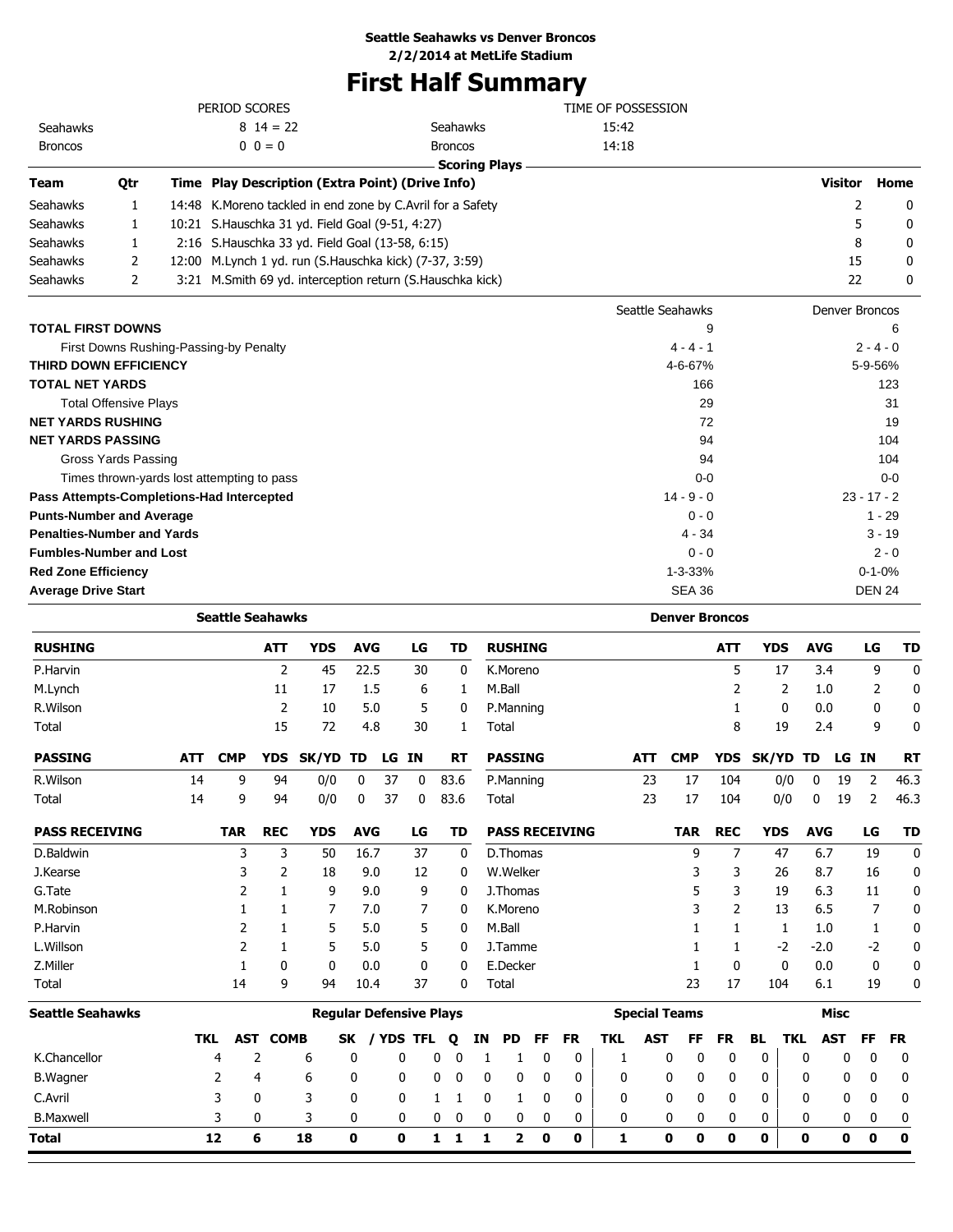## **First Half Summary**

|                                           |                                            |            |                         |                 |                                                              |                                |       |             |                | <u>Filst Hall Sullillial y</u>                   |                          |                       |            |                   |                         |                |                |           |
|-------------------------------------------|--------------------------------------------|------------|-------------------------|-----------------|--------------------------------------------------------------|--------------------------------|-------|-------------|----------------|--------------------------------------------------|--------------------------|-----------------------|------------|-------------------|-------------------------|----------------|----------------|-----------|
|                                           |                                            |            | PERIOD SCORES           |                 |                                                              |                                |       |             |                |                                                  | TIME OF POSSESSION       |                       |            |                   |                         |                |                |           |
| Seahawks                                  |                                            |            |                         | $8 \t14 = 22$   |                                                              |                                |       |             | Seahawks       |                                                  | 15:42                    |                       |            |                   |                         |                |                |           |
| <b>Broncos</b>                            |                                            |            |                         | $0 \t0 = 0$     |                                                              |                                |       |             | <b>Broncos</b> |                                                  | 14:18                    |                       |            |                   |                         |                |                |           |
| Team                                      | Qtr                                        |            |                         |                 | Time Play Description (Extra Point) (Drive Info)             |                                |       |             |                | <b>Scoring Plays</b>                             |                          |                       |            |                   |                         | <b>Visitor</b> |                | Home      |
| Seahawks                                  | 1                                          |            |                         |                 | 14:48 K. Moreno tackled in end zone by C. Avril for a Safety |                                |       |             |                |                                                  |                          |                       |            |                   |                         | 2              |                | 0         |
| Seahawks                                  | 1                                          |            |                         |                 | 10:21 S.Hauschka 31 yd. Field Goal (9-51, 4:27)              |                                |       |             |                |                                                  |                          |                       |            |                   |                         | 5              |                | 0         |
| Seahawks                                  | 1                                          |            |                         |                 | 2:16 S.Hauschka 33 yd. Field Goal (13-58, 6:15)              |                                |       |             |                |                                                  |                          |                       |            |                   |                         | 8              |                | 0         |
| Seahawks                                  | 2                                          |            |                         |                 | 12:00 M.Lynch 1 yd. run (S.Hauschka kick) (7-37, 3:59)       |                                |       |             |                |                                                  |                          |                       |            |                   |                         | 15             |                | 0         |
| Seahawks                                  | 2                                          |            |                         |                 | 3:21 M.Smith 69 yd. interception return (S.Hauschka kick)    |                                |       |             |                |                                                  |                          |                       |            |                   |                         | 22             |                | 0         |
|                                           |                                            |            |                         |                 |                                                              |                                |       |             |                |                                                  |                          | Seattle Seahawks      |            |                   |                         | Denver Broncos |                |           |
| TOTAL FIRST DOWNS                         |                                            |            |                         |                 |                                                              |                                |       |             |                |                                                  |                          |                       | 9          |                   |                         |                |                | 6         |
|                                           | First Downs Rushing-Passing-by Penalty     |            |                         |                 |                                                              |                                |       |             |                |                                                  |                          | $4 - 4 - 1$           |            |                   |                         |                | $2 - 4 - 0$    |           |
| THIRD DOWN EFFICIENCY                     |                                            |            |                         |                 |                                                              |                                |       |             |                |                                                  |                          | 4-6-67%               |            |                   |                         |                | 5-9-56%        |           |
| TOTAL NET YARDS                           |                                            |            |                         |                 |                                                              |                                |       |             |                |                                                  |                          |                       | 166        |                   |                         |                |                | 123       |
|                                           | <b>Total Offensive Plays</b>               |            |                         |                 |                                                              |                                |       |             |                |                                                  |                          |                       | 29         |                   |                         |                |                | 31        |
| <b>NET YARDS RUSHING</b>                  |                                            |            |                         |                 |                                                              |                                |       |             |                |                                                  |                          |                       | 72         |                   |                         |                |                | 19        |
| <b>NET YARDS PASSING</b>                  |                                            |            |                         |                 |                                                              |                                |       |             |                |                                                  |                          |                       | 94         |                   |                         |                |                | 104       |
|                                           | <b>Gross Yards Passing</b>                 |            |                         |                 |                                                              |                                |       |             |                |                                                  |                          |                       | 94         |                   |                         |                |                | 104       |
|                                           | Times thrown-yards lost attempting to pass |            |                         |                 |                                                              |                                |       |             |                |                                                  |                          |                       | $0 - 0$    |                   |                         |                |                | $0 - 0$   |
| Pass Attempts-Completions-Had Intercepted |                                            |            |                         |                 |                                                              |                                |       |             |                |                                                  |                          | $14 - 9 - 0$          |            |                   |                         |                | $23 - 17 - 2$  |           |
| <b>Punts-Number and Average</b>           |                                            |            |                         |                 |                                                              |                                |       |             |                |                                                  |                          | $0 - 0$               |            |                   |                         |                | $1 - 29$       |           |
| <b>Penalties-Number and Yards</b>         |                                            |            |                         |                 |                                                              |                                |       |             |                |                                                  |                          | $4 - 34$              |            |                   |                         |                | $3 - 19$       |           |
| <b>Fumbles-Number and Lost</b>            |                                            |            |                         |                 |                                                              |                                |       |             |                |                                                  |                          | $0 - 0$               |            |                   |                         |                | $2 - 0$        |           |
| <b>Red Zone Efficiency</b>                |                                            |            |                         |                 |                                                              |                                |       |             |                |                                                  |                          | $1 - 3 - 33%$         |            |                   |                         |                | $0 - 1 - 0%$   |           |
| <b>Average Drive Start</b>                |                                            |            |                         |                 |                                                              |                                |       |             |                |                                                  |                          | <b>SEA 36</b>         |            |                   |                         |                | <b>DEN 24</b>  |           |
|                                           |                                            |            | <b>Seattle Seahawks</b> |                 |                                                              |                                |       |             |                |                                                  |                          | <b>Denver Broncos</b> |            |                   |                         |                |                |           |
| <b>RUSHING</b>                            |                                            |            |                         | ATT             | <b>YDS</b>                                                   | <b>AVG</b>                     |       | LG          | TD             | <b>RUSHING</b>                                   |                          |                       | ATT        | <b>YDS</b>        | <b>AVG</b>              |                | LG             | TD        |
| P.Harvin                                  |                                            |            |                         | 2               | 45                                                           | 22.5                           |       | 30          | 0              | K.Moreno                                         |                          |                       | 5          | 17                | 3.4                     |                | 9              | 0         |
| M.Lynch                                   |                                            |            |                         | 11              | 17                                                           | 1.5                            |       | 6           | 1              | M.Ball                                           |                          |                       | 2          | 2                 | 1.0                     |                | 2              | 0         |
| R.Wilson                                  |                                            |            |                         | 2               | 10                                                           | 5.0                            |       | 5           | 0              | P.Manning                                        |                          |                       | 1          | 0                 | 0.0                     |                | 0              | 0         |
| Total                                     |                                            |            |                         | 15              | 72                                                           | 4.8                            |       | 30          | 1              | Total                                            |                          |                       | 8          | 19                | 2.4                     |                | 9              | 0         |
| <b>PASSING</b>                            |                                            | <b>ATT</b> | <b>CMP</b>              |                 | YDS SK/YD TD                                                 |                                | LG IN |             | RT             | <b>PASSING</b>                                   | <b>ATT</b>               | <b>CMP</b>            |            | YDS SK/YD TD      |                         | LG IN          |                | <b>RT</b> |
| R.Wilson                                  |                                            | 14         | q                       | 94              | 0/0                                                          | $\bf{0}$                       | 37    | $\mathbf 0$ | 83.6           | P.Manning                                        | 23                       | 17                    | 104        | 0/0               | $\overline{\mathbf{0}}$ | 19             | $\overline{2}$ | 46.3      |
| Total                                     |                                            | 14         | 9                       | 94              | 0/0                                                          | 0                              | 37    | 0           | 83.6           | Total                                            | 23                       | 17                    | 104        | 0/0               | 0                       | 19             | 2              | 46.3      |
| <b>PASS RECEIVING</b>                     |                                            |            | <b>TAR</b>              | <b>REC</b>      | <b>YDS</b>                                                   | <b>AVG</b>                     |       | LG          | TD             | <b>PASS RECEIVING</b>                            |                          | <b>TAR</b>            | <b>REC</b> | <b>YDS</b>        | <b>AVG</b>              |                | LG             | TD        |
| D.Baldwin                                 |                                            |            | 3                       | 3               | 50                                                           | 16.7                           |       | 37          | 0              | D.Thomas                                         |                          | 9                     | 7          | 47                | 6.7                     |                | 19             | 0         |
| J.Kearse                                  |                                            |            | 3                       | 2               | 18                                                           | 9.0                            |       | 12          | 0              | W.Welker                                         |                          | 3                     | 3          | 26                | 8.7                     |                | 16             | 0         |
| G.Tate                                    |                                            |            | 2                       | 1               | 9                                                            | 9.0                            |       | 9           | 0              | J.Thomas                                         |                          | 5                     | 3          | 19                | 6.3                     |                | 11             | 0         |
| M.Robinson                                |                                            |            | 1                       | 1               | 7                                                            | 7.0                            |       | 7           | 0              | K.Moreno                                         |                          | 3                     | 2          | 13                | 6.5                     |                | 7              | 0         |
| P.Harvin                                  |                                            |            | 2                       | 1               | 5                                                            | 5.0                            |       | 5           | 0              | M.Ball                                           |                          | 1                     | 1          | 1                 | 1.0                     |                | 1              | 0         |
| L.Willson                                 |                                            |            | 2                       | 1               | 5                                                            | 5.0                            |       | 5           | 0              | J.Tamme                                          |                          | 1                     | 1          | -2                | $-2.0$                  |                | -2             | 0         |
| Z.Miller                                  |                                            |            | 1                       | 0               | 0                                                            | 0.0                            |       | 0           | 0              | E.Decker                                         |                          | 1                     | 0          | 0                 | 0.0                     |                | 0              |           |
| Total                                     |                                            |            | 14                      | 9               | 94                                                           | 10.4                           |       | 37          | 0              | Total                                            |                          | 23                    | 17         | 104               | 6.1                     |                | 19             | 0         |
| Seattle Seahawks                          |                                            |            |                         |                 |                                                              | <b>Regular Defensive Plays</b> |       |             |                |                                                  | <b>Special Teams</b>     |                       |            |                   |                         | Misc           |                |           |
|                                           |                                            |            | TKL                     | <b>AST COMB</b> |                                                              |                                |       |             |                | SK / YDS TFL Q IN PD FF<br><b>FR</b>             | <b>TKL</b><br><b>AST</b> | FF .                  | FR.        | <b>BL TKL AST</b> |                         |                | FF             | <b>FR</b> |
| K.Chancellor                              |                                            |            | $\overline{4}$          | 2               | 6                                                            | 0                              |       | 0           | $0\quad 0$     | 0<br>$\mathbf 0$<br>$\mathbf{1}$<br>$\mathbf{1}$ | 1                        | 0<br>0                | 0          | 0                 | 0                       | 0              | 0              | 0         |

B.Wagner 2 4 6 0 0 0 0 0 0 0 0 0 0 0 0 0 0 0 0 0 C.Avril 3 0 3 0 0 1 1 0 1 0 0 0 0 0 0 0 0 0 0 0 B.Maxwell 3 0 3 0 0 0 0 0 0 0 0 0 0 0 0 0 0 0 0 0 **Total 12 6 18 0 0 1 1 1 2 0 0 1 0 0 0 0 0 0 0 0**

 $\overline{\phantom{0}}$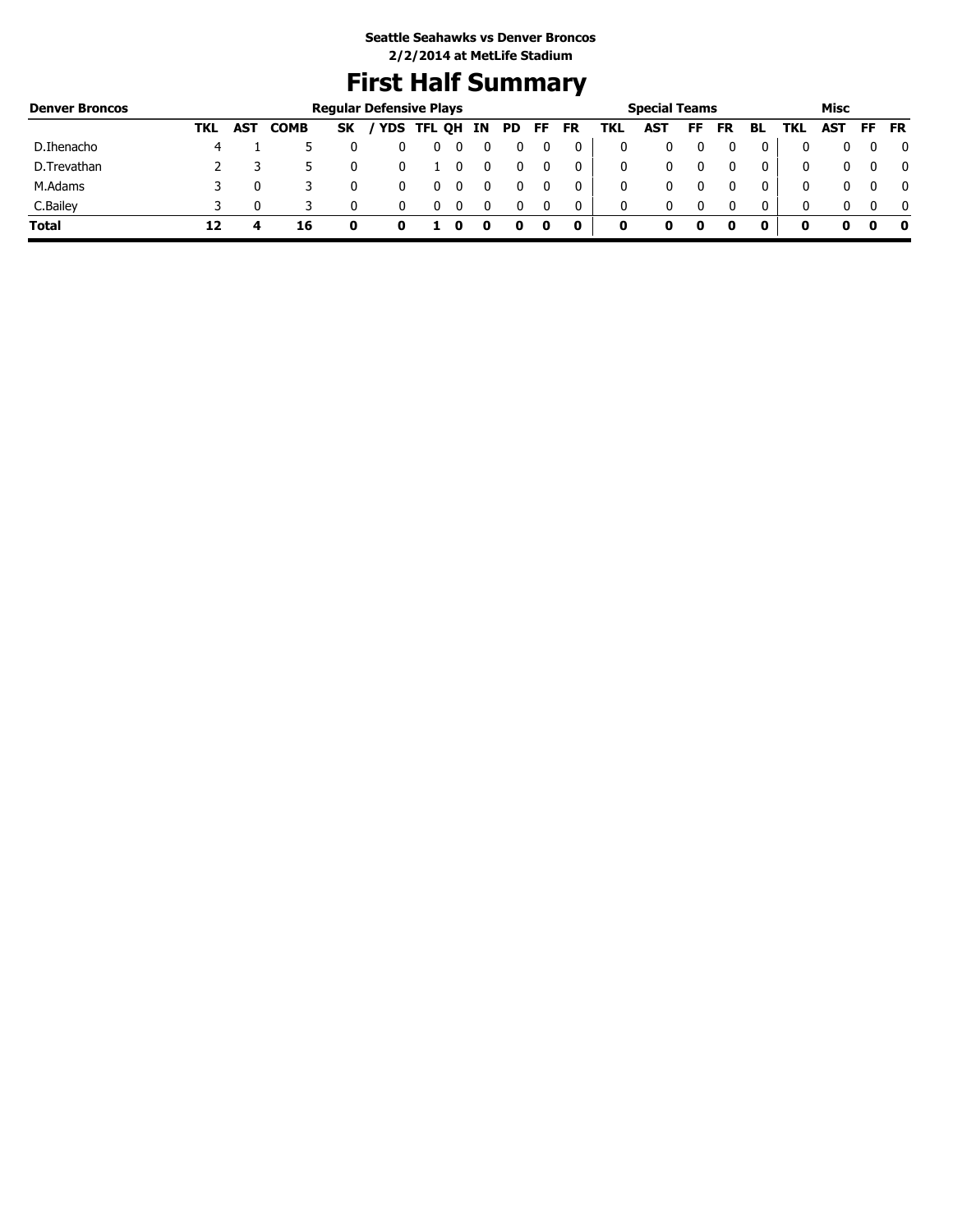# **First Half Summary**

| <b>Denver Broncos</b> |     |            |             |     | <b>Regular Defensive Plays</b> |   |  |      |     |           |     | <b>Special Teams</b> |     |           |    |     | Misc |     |              |
|-----------------------|-----|------------|-------------|-----|--------------------------------|---|--|------|-----|-----------|-----|----------------------|-----|-----------|----|-----|------|-----|--------------|
|                       | TKL | <b>AST</b> | <b>COMB</b> | SK. | / YDS TFL QH IN                |   |  | PD 5 | FF. | <b>FR</b> | TKL | <b>AST</b>           | FF. | <b>FR</b> | BL | TKL | AST  | FF. | <b>FR</b>    |
| D.Ihenacho            | 4   |            |             |     |                                | U |  |      |     |           |     |                      |     |           |    |     |      |     | 0            |
| D.Trevathan           |     |            |             |     |                                |   |  |      |     |           | 0   |                      |     |           |    | 0   |      |     | $\mathbf{0}$ |
| M.Adams               |     |            |             |     |                                |   |  |      |     |           | 0   |                      |     |           |    | 0   |      |     | $\mathbf{0}$ |
| C.Bailey              |     |            |             |     |                                |   |  |      |     |           | 0   | 0                    |     |           | 0  | 0   |      |     | $\mathbf{0}$ |
| <b>Total</b>          | 12  |            | 16          |     |                                |   |  |      |     | 0         | 0   |                      | o   |           |    |     |      |     | - 0          |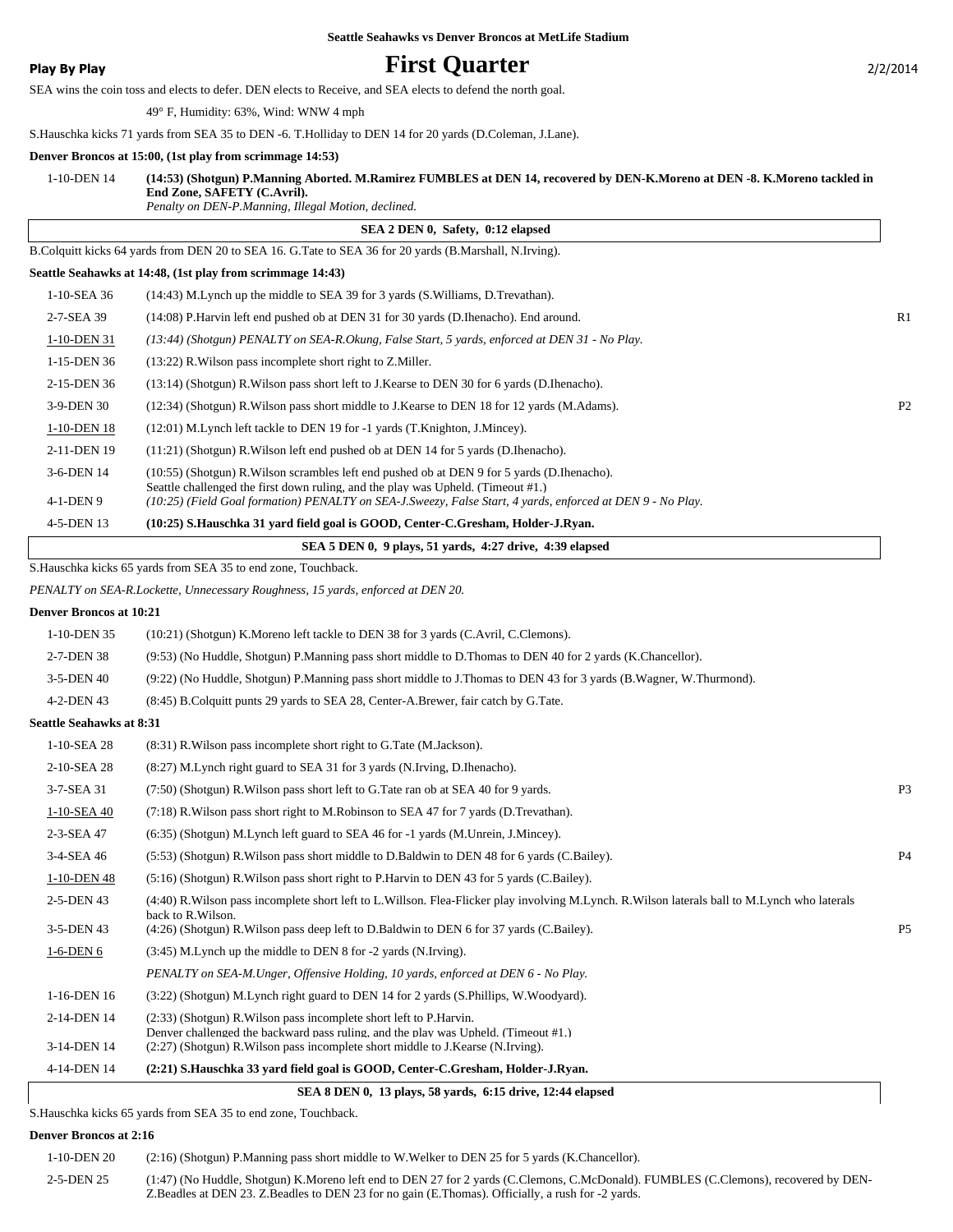### **Play By Play First Quarter** 2/2/2014

SEA wins the coin toss and elects to defer. DEN elects to Receive, and SEA elects to defend the north goal.

49° F, Humidity: 63%, Wind: WNW 4 mph

S.Hauschka kicks 71 yards from SEA 35 to DEN -6. T.Holliday to DEN 14 for 20 yards (D.Coleman, J.Lane).

#### **Denver Broncos at 15:00, (1st play from scrimmage 14:53)**

| 1-10-DEN 14 | (14:53) (Shotgun) P.Manning Aborted. M.Ramirez FUMBLES at DEN 14, recovered by DEN-K.Moreno at DEN-8. K.Moreno tackled in |
|-------------|---------------------------------------------------------------------------------------------------------------------------|
|             | End Zone, SAFETY (C.Avril).                                                                                               |
|             | Penalty on DEN-P.Manning, Illegal Motion, declined.                                                                       |

 **SEA 2 DEN 0, Safety, 0:12 elapsed** B.Colquitt kicks 64 yards from DEN 20 to SEA 16. G.Tate to SEA 36 for 20 yards (B.Marshall, N.Irving). **Seattle Seahawks at 14:48, (1st play from scrimmage 14:43)** 1-10-SEA 36 (14:43) M.Lynch up the middle to SEA 39 for 3 yards (S.Williams, D.Trevathan). 2-7-SEA 39 (14:08) P.Harvin left end pushed ob at DEN 31 for 30 yards (D.Ihenacho). End around. R1 1-10-DEN 31 *(13:44) (Shotgun) PENALTY on SEA-R.Okung, False Start, 5 yards, enforced at DEN 31 - No Play.* 1-15-DEN 36 (13:22) R.Wilson pass incomplete short right to Z.Miller. 2-15-DEN 36 (13:14) (Shotgun) R.Wilson pass short left to J.Kearse to DEN 30 for 6 yards (D.Ihenacho). 3-9-DEN 30 (12:34) (Shotgun) R.Wilson pass short middle to J.Kearse to DEN 18 for 12 yards (M.Adams). P2 1-10-DEN 18 (12:01) M.Lynch left tackle to DEN 19 for -1 yards (T.Knighton, J.Mincey). 2-11-DEN 19 (11:21) (Shotgun) R.Wilson left end pushed ob at DEN 14 for 5 yards (D.Ihenacho). (10:55) (Shotgun) R.Wilson scrambles left end pushed ob at DEN 9 for 5 yards (D.Ihenacho). Seattle challenged the first down ruling, and the play was Upheld. (Timeout #1.) 3-6-DEN 14 4-1-DEN 9 *(10:25) (Field Goal formation) PENALTY on SEA-J.Sweezy, False Start, 4 yards, enforced at DEN 9 - No Play.* 4-5-DEN 13 **(10:25) S.Hauschka 31 yard field goal is GOOD, Center-C.Gresham, Holder-J.Ryan.**

 **SEA 5 DEN 0, 9 plays, 51 yards, 4:27 drive, 4:39 elapsed**

S.Hauschka kicks 65 yards from SEA 35 to end zone, Touchback.

*PENALTY on SEA-R.Lockette, Unnecessary Roughness, 15 yards, enforced at DEN 20.*

#### **Denver Broncos at 10:21**

| 1-10-DEN 35                     | (10:21) (Shotgun) K. Moreno left tackle to DEN 38 for 3 yards (C. Avril, C. Clemons).                                                                                     |                |
|---------------------------------|---------------------------------------------------------------------------------------------------------------------------------------------------------------------------|----------------|
| 2-7-DEN 38                      | (9:53) (No Huddle, Shotgun) P.Manning pass short middle to D.Thomas to DEN 40 for 2 yards (K.Chancellor).                                                                 |                |
| 3-5-DEN 40                      | (9:22) (No Huddle, Shotgun) P.Manning pass short middle to J.Thomas to DEN 43 for 3 yards (B.Wagner, W.Thurmond).                                                         |                |
| 4-2-DEN 43                      | (8.45) B. Colquitt punts 29 yards to SEA 28, Center-A. Brewer, fair catch by G. Tate.                                                                                     |                |
| <b>Seattle Seahawks at 8:31</b> |                                                                                                                                                                           |                |
| 1-10-SEA 28                     | (8:31) R. Wilson pass incomplete short right to G. Tate (M. Jackson).                                                                                                     |                |
| 2-10-SEA 28                     | (8.27) M. Lynch right guard to SEA 31 for 3 yards (N. Irving, D. Ihenacho).                                                                                               |                |
| 3-7-SEA 31                      | (7:50) (Shotgun) R. Wilson pass short left to G. Tate ran ob at SEA 40 for 9 yards.                                                                                       | P <sub>3</sub> |
| 1-10-SEA 40                     | (7:18) R. Wilson pass short right to M. Robinson to SEA 47 for 7 yards (D. Trevathan).                                                                                    |                |
| 2-3-SEA 47                      | (6:35) (Shotgun) M.Lynch left guard to SEA 46 for -1 yards (M.Unrein, J.Mincey).                                                                                          |                |
| 3-4-SEA 46                      | (5:53) (Shotgun) R. Wilson pass short middle to D. Baldwin to DEN 48 for 6 yards (C. Bailey).                                                                             | P <sub>4</sub> |
| 1-10-DEN 48                     | (5.16) (Shotgun) R. Wilson pass short right to P. Harvin to DEN 43 for 5 yards (C. Bailey).                                                                               |                |
| 2-5-DEN 43                      | (4:40) R. Wilson pass incomplete short left to L. Willson. Flea-Flicker play involving M. Lynch. R. Wilson laterals ball to M. Lynch who laterals<br>back to R. Wilson.   |                |
| 3-5-DEN 43                      | (4:26) (Shotgun) R. Wilson pass deep left to D. Baldwin to DEN 6 for 37 yards (C. Bailey).                                                                                | P <sub>5</sub> |
| $1-6-DEN6$                      | (3:45) M. Lynch up the middle to DEN 8 for -2 yards (N. Irving).                                                                                                          |                |
|                                 | PENALTY on SEA-M.Unger, Offensive Holding, 10 yards, enforced at DEN 6 - No Play.                                                                                         |                |
| 1-16-DEN 16                     | (3:22) (Shotgun) M.Lynch right guard to DEN 14 for 2 yards (S.Phillips, W.Woodyard).                                                                                      |                |
| 2-14-DEN 14                     | (2:33) (Shotgun) R. Wilson pass incomplete short left to P. Harvin.                                                                                                       |                |
| 3-14-DEN 14                     | Denver challenged the backward pass ruling, and the play was Upheld. (Timeout #1.)<br>$(2:27)$ (Shotgun) R. Wilson pass incomplete short middle to J. Kearse (N. Irving). |                |
| 4-14-DEN 14                     | (2:21) S.Hauschka 33 vard field goal is GOOD, Center-C.Gresham, Holder-J.Ryan.                                                                                            |                |

#### **SEA 8 DEN 0, 13 plays, 58 yards, 6:15 drive, 12:44 elapsed**

S.Hauschka kicks 65 yards from SEA 35 to end zone, Touchback.

#### **Denver Broncos at 2:16**

| 1-10-DEN 20 | (2:16) (Shotgun) P.Manning pass short middle to W.Welker to DEN 25 for 5 yards (K.Chancellor).                                                                                                                                              |
|-------------|---------------------------------------------------------------------------------------------------------------------------------------------------------------------------------------------------------------------------------------------|
| 2-5-DEN 25  | (1:47) (No Huddle, Shotgun) K.Moreno left end to DEN 27 for 2 yards (C.Clemons, C.McDonald). FUMBLES (C.Clemons), recovered by DEN-<br>Z. Beadles at DEN 23. Z. Beadles to DEN 23 for no gain (E. Thomas). Officially, a rush for -2 yards. |

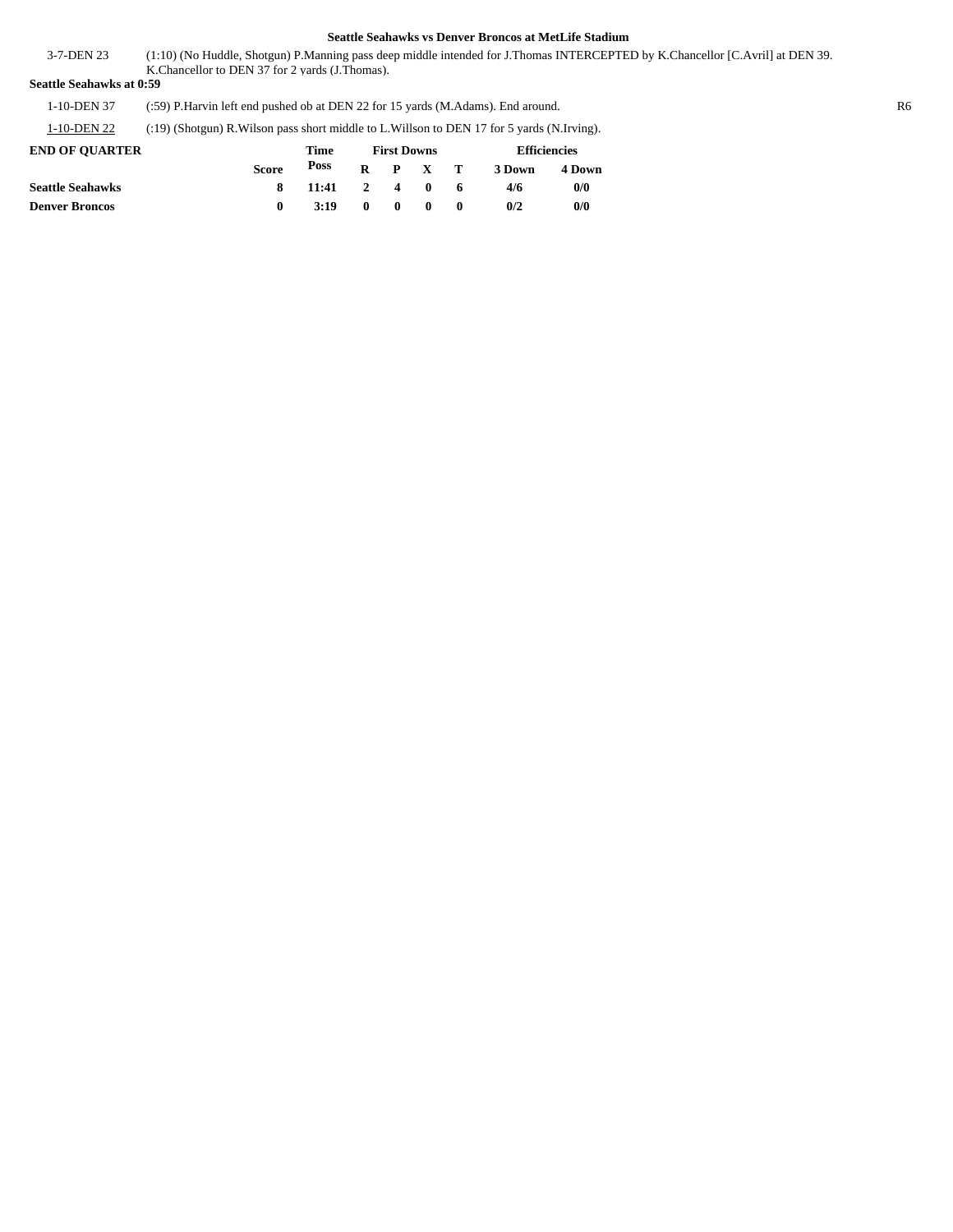(1:10) (No Huddle, Shotgun) P.Manning pass deep middle intended for J.Thomas INTERCEPTED by K.Chancellor [C.Avril] at DEN 39. K.Chancellor to DEN 37 for 2 yards (J.Thomas). 3-7-DEN 23

**Seattle Seahawks at 0:59**

1-10-DEN 37 (:59) P.Harvin left end pushed ob at DEN 22 for 15 yards (M.Adams). End around. R6

1-10-DEN 22 (:19) (Shotgun) R.Wilson pass short middle to L.Willson to DEN 17 for 5 yards (N.Irving).

| <b>END OF OUARTER</b>   |              | Time          |              |              | <b>First Downs</b> |              | <b>Efficiencies</b> |        |  |  |
|-------------------------|--------------|---------------|--------------|--------------|--------------------|--------------|---------------------|--------|--|--|
|                         | <b>Score</b> | Poss          |              |              | $R$ $P$ $X$ $T$    |              | 3 Down              | 4 Down |  |  |
| <b>Seattle Seahawks</b> | 8            | $11:41$ 2 4 0 |              |              |                    | - 6          | 4/6                 | 0/0    |  |  |
| <b>Denver Broncos</b>   |              | 3:19          | $\mathbf{0}$ | $\mathbf{0}$ | $\mathbf{0}$       | $\mathbf{0}$ | 0/2                 | 0/0    |  |  |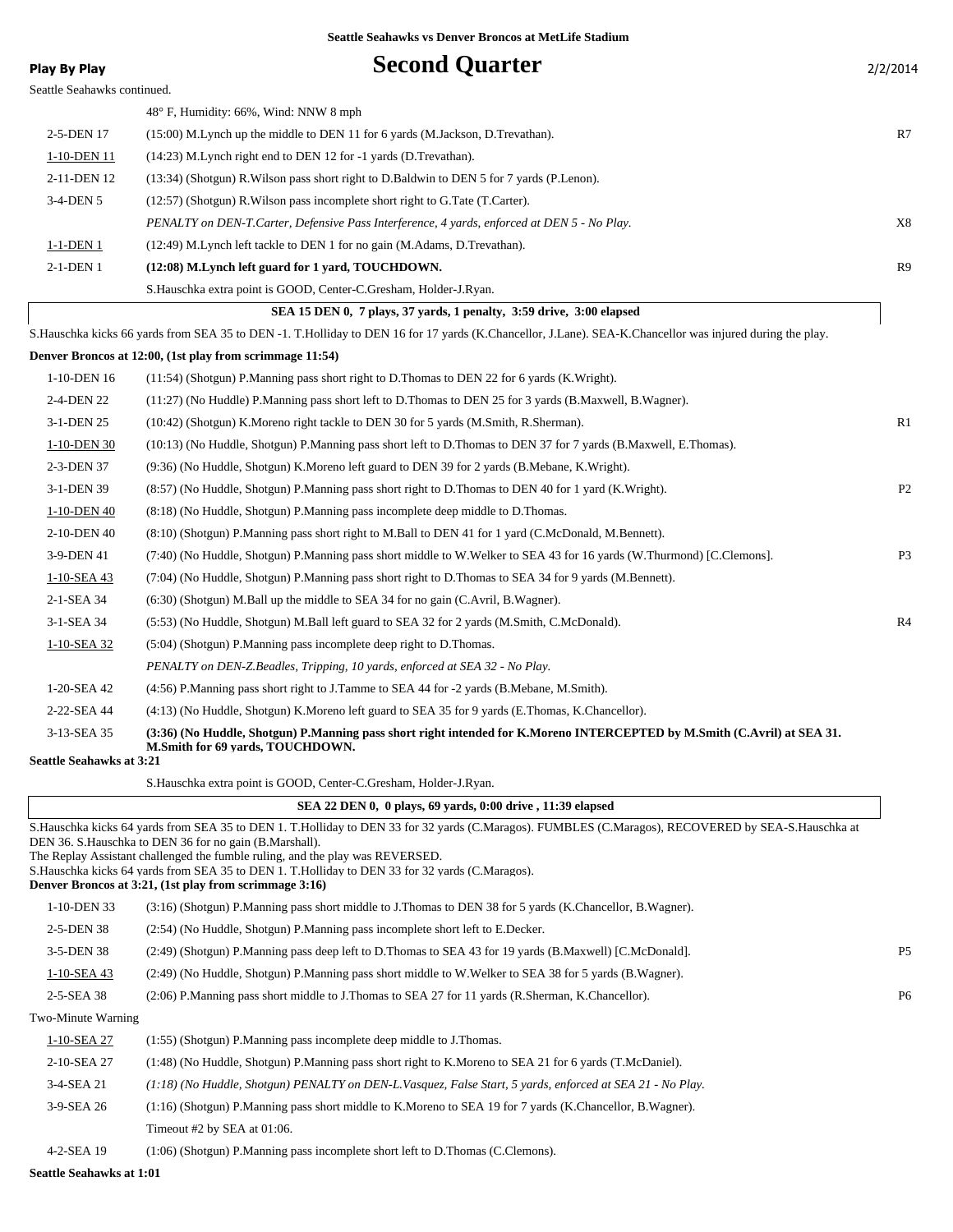| Seattle Seahawks continued.<br>48° F, Humidity: 66%, Wind: NNW 8 mph<br>R7<br>2-5-DEN 17<br>(15:00) M.Lynch up the middle to DEN 11 for 6 yards (M.Jackson, D.Trevathan).<br>1-10-DEN 11<br>(14:23) M. Lynch right end to DEN 12 for -1 yards (D. Trevathan).<br>2-11-DEN 12<br>(13:34) (Shotgun) R. Wilson pass short right to D. Baldwin to DEN 5 for 7 yards (P. Lenon).<br>3-4-DEN 5<br>$(12:57)$ (Shotgun) R. Wilson pass incomplete short right to G. Tate (T. Carter).<br>X8<br>PENALTY on DEN-T. Carter, Defensive Pass Interference, 4 yards, enforced at DEN 5 - No Play.<br>1-1-DEN 1<br>(12:49) M. Lynch left tackle to DEN 1 for no gain (M. Adams, D. Trevathan).<br>2-1-DEN 1<br>(12:08) M.Lynch left guard for 1 yard, TOUCHDOWN.<br>R9<br>S.Hauschka extra point is GOOD, Center-C.Gresham, Holder-J.Ryan.<br>SEA 15 DEN 0, 7 plays, 37 yards, 1 penalty, 3:59 drive, 3:00 elapsed<br>S. Hauschka kicks 66 yards from SEA 35 to DEN -1. T. Holliday to DEN 16 for 17 yards (K. Chancellor, J. Lane). SEA-K. Chancellor was injured during the play.<br>Denver Broncos at 12:00, (1st play from scrimmage 11:54)<br>1-10-DEN 16<br>(11:54) (Shotgun) P.Manning pass short right to D.Thomas to DEN 22 for 6 yards (K.Wright).<br>2-4-DEN 22<br>(11:27) (No Huddle) P.Manning pass short left to D.Thomas to DEN 25 for 3 yards (B.Maxwell, B.Wagner).<br>R1<br>3-1-DEN 25<br>(10:42) (Shotgun) K.Moreno right tackle to DEN 30 for 5 yards (M.Smith, R.Sherman).<br>1-10-DEN 30<br>(10:13) (No Huddle, Shotgun) P.Manning pass short left to D.Thomas to DEN 37 for 7 yards (B.Maxwell, E.Thomas).<br>2-3-DEN 37<br>(9:36) (No Huddle, Shotgun) K. Moreno left guard to DEN 39 for 2 yards (B. Mebane, K. Wright).<br>P <sub>2</sub><br>3-1-DEN 39<br>(8:57) (No Huddle, Shotgun) P.Manning pass short right to D.Thomas to DEN 40 for 1 yard (K.Wright).<br>1-10-DEN 40<br>(8.18) (No Huddle, Shotgun) P.Manning pass incomplete deep middle to D.Thomas.<br>2-10-DEN 40<br>(8:10) (Shotgun) P.Manning pass short right to M.Ball to DEN 41 for 1 yard (C.McDonald, M.Bennett).<br>P <sub>3</sub><br>3-9-DEN 41<br>(7:40) (No Huddle, Shotgun) P.Manning pass short middle to W.Welker to SEA 43 for 16 yards (W.Thurmond) [C.Clemons].<br>(7:04) (No Huddle, Shotgun) P.Manning pass short right to D.Thomas to SEA 34 for 9 yards (M.Bennett).<br>1-10-SEA 43<br>2-1-SEA 34<br>$(6:30)$ (Shotgun) M.Ball up the middle to SEA 34 for no gain (C.Avril, B.Wagner).<br>R4<br>3-1-SEA 34<br>(5:53) (No Huddle, Shotgun) M.Ball left guard to SEA 32 for 2 yards (M.Smith, C.McDonald).<br>1-10-SEA 32<br>(5:04) (Shotgun) P.Manning pass incomplete deep right to D.Thomas.<br>PENALTY on DEN-Z.Beadles, Tripping, 10 yards, enforced at SEA 32 - No Play.<br>1-20-SEA 42<br>(4:56) P.Manning pass short right to J.Tamme to SEA 44 for -2 yards (B.Mebane, M.Smith).<br>2-22-SEA 44<br>(4:13) (No Huddle, Shotgun) K. Moreno left guard to SEA 35 for 9 yards (E. Thomas, K. Chancellor).<br>3-13-SEA 35<br>(3:36) (No Huddle, Shotgun) P.Manning pass short right intended for K.Moreno INTERCEPTED by M.Smith (C.Avril) at SEA 31.<br>M.Smith for 69 vards, TOUCHDOWN.<br><b>Seattle Seahawks at 3:21</b><br>S.Hauschka extra point is GOOD, Center-C.Gresham, Holder-J.Ryan.<br>SEA 22 DEN 0, 0 plays, 69 yards, 0:00 drive, 11:39 elapsed<br>S.Hauschka kicks 64 yards from SEA 35 to DEN 1. T.Holliday to DEN 33 for 32 yards (C.Maragos). FUMBLES (C.Maragos), RECOVERED by SEA-S.Hauschka at<br>DEN 36. S.Hauschka to DEN 36 for no gain (B.Marshall).<br>The Replay Assistant challenged the fumble ruling, and the play was REVERSED.<br>S. Hauschka kicks 64 vards from SEA 35 to DEN 1. T. Holliday to DEN 33 for 32 vards (C. Maragos).<br>Denver Broncos at 3:21, (1st play from scrimmage 3:16)<br>1-10-DEN 33<br>(3:16) (Shotgun) P.Manning pass short middle to J.Thomas to DEN 38 for 5 yards (K.Chancellor, B.Wagner).<br>2-5-DEN 38<br>(2:54) (No Huddle, Shotgun) P.Manning pass incomplete short left to E.Decker.<br>3-5-DEN 38<br>P <sub>5</sub><br>(2:49) (Shotgun) P.Manning pass deep left to D.Thomas to SEA 43 for 19 yards (B.Maxwell) [C.McDonald].<br>$1-10-SEA$ 43<br>(2:49) (No Huddle, Shotgun) P.Manning pass short middle to W.Welker to SEA 38 for 5 yards (B.Wagner).<br>2-5-SEA 38<br>(2:06) P.Manning pass short middle to J.Thomas to SEA 27 for 11 yards (R.Sherman, K.Chancellor).<br>P <sub>6</sub><br>Two-Minute Warning<br>1-10-SEA 27<br>(1:55) (Shotgun) P.Manning pass incomplete deep middle to J.Thomas.<br>2-10-SEA 27<br>(1:48) (No Huddle, Shotgun) P.Manning pass short right to K.Moreno to SEA 21 for 6 yards (T.McDaniel).<br>3-4-SEA 21<br>(1:18) (No Huddle, Shotgun) PENALTY on DEN-L.Vasquez, False Start, 5 yards, enforced at SEA 21 - No Play.<br>3-9-SEA 26<br>(1:16) (Shotgun) P.Manning pass short middle to K.Moreno to SEA 19 for 7 yards (K.Chancellor, B.Wagner).<br>Timeout #2 by SEA at 01:06.<br>4-2-SEA 19<br>(1:06) (Shotgun) P.Manning pass incomplete short left to D.Thomas (C.Clemons). | Play By Play | <b>Second Quarter</b> | 2/2/2014 |
|-------------------------------------------------------------------------------------------------------------------------------------------------------------------------------------------------------------------------------------------------------------------------------------------------------------------------------------------------------------------------------------------------------------------------------------------------------------------------------------------------------------------------------------------------------------------------------------------------------------------------------------------------------------------------------------------------------------------------------------------------------------------------------------------------------------------------------------------------------------------------------------------------------------------------------------------------------------------------------------------------------------------------------------------------------------------------------------------------------------------------------------------------------------------------------------------------------------------------------------------------------------------------------------------------------------------------------------------------------------------------------------------------------------------------------------------------------------------------------------------------------------------------------------------------------------------------------------------------------------------------------------------------------------------------------------------------------------------------------------------------------------------------------------------------------------------------------------------------------------------------------------------------------------------------------------------------------------------------------------------------------------------------------------------------------------------------------------------------------------------------------------------------------------------------------------------------------------------------------------------------------------------------------------------------------------------------------------------------------------------------------------------------------------------------------------------------------------------------------------------------------------------------------------------------------------------------------------------------------------------------------------------------------------------------------------------------------------------------------------------------------------------------------------------------------------------------------------------------------------------------------------------------------------------------------------------------------------------------------------------------------------------------------------------------------------------------------------------------------------------------------------------------------------------------------------------------------------------------------------------------------------------------------------------------------------------------------------------------------------------------------------------------------------------------------------------------------------------------------------------------------------------------------------------------------------------------------------------------------------------------------------------------------------------------------------------------------------------------------------------------------------------------------------------------------------------------------------------------------------------------------------------------------------------------------------------------------------------------------------------------------------------------------------------------------------------------------------------------------------------------------------------------------------------------------------------------------------------------------------------------------------------------------------------------------------------------------------------------------------------------------------------------------------------------------------------------------------------------------------------------------------------------------------------------------------------------------------------------------------------------------------------------------------------------------------------------------------------------------------------------------------------------------------------------------------------------------------------------------------------------------------------------------------------------------------------------------------------------------------------------------------------------------------------------------------------------------------------|--------------|-----------------------|----------|
|                                                                                                                                                                                                                                                                                                                                                                                                                                                                                                                                                                                                                                                                                                                                                                                                                                                                                                                                                                                                                                                                                                                                                                                                                                                                                                                                                                                                                                                                                                                                                                                                                                                                                                                                                                                                                                                                                                                                                                                                                                                                                                                                                                                                                                                                                                                                                                                                                                                                                                                                                                                                                                                                                                                                                                                                                                                                                                                                                                                                                                                                                                                                                                                                                                                                                                                                                                                                                                                                                                                                                                                                                                                                                                                                                                                                                                                                                                                                                                                                                                                                                                                                                                                                                                                                                                                                                                                                                                                                                                                                                                                                                                                                                                                                                                                                                                                                                                                                                                                                                                                                                           |              |                       |          |
|                                                                                                                                                                                                                                                                                                                                                                                                                                                                                                                                                                                                                                                                                                                                                                                                                                                                                                                                                                                                                                                                                                                                                                                                                                                                                                                                                                                                                                                                                                                                                                                                                                                                                                                                                                                                                                                                                                                                                                                                                                                                                                                                                                                                                                                                                                                                                                                                                                                                                                                                                                                                                                                                                                                                                                                                                                                                                                                                                                                                                                                                                                                                                                                                                                                                                                                                                                                                                                                                                                                                                                                                                                                                                                                                                                                                                                                                                                                                                                                                                                                                                                                                                                                                                                                                                                                                                                                                                                                                                                                                                                                                                                                                                                                                                                                                                                                                                                                                                                                                                                                                                           |              |                       |          |
|                                                                                                                                                                                                                                                                                                                                                                                                                                                                                                                                                                                                                                                                                                                                                                                                                                                                                                                                                                                                                                                                                                                                                                                                                                                                                                                                                                                                                                                                                                                                                                                                                                                                                                                                                                                                                                                                                                                                                                                                                                                                                                                                                                                                                                                                                                                                                                                                                                                                                                                                                                                                                                                                                                                                                                                                                                                                                                                                                                                                                                                                                                                                                                                                                                                                                                                                                                                                                                                                                                                                                                                                                                                                                                                                                                                                                                                                                                                                                                                                                                                                                                                                                                                                                                                                                                                                                                                                                                                                                                                                                                                                                                                                                                                                                                                                                                                                                                                                                                                                                                                                                           |              |                       |          |
|                                                                                                                                                                                                                                                                                                                                                                                                                                                                                                                                                                                                                                                                                                                                                                                                                                                                                                                                                                                                                                                                                                                                                                                                                                                                                                                                                                                                                                                                                                                                                                                                                                                                                                                                                                                                                                                                                                                                                                                                                                                                                                                                                                                                                                                                                                                                                                                                                                                                                                                                                                                                                                                                                                                                                                                                                                                                                                                                                                                                                                                                                                                                                                                                                                                                                                                                                                                                                                                                                                                                                                                                                                                                                                                                                                                                                                                                                                                                                                                                                                                                                                                                                                                                                                                                                                                                                                                                                                                                                                                                                                                                                                                                                                                                                                                                                                                                                                                                                                                                                                                                                           |              |                       |          |
|                                                                                                                                                                                                                                                                                                                                                                                                                                                                                                                                                                                                                                                                                                                                                                                                                                                                                                                                                                                                                                                                                                                                                                                                                                                                                                                                                                                                                                                                                                                                                                                                                                                                                                                                                                                                                                                                                                                                                                                                                                                                                                                                                                                                                                                                                                                                                                                                                                                                                                                                                                                                                                                                                                                                                                                                                                                                                                                                                                                                                                                                                                                                                                                                                                                                                                                                                                                                                                                                                                                                                                                                                                                                                                                                                                                                                                                                                                                                                                                                                                                                                                                                                                                                                                                                                                                                                                                                                                                                                                                                                                                                                                                                                                                                                                                                                                                                                                                                                                                                                                                                                           |              |                       |          |
|                                                                                                                                                                                                                                                                                                                                                                                                                                                                                                                                                                                                                                                                                                                                                                                                                                                                                                                                                                                                                                                                                                                                                                                                                                                                                                                                                                                                                                                                                                                                                                                                                                                                                                                                                                                                                                                                                                                                                                                                                                                                                                                                                                                                                                                                                                                                                                                                                                                                                                                                                                                                                                                                                                                                                                                                                                                                                                                                                                                                                                                                                                                                                                                                                                                                                                                                                                                                                                                                                                                                                                                                                                                                                                                                                                                                                                                                                                                                                                                                                                                                                                                                                                                                                                                                                                                                                                                                                                                                                                                                                                                                                                                                                                                                                                                                                                                                                                                                                                                                                                                                                           |              |                       |          |
|                                                                                                                                                                                                                                                                                                                                                                                                                                                                                                                                                                                                                                                                                                                                                                                                                                                                                                                                                                                                                                                                                                                                                                                                                                                                                                                                                                                                                                                                                                                                                                                                                                                                                                                                                                                                                                                                                                                                                                                                                                                                                                                                                                                                                                                                                                                                                                                                                                                                                                                                                                                                                                                                                                                                                                                                                                                                                                                                                                                                                                                                                                                                                                                                                                                                                                                                                                                                                                                                                                                                                                                                                                                                                                                                                                                                                                                                                                                                                                                                                                                                                                                                                                                                                                                                                                                                                                                                                                                                                                                                                                                                                                                                                                                                                                                                                                                                                                                                                                                                                                                                                           |              |                       |          |
|                                                                                                                                                                                                                                                                                                                                                                                                                                                                                                                                                                                                                                                                                                                                                                                                                                                                                                                                                                                                                                                                                                                                                                                                                                                                                                                                                                                                                                                                                                                                                                                                                                                                                                                                                                                                                                                                                                                                                                                                                                                                                                                                                                                                                                                                                                                                                                                                                                                                                                                                                                                                                                                                                                                                                                                                                                                                                                                                                                                                                                                                                                                                                                                                                                                                                                                                                                                                                                                                                                                                                                                                                                                                                                                                                                                                                                                                                                                                                                                                                                                                                                                                                                                                                                                                                                                                                                                                                                                                                                                                                                                                                                                                                                                                                                                                                                                                                                                                                                                                                                                                                           |              |                       |          |
|                                                                                                                                                                                                                                                                                                                                                                                                                                                                                                                                                                                                                                                                                                                                                                                                                                                                                                                                                                                                                                                                                                                                                                                                                                                                                                                                                                                                                                                                                                                                                                                                                                                                                                                                                                                                                                                                                                                                                                                                                                                                                                                                                                                                                                                                                                                                                                                                                                                                                                                                                                                                                                                                                                                                                                                                                                                                                                                                                                                                                                                                                                                                                                                                                                                                                                                                                                                                                                                                                                                                                                                                                                                                                                                                                                                                                                                                                                                                                                                                                                                                                                                                                                                                                                                                                                                                                                                                                                                                                                                                                                                                                                                                                                                                                                                                                                                                                                                                                                                                                                                                                           |              |                       |          |
|                                                                                                                                                                                                                                                                                                                                                                                                                                                                                                                                                                                                                                                                                                                                                                                                                                                                                                                                                                                                                                                                                                                                                                                                                                                                                                                                                                                                                                                                                                                                                                                                                                                                                                                                                                                                                                                                                                                                                                                                                                                                                                                                                                                                                                                                                                                                                                                                                                                                                                                                                                                                                                                                                                                                                                                                                                                                                                                                                                                                                                                                                                                                                                                                                                                                                                                                                                                                                                                                                                                                                                                                                                                                                                                                                                                                                                                                                                                                                                                                                                                                                                                                                                                                                                                                                                                                                                                                                                                                                                                                                                                                                                                                                                                                                                                                                                                                                                                                                                                                                                                                                           |              |                       |          |
|                                                                                                                                                                                                                                                                                                                                                                                                                                                                                                                                                                                                                                                                                                                                                                                                                                                                                                                                                                                                                                                                                                                                                                                                                                                                                                                                                                                                                                                                                                                                                                                                                                                                                                                                                                                                                                                                                                                                                                                                                                                                                                                                                                                                                                                                                                                                                                                                                                                                                                                                                                                                                                                                                                                                                                                                                                                                                                                                                                                                                                                                                                                                                                                                                                                                                                                                                                                                                                                                                                                                                                                                                                                                                                                                                                                                                                                                                                                                                                                                                                                                                                                                                                                                                                                                                                                                                                                                                                                                                                                                                                                                                                                                                                                                                                                                                                                                                                                                                                                                                                                                                           |              |                       |          |
|                                                                                                                                                                                                                                                                                                                                                                                                                                                                                                                                                                                                                                                                                                                                                                                                                                                                                                                                                                                                                                                                                                                                                                                                                                                                                                                                                                                                                                                                                                                                                                                                                                                                                                                                                                                                                                                                                                                                                                                                                                                                                                                                                                                                                                                                                                                                                                                                                                                                                                                                                                                                                                                                                                                                                                                                                                                                                                                                                                                                                                                                                                                                                                                                                                                                                                                                                                                                                                                                                                                                                                                                                                                                                                                                                                                                                                                                                                                                                                                                                                                                                                                                                                                                                                                                                                                                                                                                                                                                                                                                                                                                                                                                                                                                                                                                                                                                                                                                                                                                                                                                                           |              |                       |          |
|                                                                                                                                                                                                                                                                                                                                                                                                                                                                                                                                                                                                                                                                                                                                                                                                                                                                                                                                                                                                                                                                                                                                                                                                                                                                                                                                                                                                                                                                                                                                                                                                                                                                                                                                                                                                                                                                                                                                                                                                                                                                                                                                                                                                                                                                                                                                                                                                                                                                                                                                                                                                                                                                                                                                                                                                                                                                                                                                                                                                                                                                                                                                                                                                                                                                                                                                                                                                                                                                                                                                                                                                                                                                                                                                                                                                                                                                                                                                                                                                                                                                                                                                                                                                                                                                                                                                                                                                                                                                                                                                                                                                                                                                                                                                                                                                                                                                                                                                                                                                                                                                                           |              |                       |          |
|                                                                                                                                                                                                                                                                                                                                                                                                                                                                                                                                                                                                                                                                                                                                                                                                                                                                                                                                                                                                                                                                                                                                                                                                                                                                                                                                                                                                                                                                                                                                                                                                                                                                                                                                                                                                                                                                                                                                                                                                                                                                                                                                                                                                                                                                                                                                                                                                                                                                                                                                                                                                                                                                                                                                                                                                                                                                                                                                                                                                                                                                                                                                                                                                                                                                                                                                                                                                                                                                                                                                                                                                                                                                                                                                                                                                                                                                                                                                                                                                                                                                                                                                                                                                                                                                                                                                                                                                                                                                                                                                                                                                                                                                                                                                                                                                                                                                                                                                                                                                                                                                                           |              |                       |          |
|                                                                                                                                                                                                                                                                                                                                                                                                                                                                                                                                                                                                                                                                                                                                                                                                                                                                                                                                                                                                                                                                                                                                                                                                                                                                                                                                                                                                                                                                                                                                                                                                                                                                                                                                                                                                                                                                                                                                                                                                                                                                                                                                                                                                                                                                                                                                                                                                                                                                                                                                                                                                                                                                                                                                                                                                                                                                                                                                                                                                                                                                                                                                                                                                                                                                                                                                                                                                                                                                                                                                                                                                                                                                                                                                                                                                                                                                                                                                                                                                                                                                                                                                                                                                                                                                                                                                                                                                                                                                                                                                                                                                                                                                                                                                                                                                                                                                                                                                                                                                                                                                                           |              |                       |          |
|                                                                                                                                                                                                                                                                                                                                                                                                                                                                                                                                                                                                                                                                                                                                                                                                                                                                                                                                                                                                                                                                                                                                                                                                                                                                                                                                                                                                                                                                                                                                                                                                                                                                                                                                                                                                                                                                                                                                                                                                                                                                                                                                                                                                                                                                                                                                                                                                                                                                                                                                                                                                                                                                                                                                                                                                                                                                                                                                                                                                                                                                                                                                                                                                                                                                                                                                                                                                                                                                                                                                                                                                                                                                                                                                                                                                                                                                                                                                                                                                                                                                                                                                                                                                                                                                                                                                                                                                                                                                                                                                                                                                                                                                                                                                                                                                                                                                                                                                                                                                                                                                                           |              |                       |          |
|                                                                                                                                                                                                                                                                                                                                                                                                                                                                                                                                                                                                                                                                                                                                                                                                                                                                                                                                                                                                                                                                                                                                                                                                                                                                                                                                                                                                                                                                                                                                                                                                                                                                                                                                                                                                                                                                                                                                                                                                                                                                                                                                                                                                                                                                                                                                                                                                                                                                                                                                                                                                                                                                                                                                                                                                                                                                                                                                                                                                                                                                                                                                                                                                                                                                                                                                                                                                                                                                                                                                                                                                                                                                                                                                                                                                                                                                                                                                                                                                                                                                                                                                                                                                                                                                                                                                                                                                                                                                                                                                                                                                                                                                                                                                                                                                                                                                                                                                                                                                                                                                                           |              |                       |          |
|                                                                                                                                                                                                                                                                                                                                                                                                                                                                                                                                                                                                                                                                                                                                                                                                                                                                                                                                                                                                                                                                                                                                                                                                                                                                                                                                                                                                                                                                                                                                                                                                                                                                                                                                                                                                                                                                                                                                                                                                                                                                                                                                                                                                                                                                                                                                                                                                                                                                                                                                                                                                                                                                                                                                                                                                                                                                                                                                                                                                                                                                                                                                                                                                                                                                                                                                                                                                                                                                                                                                                                                                                                                                                                                                                                                                                                                                                                                                                                                                                                                                                                                                                                                                                                                                                                                                                                                                                                                                                                                                                                                                                                                                                                                                                                                                                                                                                                                                                                                                                                                                                           |              |                       |          |
|                                                                                                                                                                                                                                                                                                                                                                                                                                                                                                                                                                                                                                                                                                                                                                                                                                                                                                                                                                                                                                                                                                                                                                                                                                                                                                                                                                                                                                                                                                                                                                                                                                                                                                                                                                                                                                                                                                                                                                                                                                                                                                                                                                                                                                                                                                                                                                                                                                                                                                                                                                                                                                                                                                                                                                                                                                                                                                                                                                                                                                                                                                                                                                                                                                                                                                                                                                                                                                                                                                                                                                                                                                                                                                                                                                                                                                                                                                                                                                                                                                                                                                                                                                                                                                                                                                                                                                                                                                                                                                                                                                                                                                                                                                                                                                                                                                                                                                                                                                                                                                                                                           |              |                       |          |
|                                                                                                                                                                                                                                                                                                                                                                                                                                                                                                                                                                                                                                                                                                                                                                                                                                                                                                                                                                                                                                                                                                                                                                                                                                                                                                                                                                                                                                                                                                                                                                                                                                                                                                                                                                                                                                                                                                                                                                                                                                                                                                                                                                                                                                                                                                                                                                                                                                                                                                                                                                                                                                                                                                                                                                                                                                                                                                                                                                                                                                                                                                                                                                                                                                                                                                                                                                                                                                                                                                                                                                                                                                                                                                                                                                                                                                                                                                                                                                                                                                                                                                                                                                                                                                                                                                                                                                                                                                                                                                                                                                                                                                                                                                                                                                                                                                                                                                                                                                                                                                                                                           |              |                       |          |
|                                                                                                                                                                                                                                                                                                                                                                                                                                                                                                                                                                                                                                                                                                                                                                                                                                                                                                                                                                                                                                                                                                                                                                                                                                                                                                                                                                                                                                                                                                                                                                                                                                                                                                                                                                                                                                                                                                                                                                                                                                                                                                                                                                                                                                                                                                                                                                                                                                                                                                                                                                                                                                                                                                                                                                                                                                                                                                                                                                                                                                                                                                                                                                                                                                                                                                                                                                                                                                                                                                                                                                                                                                                                                                                                                                                                                                                                                                                                                                                                                                                                                                                                                                                                                                                                                                                                                                                                                                                                                                                                                                                                                                                                                                                                                                                                                                                                                                                                                                                                                                                                                           |              |                       |          |
|                                                                                                                                                                                                                                                                                                                                                                                                                                                                                                                                                                                                                                                                                                                                                                                                                                                                                                                                                                                                                                                                                                                                                                                                                                                                                                                                                                                                                                                                                                                                                                                                                                                                                                                                                                                                                                                                                                                                                                                                                                                                                                                                                                                                                                                                                                                                                                                                                                                                                                                                                                                                                                                                                                                                                                                                                                                                                                                                                                                                                                                                                                                                                                                                                                                                                                                                                                                                                                                                                                                                                                                                                                                                                                                                                                                                                                                                                                                                                                                                                                                                                                                                                                                                                                                                                                                                                                                                                                                                                                                                                                                                                                                                                                                                                                                                                                                                                                                                                                                                                                                                                           |              |                       |          |
|                                                                                                                                                                                                                                                                                                                                                                                                                                                                                                                                                                                                                                                                                                                                                                                                                                                                                                                                                                                                                                                                                                                                                                                                                                                                                                                                                                                                                                                                                                                                                                                                                                                                                                                                                                                                                                                                                                                                                                                                                                                                                                                                                                                                                                                                                                                                                                                                                                                                                                                                                                                                                                                                                                                                                                                                                                                                                                                                                                                                                                                                                                                                                                                                                                                                                                                                                                                                                                                                                                                                                                                                                                                                                                                                                                                                                                                                                                                                                                                                                                                                                                                                                                                                                                                                                                                                                                                                                                                                                                                                                                                                                                                                                                                                                                                                                                                                                                                                                                                                                                                                                           |              |                       |          |
|                                                                                                                                                                                                                                                                                                                                                                                                                                                                                                                                                                                                                                                                                                                                                                                                                                                                                                                                                                                                                                                                                                                                                                                                                                                                                                                                                                                                                                                                                                                                                                                                                                                                                                                                                                                                                                                                                                                                                                                                                                                                                                                                                                                                                                                                                                                                                                                                                                                                                                                                                                                                                                                                                                                                                                                                                                                                                                                                                                                                                                                                                                                                                                                                                                                                                                                                                                                                                                                                                                                                                                                                                                                                                                                                                                                                                                                                                                                                                                                                                                                                                                                                                                                                                                                                                                                                                                                                                                                                                                                                                                                                                                                                                                                                                                                                                                                                                                                                                                                                                                                                                           |              |                       |          |
|                                                                                                                                                                                                                                                                                                                                                                                                                                                                                                                                                                                                                                                                                                                                                                                                                                                                                                                                                                                                                                                                                                                                                                                                                                                                                                                                                                                                                                                                                                                                                                                                                                                                                                                                                                                                                                                                                                                                                                                                                                                                                                                                                                                                                                                                                                                                                                                                                                                                                                                                                                                                                                                                                                                                                                                                                                                                                                                                                                                                                                                                                                                                                                                                                                                                                                                                                                                                                                                                                                                                                                                                                                                                                                                                                                                                                                                                                                                                                                                                                                                                                                                                                                                                                                                                                                                                                                                                                                                                                                                                                                                                                                                                                                                                                                                                                                                                                                                                                                                                                                                                                           |              |                       |          |
|                                                                                                                                                                                                                                                                                                                                                                                                                                                                                                                                                                                                                                                                                                                                                                                                                                                                                                                                                                                                                                                                                                                                                                                                                                                                                                                                                                                                                                                                                                                                                                                                                                                                                                                                                                                                                                                                                                                                                                                                                                                                                                                                                                                                                                                                                                                                                                                                                                                                                                                                                                                                                                                                                                                                                                                                                                                                                                                                                                                                                                                                                                                                                                                                                                                                                                                                                                                                                                                                                                                                                                                                                                                                                                                                                                                                                                                                                                                                                                                                                                                                                                                                                                                                                                                                                                                                                                                                                                                                                                                                                                                                                                                                                                                                                                                                                                                                                                                                                                                                                                                                                           |              |                       |          |
|                                                                                                                                                                                                                                                                                                                                                                                                                                                                                                                                                                                                                                                                                                                                                                                                                                                                                                                                                                                                                                                                                                                                                                                                                                                                                                                                                                                                                                                                                                                                                                                                                                                                                                                                                                                                                                                                                                                                                                                                                                                                                                                                                                                                                                                                                                                                                                                                                                                                                                                                                                                                                                                                                                                                                                                                                                                                                                                                                                                                                                                                                                                                                                                                                                                                                                                                                                                                                                                                                                                                                                                                                                                                                                                                                                                                                                                                                                                                                                                                                                                                                                                                                                                                                                                                                                                                                                                                                                                                                                                                                                                                                                                                                                                                                                                                                                                                                                                                                                                                                                                                                           |              |                       |          |
|                                                                                                                                                                                                                                                                                                                                                                                                                                                                                                                                                                                                                                                                                                                                                                                                                                                                                                                                                                                                                                                                                                                                                                                                                                                                                                                                                                                                                                                                                                                                                                                                                                                                                                                                                                                                                                                                                                                                                                                                                                                                                                                                                                                                                                                                                                                                                                                                                                                                                                                                                                                                                                                                                                                                                                                                                                                                                                                                                                                                                                                                                                                                                                                                                                                                                                                                                                                                                                                                                                                                                                                                                                                                                                                                                                                                                                                                                                                                                                                                                                                                                                                                                                                                                                                                                                                                                                                                                                                                                                                                                                                                                                                                                                                                                                                                                                                                                                                                                                                                                                                                                           |              |                       |          |
|                                                                                                                                                                                                                                                                                                                                                                                                                                                                                                                                                                                                                                                                                                                                                                                                                                                                                                                                                                                                                                                                                                                                                                                                                                                                                                                                                                                                                                                                                                                                                                                                                                                                                                                                                                                                                                                                                                                                                                                                                                                                                                                                                                                                                                                                                                                                                                                                                                                                                                                                                                                                                                                                                                                                                                                                                                                                                                                                                                                                                                                                                                                                                                                                                                                                                                                                                                                                                                                                                                                                                                                                                                                                                                                                                                                                                                                                                                                                                                                                                                                                                                                                                                                                                                                                                                                                                                                                                                                                                                                                                                                                                                                                                                                                                                                                                                                                                                                                                                                                                                                                                           |              |                       |          |
|                                                                                                                                                                                                                                                                                                                                                                                                                                                                                                                                                                                                                                                                                                                                                                                                                                                                                                                                                                                                                                                                                                                                                                                                                                                                                                                                                                                                                                                                                                                                                                                                                                                                                                                                                                                                                                                                                                                                                                                                                                                                                                                                                                                                                                                                                                                                                                                                                                                                                                                                                                                                                                                                                                                                                                                                                                                                                                                                                                                                                                                                                                                                                                                                                                                                                                                                                                                                                                                                                                                                                                                                                                                                                                                                                                                                                                                                                                                                                                                                                                                                                                                                                                                                                                                                                                                                                                                                                                                                                                                                                                                                                                                                                                                                                                                                                                                                                                                                                                                                                                                                                           |              |                       |          |
|                                                                                                                                                                                                                                                                                                                                                                                                                                                                                                                                                                                                                                                                                                                                                                                                                                                                                                                                                                                                                                                                                                                                                                                                                                                                                                                                                                                                                                                                                                                                                                                                                                                                                                                                                                                                                                                                                                                                                                                                                                                                                                                                                                                                                                                                                                                                                                                                                                                                                                                                                                                                                                                                                                                                                                                                                                                                                                                                                                                                                                                                                                                                                                                                                                                                                                                                                                                                                                                                                                                                                                                                                                                                                                                                                                                                                                                                                                                                                                                                                                                                                                                                                                                                                                                                                                                                                                                                                                                                                                                                                                                                                                                                                                                                                                                                                                                                                                                                                                                                                                                                                           |              |                       |          |
|                                                                                                                                                                                                                                                                                                                                                                                                                                                                                                                                                                                                                                                                                                                                                                                                                                                                                                                                                                                                                                                                                                                                                                                                                                                                                                                                                                                                                                                                                                                                                                                                                                                                                                                                                                                                                                                                                                                                                                                                                                                                                                                                                                                                                                                                                                                                                                                                                                                                                                                                                                                                                                                                                                                                                                                                                                                                                                                                                                                                                                                                                                                                                                                                                                                                                                                                                                                                                                                                                                                                                                                                                                                                                                                                                                                                                                                                                                                                                                                                                                                                                                                                                                                                                                                                                                                                                                                                                                                                                                                                                                                                                                                                                                                                                                                                                                                                                                                                                                                                                                                                                           |              |                       |          |
|                                                                                                                                                                                                                                                                                                                                                                                                                                                                                                                                                                                                                                                                                                                                                                                                                                                                                                                                                                                                                                                                                                                                                                                                                                                                                                                                                                                                                                                                                                                                                                                                                                                                                                                                                                                                                                                                                                                                                                                                                                                                                                                                                                                                                                                                                                                                                                                                                                                                                                                                                                                                                                                                                                                                                                                                                                                                                                                                                                                                                                                                                                                                                                                                                                                                                                                                                                                                                                                                                                                                                                                                                                                                                                                                                                                                                                                                                                                                                                                                                                                                                                                                                                                                                                                                                                                                                                                                                                                                                                                                                                                                                                                                                                                                                                                                                                                                                                                                                                                                                                                                                           |              |                       |          |
|                                                                                                                                                                                                                                                                                                                                                                                                                                                                                                                                                                                                                                                                                                                                                                                                                                                                                                                                                                                                                                                                                                                                                                                                                                                                                                                                                                                                                                                                                                                                                                                                                                                                                                                                                                                                                                                                                                                                                                                                                                                                                                                                                                                                                                                                                                                                                                                                                                                                                                                                                                                                                                                                                                                                                                                                                                                                                                                                                                                                                                                                                                                                                                                                                                                                                                                                                                                                                                                                                                                                                                                                                                                                                                                                                                                                                                                                                                                                                                                                                                                                                                                                                                                                                                                                                                                                                                                                                                                                                                                                                                                                                                                                                                                                                                                                                                                                                                                                                                                                                                                                                           |              |                       |          |
|                                                                                                                                                                                                                                                                                                                                                                                                                                                                                                                                                                                                                                                                                                                                                                                                                                                                                                                                                                                                                                                                                                                                                                                                                                                                                                                                                                                                                                                                                                                                                                                                                                                                                                                                                                                                                                                                                                                                                                                                                                                                                                                                                                                                                                                                                                                                                                                                                                                                                                                                                                                                                                                                                                                                                                                                                                                                                                                                                                                                                                                                                                                                                                                                                                                                                                                                                                                                                                                                                                                                                                                                                                                                                                                                                                                                                                                                                                                                                                                                                                                                                                                                                                                                                                                                                                                                                                                                                                                                                                                                                                                                                                                                                                                                                                                                                                                                                                                                                                                                                                                                                           |              |                       |          |
|                                                                                                                                                                                                                                                                                                                                                                                                                                                                                                                                                                                                                                                                                                                                                                                                                                                                                                                                                                                                                                                                                                                                                                                                                                                                                                                                                                                                                                                                                                                                                                                                                                                                                                                                                                                                                                                                                                                                                                                                                                                                                                                                                                                                                                                                                                                                                                                                                                                                                                                                                                                                                                                                                                                                                                                                                                                                                                                                                                                                                                                                                                                                                                                                                                                                                                                                                                                                                                                                                                                                                                                                                                                                                                                                                                                                                                                                                                                                                                                                                                                                                                                                                                                                                                                                                                                                                                                                                                                                                                                                                                                                                                                                                                                                                                                                                                                                                                                                                                                                                                                                                           |              |                       |          |
|                                                                                                                                                                                                                                                                                                                                                                                                                                                                                                                                                                                                                                                                                                                                                                                                                                                                                                                                                                                                                                                                                                                                                                                                                                                                                                                                                                                                                                                                                                                                                                                                                                                                                                                                                                                                                                                                                                                                                                                                                                                                                                                                                                                                                                                                                                                                                                                                                                                                                                                                                                                                                                                                                                                                                                                                                                                                                                                                                                                                                                                                                                                                                                                                                                                                                                                                                                                                                                                                                                                                                                                                                                                                                                                                                                                                                                                                                                                                                                                                                                                                                                                                                                                                                                                                                                                                                                                                                                                                                                                                                                                                                                                                                                                                                                                                                                                                                                                                                                                                                                                                                           |              |                       |          |
|                                                                                                                                                                                                                                                                                                                                                                                                                                                                                                                                                                                                                                                                                                                                                                                                                                                                                                                                                                                                                                                                                                                                                                                                                                                                                                                                                                                                                                                                                                                                                                                                                                                                                                                                                                                                                                                                                                                                                                                                                                                                                                                                                                                                                                                                                                                                                                                                                                                                                                                                                                                                                                                                                                                                                                                                                                                                                                                                                                                                                                                                                                                                                                                                                                                                                                                                                                                                                                                                                                                                                                                                                                                                                                                                                                                                                                                                                                                                                                                                                                                                                                                                                                                                                                                                                                                                                                                                                                                                                                                                                                                                                                                                                                                                                                                                                                                                                                                                                                                                                                                                                           |              |                       |          |
|                                                                                                                                                                                                                                                                                                                                                                                                                                                                                                                                                                                                                                                                                                                                                                                                                                                                                                                                                                                                                                                                                                                                                                                                                                                                                                                                                                                                                                                                                                                                                                                                                                                                                                                                                                                                                                                                                                                                                                                                                                                                                                                                                                                                                                                                                                                                                                                                                                                                                                                                                                                                                                                                                                                                                                                                                                                                                                                                                                                                                                                                                                                                                                                                                                                                                                                                                                                                                                                                                                                                                                                                                                                                                                                                                                                                                                                                                                                                                                                                                                                                                                                                                                                                                                                                                                                                                                                                                                                                                                                                                                                                                                                                                                                                                                                                                                                                                                                                                                                                                                                                                           |              |                       |          |
|                                                                                                                                                                                                                                                                                                                                                                                                                                                                                                                                                                                                                                                                                                                                                                                                                                                                                                                                                                                                                                                                                                                                                                                                                                                                                                                                                                                                                                                                                                                                                                                                                                                                                                                                                                                                                                                                                                                                                                                                                                                                                                                                                                                                                                                                                                                                                                                                                                                                                                                                                                                                                                                                                                                                                                                                                                                                                                                                                                                                                                                                                                                                                                                                                                                                                                                                                                                                                                                                                                                                                                                                                                                                                                                                                                                                                                                                                                                                                                                                                                                                                                                                                                                                                                                                                                                                                                                                                                                                                                                                                                                                                                                                                                                                                                                                                                                                                                                                                                                                                                                                                           |              |                       |          |
|                                                                                                                                                                                                                                                                                                                                                                                                                                                                                                                                                                                                                                                                                                                                                                                                                                                                                                                                                                                                                                                                                                                                                                                                                                                                                                                                                                                                                                                                                                                                                                                                                                                                                                                                                                                                                                                                                                                                                                                                                                                                                                                                                                                                                                                                                                                                                                                                                                                                                                                                                                                                                                                                                                                                                                                                                                                                                                                                                                                                                                                                                                                                                                                                                                                                                                                                                                                                                                                                                                                                                                                                                                                                                                                                                                                                                                                                                                                                                                                                                                                                                                                                                                                                                                                                                                                                                                                                                                                                                                                                                                                                                                                                                                                                                                                                                                                                                                                                                                                                                                                                                           |              |                       |          |
|                                                                                                                                                                                                                                                                                                                                                                                                                                                                                                                                                                                                                                                                                                                                                                                                                                                                                                                                                                                                                                                                                                                                                                                                                                                                                                                                                                                                                                                                                                                                                                                                                                                                                                                                                                                                                                                                                                                                                                                                                                                                                                                                                                                                                                                                                                                                                                                                                                                                                                                                                                                                                                                                                                                                                                                                                                                                                                                                                                                                                                                                                                                                                                                                                                                                                                                                                                                                                                                                                                                                                                                                                                                                                                                                                                                                                                                                                                                                                                                                                                                                                                                                                                                                                                                                                                                                                                                                                                                                                                                                                                                                                                                                                                                                                                                                                                                                                                                                                                                                                                                                                           |              |                       |          |
|                                                                                                                                                                                                                                                                                                                                                                                                                                                                                                                                                                                                                                                                                                                                                                                                                                                                                                                                                                                                                                                                                                                                                                                                                                                                                                                                                                                                                                                                                                                                                                                                                                                                                                                                                                                                                                                                                                                                                                                                                                                                                                                                                                                                                                                                                                                                                                                                                                                                                                                                                                                                                                                                                                                                                                                                                                                                                                                                                                                                                                                                                                                                                                                                                                                                                                                                                                                                                                                                                                                                                                                                                                                                                                                                                                                                                                                                                                                                                                                                                                                                                                                                                                                                                                                                                                                                                                                                                                                                                                                                                                                                                                                                                                                                                                                                                                                                                                                                                                                                                                                                                           |              |                       |          |
|                                                                                                                                                                                                                                                                                                                                                                                                                                                                                                                                                                                                                                                                                                                                                                                                                                                                                                                                                                                                                                                                                                                                                                                                                                                                                                                                                                                                                                                                                                                                                                                                                                                                                                                                                                                                                                                                                                                                                                                                                                                                                                                                                                                                                                                                                                                                                                                                                                                                                                                                                                                                                                                                                                                                                                                                                                                                                                                                                                                                                                                                                                                                                                                                                                                                                                                                                                                                                                                                                                                                                                                                                                                                                                                                                                                                                                                                                                                                                                                                                                                                                                                                                                                                                                                                                                                                                                                                                                                                                                                                                                                                                                                                                                                                                                                                                                                                                                                                                                                                                                                                                           |              |                       |          |
|                                                                                                                                                                                                                                                                                                                                                                                                                                                                                                                                                                                                                                                                                                                                                                                                                                                                                                                                                                                                                                                                                                                                                                                                                                                                                                                                                                                                                                                                                                                                                                                                                                                                                                                                                                                                                                                                                                                                                                                                                                                                                                                                                                                                                                                                                                                                                                                                                                                                                                                                                                                                                                                                                                                                                                                                                                                                                                                                                                                                                                                                                                                                                                                                                                                                                                                                                                                                                                                                                                                                                                                                                                                                                                                                                                                                                                                                                                                                                                                                                                                                                                                                                                                                                                                                                                                                                                                                                                                                                                                                                                                                                                                                                                                                                                                                                                                                                                                                                                                                                                                                                           |              |                       |          |
|                                                                                                                                                                                                                                                                                                                                                                                                                                                                                                                                                                                                                                                                                                                                                                                                                                                                                                                                                                                                                                                                                                                                                                                                                                                                                                                                                                                                                                                                                                                                                                                                                                                                                                                                                                                                                                                                                                                                                                                                                                                                                                                                                                                                                                                                                                                                                                                                                                                                                                                                                                                                                                                                                                                                                                                                                                                                                                                                                                                                                                                                                                                                                                                                                                                                                                                                                                                                                                                                                                                                                                                                                                                                                                                                                                                                                                                                                                                                                                                                                                                                                                                                                                                                                                                                                                                                                                                                                                                                                                                                                                                                                                                                                                                                                                                                                                                                                                                                                                                                                                                                                           |              |                       |          |
|                                                                                                                                                                                                                                                                                                                                                                                                                                                                                                                                                                                                                                                                                                                                                                                                                                                                                                                                                                                                                                                                                                                                                                                                                                                                                                                                                                                                                                                                                                                                                                                                                                                                                                                                                                                                                                                                                                                                                                                                                                                                                                                                                                                                                                                                                                                                                                                                                                                                                                                                                                                                                                                                                                                                                                                                                                                                                                                                                                                                                                                                                                                                                                                                                                                                                                                                                                                                                                                                                                                                                                                                                                                                                                                                                                                                                                                                                                                                                                                                                                                                                                                                                                                                                                                                                                                                                                                                                                                                                                                                                                                                                                                                                                                                                                                                                                                                                                                                                                                                                                                                                           |              |                       |          |

**Seattle Seahawks at 1:01**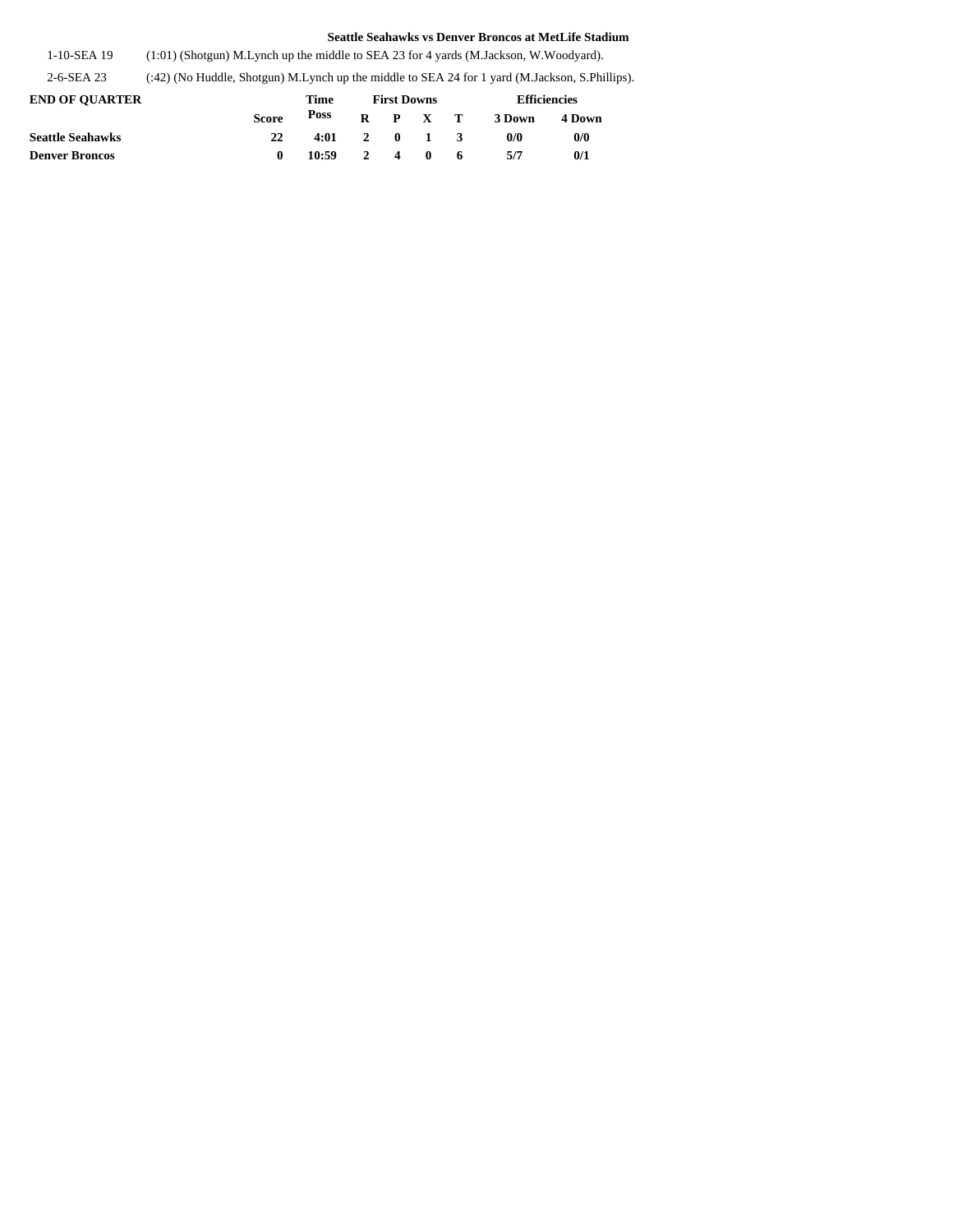1-10-SEA 19 (1:01) (Shotgun) M.Lynch up the middle to SEA 23 for 4 yards (M.Jackson, W.Woodyard).

2-6-SEA 23 (:42) (No Huddle, Shotgun) M.Lynch up the middle to SEA 24 for 1 yard (M.Jackson, S.Phillips).

| <b>END OF OUARTER</b>   |              | Time  | <b>First Downs</b> |  |                 |  | Efficiencies |        |  |  |
|-------------------------|--------------|-------|--------------------|--|-----------------|--|--------------|--------|--|--|
|                         | <b>Score</b> | Poss  |                    |  | $R$ $P$ $X$ $T$ |  | 3 Down       | 4 Down |  |  |
| <b>Seattle Seahawks</b> |              | 4:01  |                    |  | 2 0 1 3         |  | 0/0          | 0/0    |  |  |
| <b>Denver Broncos</b>   |              | 10:59 |                    |  | 2 4 0 6         |  | 5/7          | 0/1    |  |  |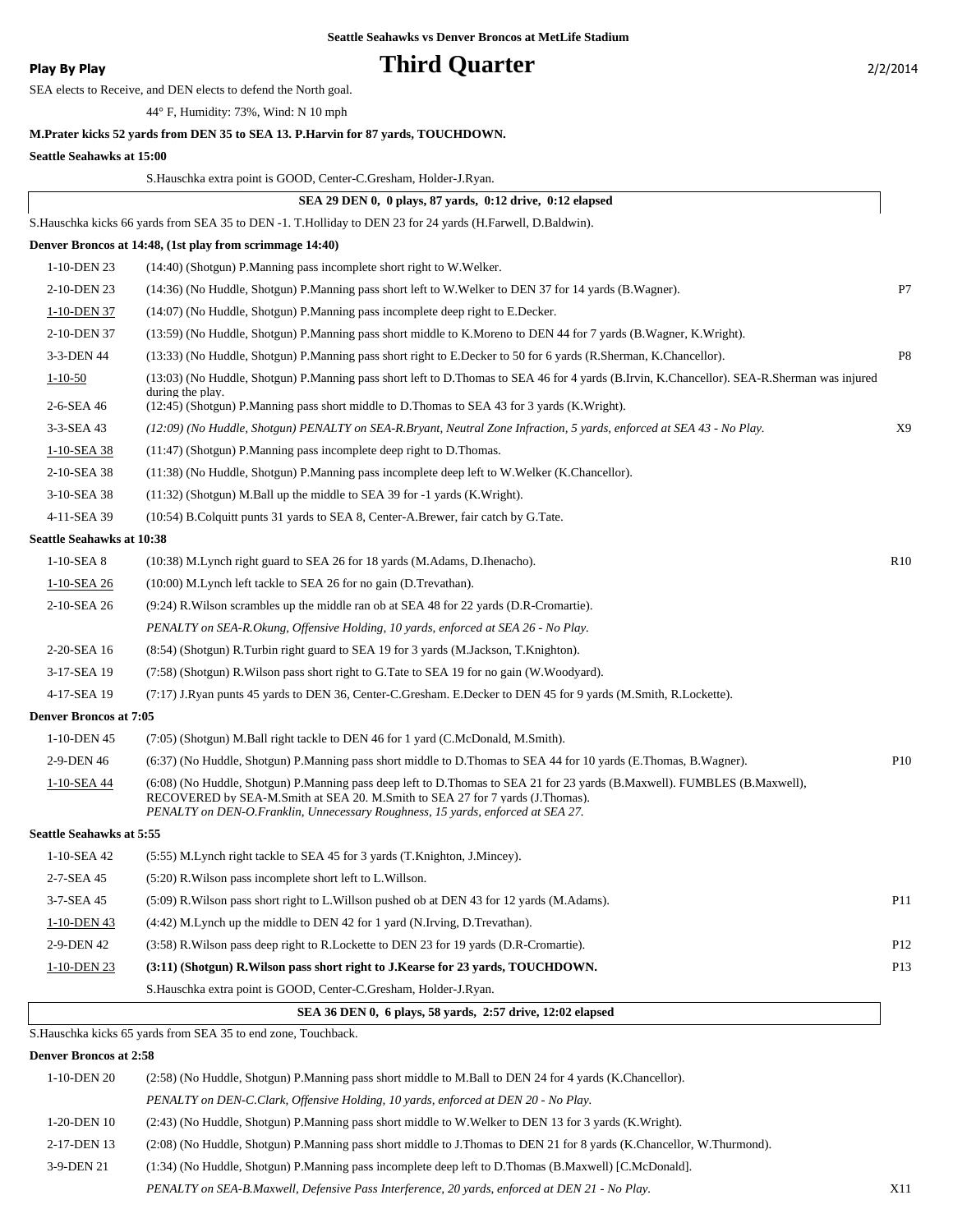### **Play By Play Play Play Play By Play Play By Play Play By Play Play By Play Play Play Play Play Play Play Play Play Play Play Play Play Play Play Play Play Play Play Play**

SEA elects to Receive, and DEN elects to defend the North goal.

44° F, Humidity: 73%, Wind: N 10 mph

### **M.Prater kicks 52 yards from DEN 35 to SEA 13. P.Harvin for 87 yards, TOUCHDOWN.**

#### **Seattle Seahawks at 15:00**

|                                  | S. Hauschka extra point is GOOD, Center-C. Gresham, Holder-J. Ryan.                                                                                                                                                                                                                           |                 |
|----------------------------------|-----------------------------------------------------------------------------------------------------------------------------------------------------------------------------------------------------------------------------------------------------------------------------------------------|-----------------|
|                                  | SEA 29 DEN 0, 0 plays, 87 vards, 0:12 drive, 0:12 elapsed                                                                                                                                                                                                                                     |                 |
|                                  | S. Hauschka kicks 66 yards from SEA 35 to DEN -1. T. Holliday to DEN 23 for 24 yards (H. Farwell, D. Baldwin).                                                                                                                                                                                |                 |
|                                  | Denver Broncos at 14:48, (1st play from scrimmage 14:40)                                                                                                                                                                                                                                      |                 |
| 1-10-DEN 23                      | (14:40) (Shotgun) P.Manning pass incomplete short right to W.Welker.                                                                                                                                                                                                                          |                 |
| 2-10-DEN 23                      | (14:36) (No Huddle, Shotgun) P.Manning pass short left to W.Welker to DEN 37 for 14 yards (B.Wagner).                                                                                                                                                                                         | P7              |
| 1-10-DEN 37                      | (14:07) (No Huddle, Shotgun) P.Manning pass incomplete deep right to E.Decker.                                                                                                                                                                                                                |                 |
| 2-10-DEN 37                      | (13:59) (No Huddle, Shotgun) P.Manning pass short middle to K.Moreno to DEN 44 for 7 yards (B.Wagner, K.Wright).                                                                                                                                                                              |                 |
| 3-3-DEN 44                       | (13:33) (No Huddle, Shotgun) P.Manning pass short right to E.Decker to 50 for 6 yards (R.Sherman, K.Chancellor).                                                                                                                                                                              | P <sub>8</sub>  |
| $1 - 10 - 50$                    | (13:03) (No Huddle, Shotgun) P.Manning pass short left to D.Thomas to SEA 46 for 4 yards (B.Irvin, K.Chancellor). SEA-R.Sherman was injured                                                                                                                                                   |                 |
| 2-6-SEA 46                       | during the play.<br>(12:45) (Shotgun) P. Manning pass short middle to D. Thomas to SEA 43 for 3 yards (K. Wright).                                                                                                                                                                            |                 |
| 3-3-SEA 43                       | (12:09) (No Huddle, Shotgun) PENALTY on SEA-R.Bryant, Neutral Zone Infraction, 5 yards, enforced at SEA 43 - No Play.                                                                                                                                                                         | X <sub>9</sub>  |
| 1-10-SEA 38                      | $(11:47)$ (Shotgun) P. Manning pass incomplete deep right to D. Thomas.                                                                                                                                                                                                                       |                 |
| 2-10-SEA 38                      | (11:38) (No Huddle, Shotgun) P.Manning pass incomplete deep left to W.Welker (K.Chancellor).                                                                                                                                                                                                  |                 |
| 3-10-SEA 38                      | (11:32) (Shotgun) M.Ball up the middle to SEA 39 for -1 yards (K.Wright).                                                                                                                                                                                                                     |                 |
| 4-11-SEA 39                      | (10:54) B. Colquitt punts 31 yards to SEA 8, Center-A. Brewer, fair catch by G. Tate.                                                                                                                                                                                                         |                 |
| <b>Seattle Seahawks at 10:38</b> |                                                                                                                                                                                                                                                                                               |                 |
| $1-10-SEA$ 8                     | (10:38) M. Lynch right guard to SEA 26 for 18 yards (M. Adams, D. Ihenacho).                                                                                                                                                                                                                  | R10             |
| 1-10-SEA 26                      | (10:00) M. Lynch left tackle to SEA 26 for no gain (D. Trevathan).                                                                                                                                                                                                                            |                 |
| 2-10-SEA 26                      | $(9:24)$ R. Wilson scrambles up the middle ran ob at SEA 48 for 22 yards (D. R-Cromartie).                                                                                                                                                                                                    |                 |
|                                  | PENALTY on SEA-R.Okung, Offensive Holding, 10 yards, enforced at SEA 26 - No Play.                                                                                                                                                                                                            |                 |
| 2-20-SEA 16                      | (8.54) (Shotgun) R.Turbin right guard to SEA 19 for 3 yards (M.Jackson, T.Knighton).                                                                                                                                                                                                          |                 |
| 3-17-SEA 19                      | (7:58) (Shotgun) R. Wilson pass short right to G. Tate to SEA 19 for no gain (W. Woodyard).                                                                                                                                                                                                   |                 |
| 4-17-SEA 19                      | (7:17) J.Ryan punts 45 yards to DEN 36, Center-C.Gresham. E.Decker to DEN 45 for 9 yards (M.Smith, R.Lockette).                                                                                                                                                                               |                 |
| <b>Denver Broncos at 7:05</b>    |                                                                                                                                                                                                                                                                                               |                 |
| 1-10-DEN 45                      | (7:05) (Shotgun) M.Ball right tackle to DEN 46 for 1 yard (C.McDonald, M.Smith).                                                                                                                                                                                                              |                 |
| 2-9-DEN 46                       | (6:37) (No Huddle, Shotgun) P.Manning pass short middle to D.Thomas to SEA 44 for 10 yards (E.Thomas, B.Wagner).                                                                                                                                                                              | P <sub>10</sub> |
| 1-10-SEA 44                      | (6:08) (No Huddle, Shotgun) P.Manning pass deep left to D.Thomas to SEA 21 for 23 yards (B.Maxwell). FUMBLES (B.Maxwell),<br>RECOVERED by SEA-M.Smith at SEA 20. M.Smith to SEA 27 for 7 vards (J.Thomas).<br>PENALTY on DEN-O.Franklin, Unnecessary Roughness, 15 yards, enforced at SEA 27. |                 |
| <b>Seattle Seahawks at 5:55</b>  |                                                                                                                                                                                                                                                                                               |                 |
| 1-10-SEA 42                      | (5:55) M. Lynch right tackle to SEA 45 for 3 yards (T. Knighton, J. Mincey).                                                                                                                                                                                                                  |                 |
| 2-7-SEA 45                       | (5:20) R. Wilson pass incomplete short left to L. Willson.                                                                                                                                                                                                                                    |                 |
| 3-7-SEA 45                       | (5:09) R. Wilson pass short right to L. Willson pushed ob at DEN 43 for 12 yards (M. Adams).                                                                                                                                                                                                  | P <sub>11</sub> |
| $1-10-DEN$ 43                    | $(4.42)$ M. Lynch up the middle to DEN 42 for 1 yard (N. Irving, D. Trevathan).                                                                                                                                                                                                               |                 |
| 2-9-DEN 42                       | (3.58) R. Wilson pass deep right to R. Lockette to DEN 23 for 19 yards (D. R-Cromartie).                                                                                                                                                                                                      | P <sub>12</sub> |
| $1-10-DEN$ 23                    | (3:11) (Shotgun) R. Wilson pass short right to J. Kearse for 23 yards, TOUCHDOWN.                                                                                                                                                                                                             | P <sub>13</sub> |
|                                  | S. Hauschka extra point is GOOD, Center-C. Gresham, Holder-J. Ryan.                                                                                                                                                                                                                           |                 |
|                                  | SEA 36 DEN 0, 6 plays, 58 yards, 2:57 drive, 12:02 elapsed                                                                                                                                                                                                                                    |                 |
|                                  | S. Hauschka kicks 65 yards from SEA 35 to end zone, Touchback.                                                                                                                                                                                                                                |                 |
| <b>Denver Broncos at 2:58</b>    |                                                                                                                                                                                                                                                                                               |                 |
| 1-10-DEN 20                      | (2:58) (No Huddle, Shotgun) P.Manning pass short middle to M.Ball to DEN 24 for 4 yards (K.Chancellor).                                                                                                                                                                                       |                 |
|                                  | PENALTY on DEN-C.Clark, Offensive Holding, 10 yards, enforced at DEN 20 - No Play.                                                                                                                                                                                                            |                 |
| 1-20-DEN 10                      | (2:43) (No Huddle, Shotgun) P.Manning pass short middle to W.Welker to DEN 13 for 3 yards (K.Wright).                                                                                                                                                                                         |                 |

2-17-DEN 13 (2:08) (No Huddle, Shotgun) P.Manning pass short middle to J.Thomas to DEN 21 for 8 yards (K.Chancellor, W.Thurmond).

3-9-DEN 21 (1:34) (No Huddle, Shotgun) P.Manning pass incomplete deep left to D.Thomas (B.Maxwell) [C.McDonald].

*PENALTY on SEA-B.Maxwell, Defensive Pass Interference, 20 yards, enforced at DEN 21 - No Play.* X11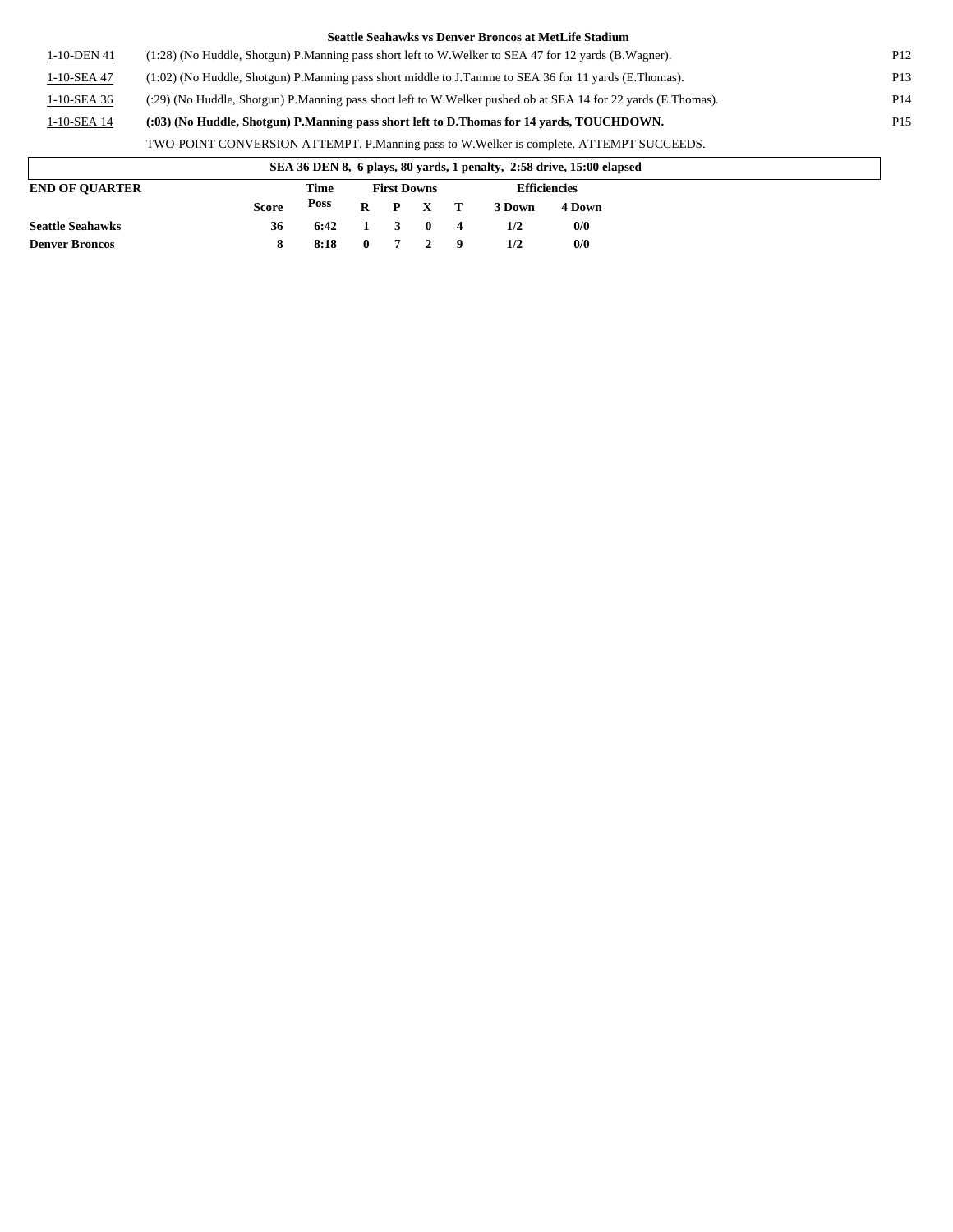|             | Seattle Seahawks vs Denver Broncos at MetLife Stadium                                                         |                 |
|-------------|---------------------------------------------------------------------------------------------------------------|-----------------|
| 1-10-DEN 41 | (1:28) (No Huddle, Shotgun) P.Manning pass short left to W.Welker to SEA 47 for 12 yards (B.Wagner).          | P <sub>12</sub> |
| 1-10-SEA 47 | (1:02) (No Huddle, Shotgun) P. Manning pass short middle to J. Tamme to SEA 36 for 11 yards (E. Thomas).      | P <sub>13</sub> |
| 1-10-SEA 36 | (:29) (No Huddle, Shotgun) P.Manning pass short left to W.Welker pushed ob at SEA 14 for 22 yards (E.Thomas). | P <sub>14</sub> |
| 1-10-SEA 14 | (:03) (No Huddle, Shotgun) P.Manning pass short left to D.Thomas for 14 vards, TOUCHDOWN.                     | P <sub>15</sub> |
|             | TWO-POINT CONVERSION ATTEMPT. P.Manning pass to W.Welker is complete. ATTEMPT SUCCEEDS.                       |                 |
|             | SEA 36 DEN 8, 6 plays, 80 yards, 1 penalty, 2:58 drive, 15:00 elapsed                                         |                 |

|                         |              |                 |                    |                     | .   |        |                     |  |
|-------------------------|--------------|-----------------|--------------------|---------------------|-----|--------|---------------------|--|
| <b>END OF OUARTER</b>   |              | Time            | <b>First Downs</b> |                     |     |        | <b>Efficiencies</b> |  |
|                         | <b>Score</b> | Poss            |                    | $R$ $P$ $X$ $T$     |     | 3 Down | 4 Down              |  |
| <b>Seattle Seahawks</b> | 36           | $6:42 \qquad 1$ |                    | 3 0 4               |     | 1/2    | 0/0                 |  |
| <b>Denver Broncos</b>   |              | 8:18            |                    | $0 \quad 7 \quad 2$ | - 9 | 1/2    | 0/0                 |  |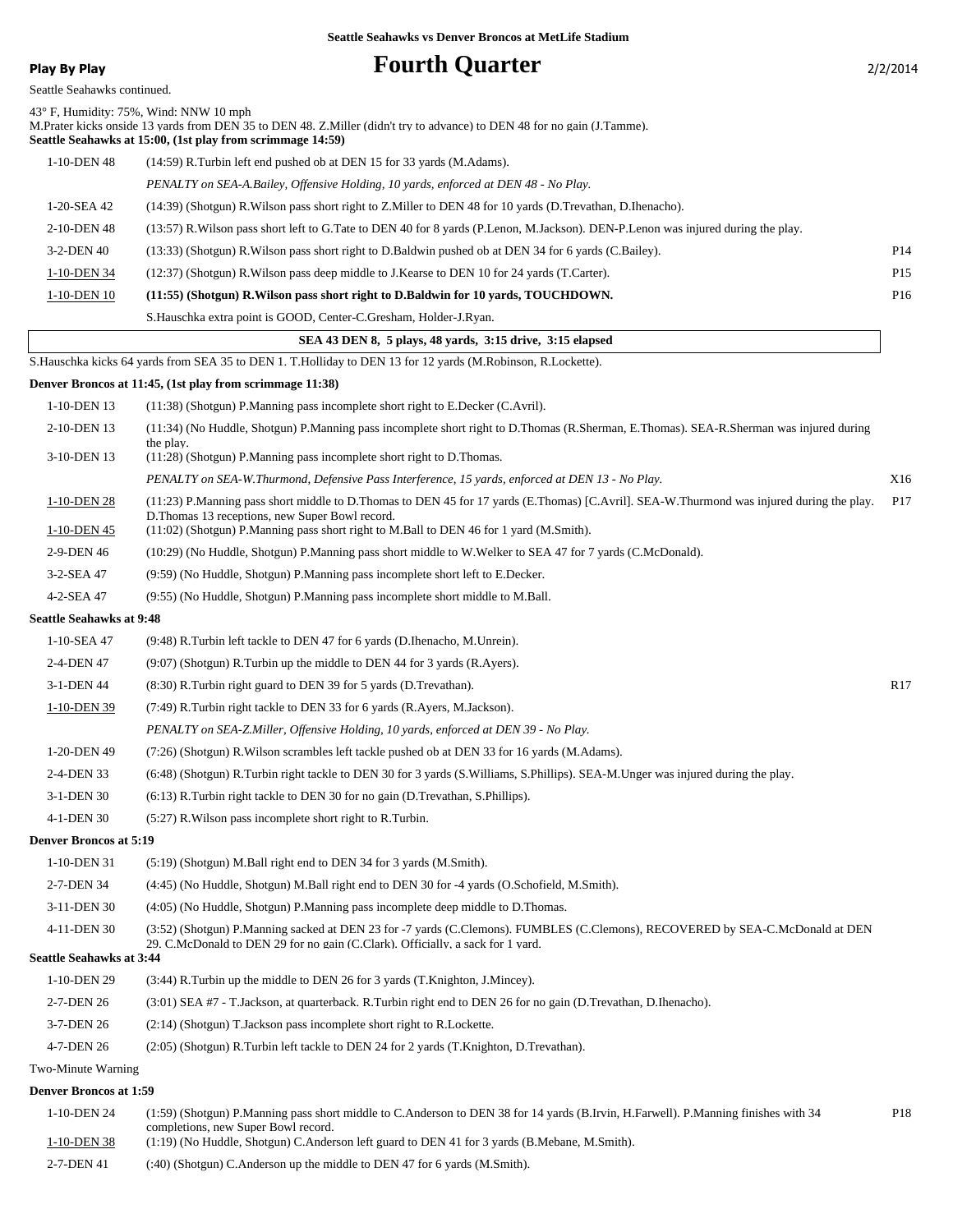**Play By Play Play Play Play Play By Play Play By Play Play By Play Play Play Play Play Play Play Play Play Play Play Play Play Play Play Play Play Play Play Play Play**

| Seattle Seahawks continued.     |                                                                                                                                                                                                                                                                           |                 |
|---------------------------------|---------------------------------------------------------------------------------------------------------------------------------------------------------------------------------------------------------------------------------------------------------------------------|-----------------|
|                                 | 43° F, Humidity: 75%, Wind: NNW 10 mph<br>M. Prater kicks onside 13 yards from DEN 35 to DEN 48. Z. Miller (didn't try to advance) to DEN 48 for no gain (J. Tamme).<br>Seattle Seahawks at 15:00, (1st play from scrimmage 14:59)                                        |                 |
| 1-10-DEN 48                     | (14:59) R.Turbin left end pushed ob at DEN 15 for 33 yards (M.Adams).                                                                                                                                                                                                     |                 |
|                                 | PENALTY on SEA-A.Bailey, Offensive Holding, 10 yards, enforced at DEN 48 - No Play.                                                                                                                                                                                       |                 |
| 1-20-SEA 42                     | (14:39) (Shotgun) R. Wilson pass short right to Z. Miller to DEN 48 for 10 yards (D. Trevathan, D. Ihenacho).                                                                                                                                                             |                 |
| 2-10-DEN 48                     | (13:57) R. Wilson pass short left to G. Tate to DEN 40 for 8 yards (P. Lenon, M. Jackson). DEN-P. Lenon was injured during the play.                                                                                                                                      |                 |
| 3-2-DEN 40                      | (13:33) (Shotgun) R. Wilson pass short right to D. Baldwin pushed ob at DEN 34 for 6 yards (C. Bailey).                                                                                                                                                                   | P <sub>14</sub> |
| 1-10-DEN 34                     | (12:37) (Shotgun) R. Wilson pass deep middle to J. Kearse to DEN 10 for 24 yards (T. Carter).                                                                                                                                                                             | P <sub>15</sub> |
| 1-10-DEN 10                     | (11:55) (Shotgun) R. Wilson pass short right to D. Baldwin for 10 yards, TOUCHDOWN.                                                                                                                                                                                       | P16             |
|                                 | S. Hauschka extra point is GOOD, Center-C. Gresham, Holder-J. Ryan.                                                                                                                                                                                                       |                 |
|                                 | SEA 43 DEN 8, 5 plays, 48 yards, 3:15 drive, 3:15 elapsed                                                                                                                                                                                                                 |                 |
|                                 | S. Hauschka kicks 64 yards from SEA 35 to DEN 1. T. Holliday to DEN 13 for 12 yards (M. Robinson, R. Lockette).                                                                                                                                                           |                 |
|                                 | Denver Broncos at 11:45, (1st play from scrimmage 11:38)                                                                                                                                                                                                                  |                 |
| 1-10-DEN 13                     | (11:38) (Shotgun) P.Manning pass incomplete short right to E.Decker (C.Avril).                                                                                                                                                                                            |                 |
| 2-10-DEN 13                     | (11:34) (No Huddle, Shotgun) P.Manning pass incomplete short right to D.Thomas (R.Sherman, E.Thomas). SEA-R.Sherman was injured during                                                                                                                                    |                 |
| 3-10-DEN 13                     | the play.<br>$(11:28)$ (Shotgun) P. Manning pass incomplete short right to D. Thomas.                                                                                                                                                                                     |                 |
|                                 | PENALTY on SEA-W.Thurmond, Defensive Pass Interference, 15 yards, enforced at DEN 13 - No Play.                                                                                                                                                                           | X16             |
| 1-10-DEN 28                     | (11:23) P.Manning pass short middle to D.Thomas to DEN 45 for 17 yards (E.Thomas) [C.Avril]. SEA-W.Thurmond was injured during the play.<br>D. Thomas 13 receptions, new Super Bowl record.                                                                               | P17             |
| 1-10-DEN 45                     | $(11:02)$ (Shotgun) P.Manning pass short right to M.Ball to DEN 46 for 1 yard (M.Smith).                                                                                                                                                                                  |                 |
| 2-9-DEN 46                      | (10:29) (No Huddle, Shotgun) P.Manning pass short middle to W.Welker to SEA 47 for 7 yards (C.McDonald).                                                                                                                                                                  |                 |
| 3-2-SEA 47                      | (9:59) (No Huddle, Shotgun) P.Manning pass incomplete short left to E.Decker.                                                                                                                                                                                             |                 |
| 4-2-SEA 47                      | (9:55) (No Huddle, Shotgun) P.Manning pass incomplete short middle to M.Ball.                                                                                                                                                                                             |                 |
| <b>Seattle Seahawks at 9:48</b> |                                                                                                                                                                                                                                                                           |                 |
| 1-10-SEA 47                     | (9:48) R.Turbin left tackle to DEN 47 for 6 yards (D.Ihenacho, M.Unrein).                                                                                                                                                                                                 |                 |
| 2-4-DEN 47                      | (9:07) (Shotgun) R.Turbin up the middle to DEN 44 for 3 yards (R.Ayers).                                                                                                                                                                                                  |                 |
| 3-1-DEN 44                      | (8:30) R. Turbin right guard to DEN 39 for 5 yards (D. Trevathan).                                                                                                                                                                                                        | R <sub>17</sub> |
| 1-10-DEN 39                     | (7:49) R. Turbin right tackle to DEN 33 for 6 yards (R. Ayers, M. Jackson).                                                                                                                                                                                               |                 |
|                                 | PENALTY on SEA-Z.Miller, Offensive Holding, 10 yards, enforced at DEN 39 - No Play.                                                                                                                                                                                       |                 |
| 1-20-DEN 49                     | (7:26) (Shotgun) R. Wilson scrambles left tackle pushed ob at DEN 33 for 16 yards (M. Adams).                                                                                                                                                                             |                 |
| 2-4-DEN 33                      | (6:48) (Shotgun) R.Turbin right tackle to DEN 30 for 3 yards (S.Williams, S.Phillips). SEA-M.Unger was injured during the play.                                                                                                                                           |                 |
| 3-1-DEN 30                      | (6:13) R. Turbin right tackle to DEN 30 for no gain (D. Trevathan, S. Phillips).                                                                                                                                                                                          |                 |
| 4-1-DEN 30                      | (5:27) R. Wilson pass incomplete short right to R. Turbin.                                                                                                                                                                                                                |                 |
| <b>Denver Broncos at 5:19</b>   |                                                                                                                                                                                                                                                                           |                 |
| 1-10-DEN 31                     | (5:19) (Shotgun) M.Ball right end to DEN 34 for 3 yards (M.Smith).                                                                                                                                                                                                        |                 |
| 2-7-DEN 34                      | (4:45) (No Huddle, Shotgun) M.Ball right end to DEN 30 for -4 yards (O.Schofield, M.Smith).                                                                                                                                                                               |                 |
| 3-11-DEN 30                     | (4:05) (No Huddle, Shotgun) P.Manning pass incomplete deep middle to D.Thomas.                                                                                                                                                                                            |                 |
| 4-11-DEN 30                     | (3:52) (Shotgun) P.Manning sacked at DEN 23 for -7 yards (C.Clemons). FUMBLES (C.Clemons), RECOVERED by SEA-C.McDonald at DEN<br>29. C.McDonald to DEN 29 for no gain (C.Clark). Officially, a sack for 1 yard.                                                           |                 |
| <b>Seattle Seahawks at 3:44</b> |                                                                                                                                                                                                                                                                           |                 |
| 1-10-DEN 29                     | (3:44) R. Turbin up the middle to DEN 26 for 3 yards (T. Knighton, J. Mincey).                                                                                                                                                                                            |                 |
| 2-7-DEN 26                      | (3:01) SEA #7 - T.Jackson, at quarterback. R.Turbin right end to DEN 26 for no gain (D.Trevathan, D.Ihenacho).                                                                                                                                                            |                 |
| 3-7-DEN 26                      | (2:14) (Shotgun) T. Jackson pass incomplete short right to R. Lockette.                                                                                                                                                                                                   |                 |
| 4-7-DEN 26                      | (2:05) (Shotgun) R.Turbin left tackle to DEN 24 for 2 yards (T.Knighton, D.Trevathan).                                                                                                                                                                                    |                 |
| Two-Minute Warning              |                                                                                                                                                                                                                                                                           |                 |
| <b>Denver Broncos at 1:59</b>   |                                                                                                                                                                                                                                                                           |                 |
| 1-10-DEN 24<br>1-10-DEN 38      | (1:59) (Shotgun) P.Manning pass short middle to C.Anderson to DEN 38 for 14 yards (B.Irvin, H.Farwell). P.Manning finishes with 34<br>completions, new Super Bowl record.<br>(1:19) (No Huddle, Shotgun) C.Anderson left guard to DEN 41 for 3 yards (B.Mebane, M.Smith). | P <sub>18</sub> |

2-7-DEN 41 (:40) (Shotgun) C.Anderson up the middle to DEN 47 for 6 yards (M.Smith).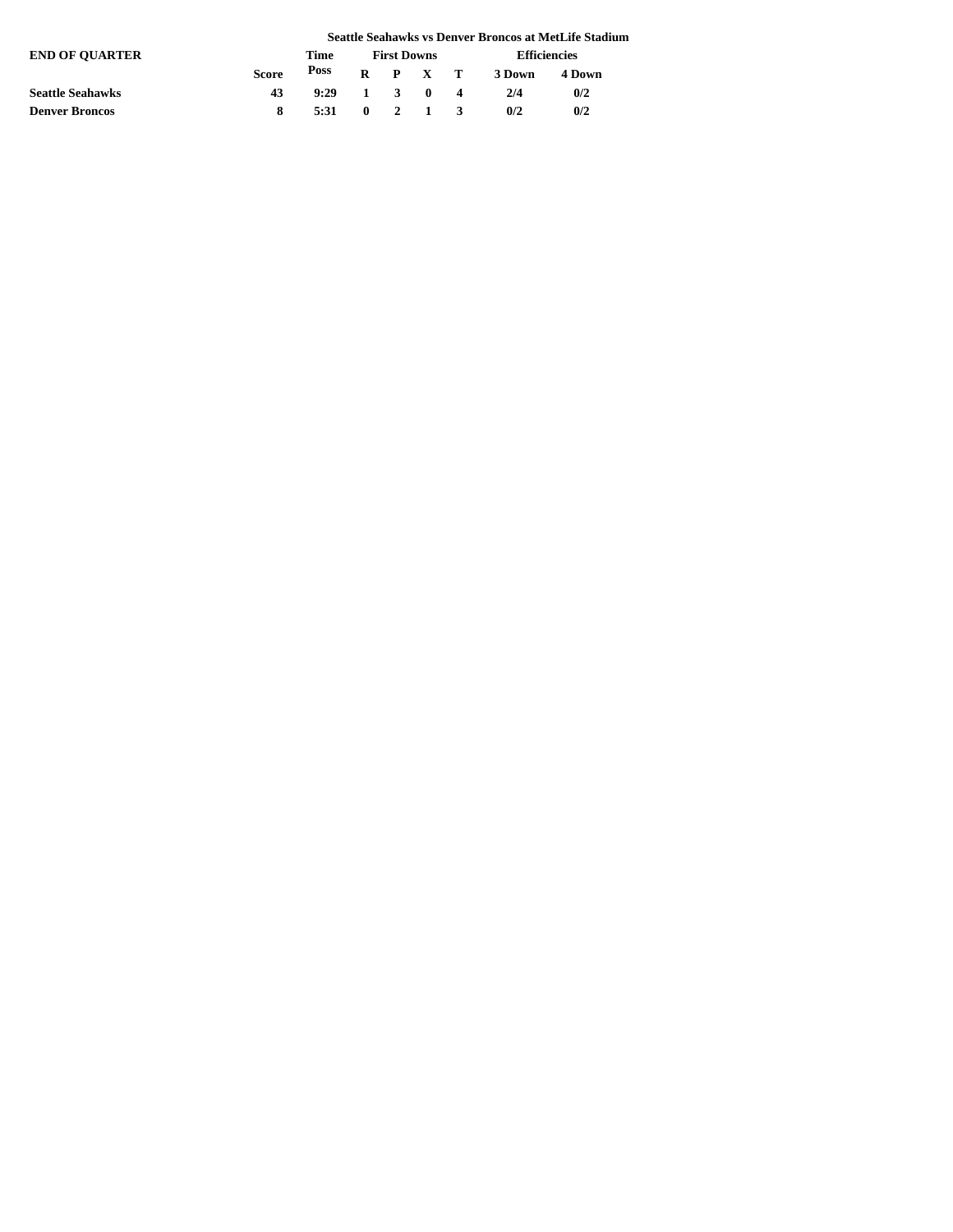|                         |              |              |                    |  |                 |                        |                     | Seattle Seahawks vs Denver Broncos at MetLife Stadium |  |
|-------------------------|--------------|--------------|--------------------|--|-----------------|------------------------|---------------------|-------------------------------------------------------|--|
| <b>END OF OUARTER</b>   |              | Time         | <b>First Downs</b> |  |                 |                        | <b>Efficiencies</b> |                                                       |  |
|                         | <b>Score</b> | Poss         |                    |  |                 |                        | R P X T 3Down       | 4 Down                                                |  |
| <b>Seattle Seahawks</b> | 43           | $9:29$ 1 3 0 |                    |  |                 | $\boldsymbol{\Lambda}$ | 2/4                 | 0/2                                                   |  |
| <b>Denver Broncos</b>   |              | 5:31         |                    |  | $0 \t2 \t1 \t3$ |                        | 0/2                 | 0/2                                                   |  |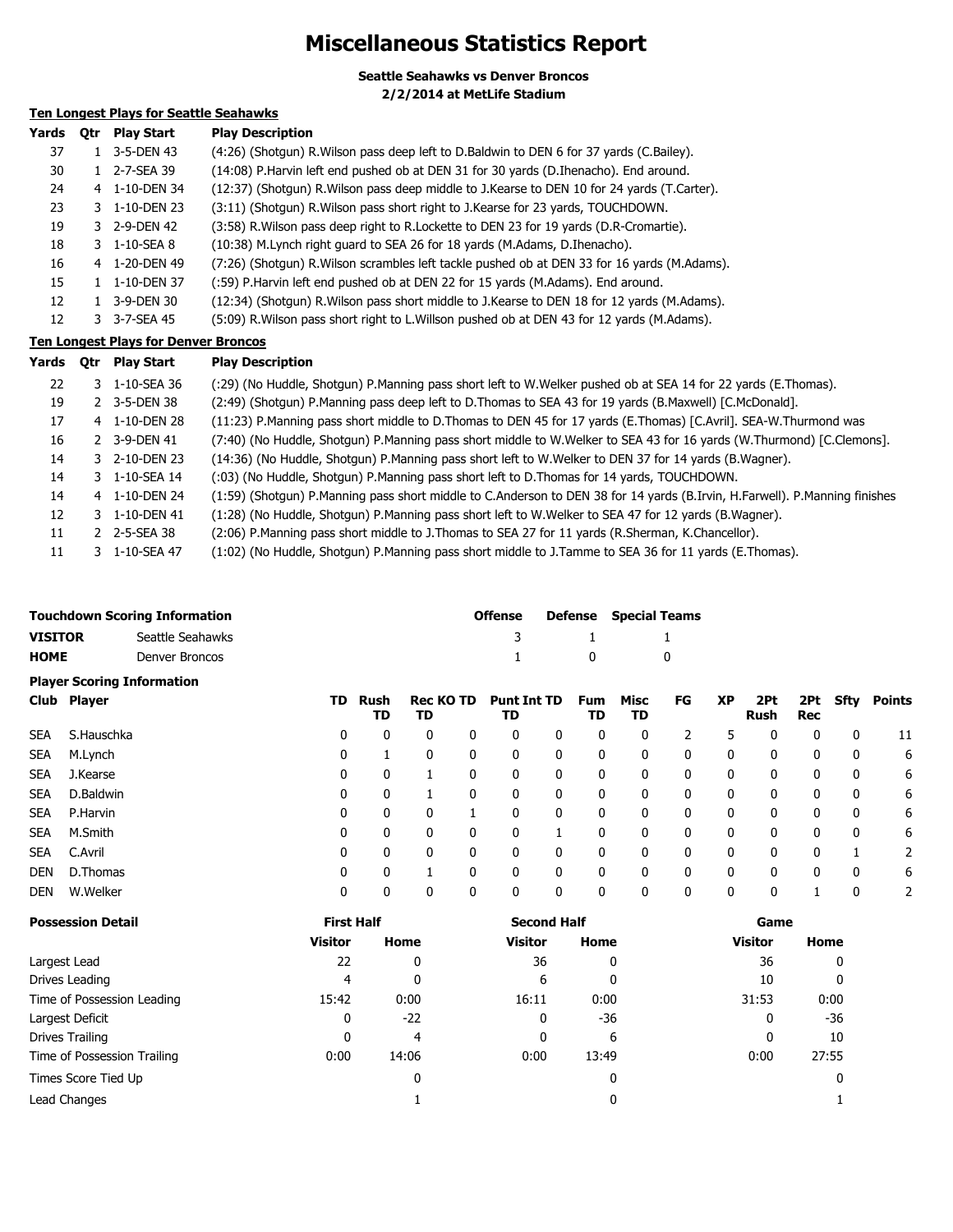# **Miscellaneous Statistics Report**

**Seattle Seahawks vs Denver Broncos 2/2/2014 at MetLife Stadium**

### **Ten Longest Plays for Seattle Seahawks**

| Yards | <b>Otr</b> | <b>Play Start</b> | <b>Play Description</b>                                                                       |
|-------|------------|-------------------|-----------------------------------------------------------------------------------------------|
| 37    |            | 3-5-DEN 43        | (4:26) (Shotgun) R. Wilson pass deep left to D. Baldwin to DEN 6 for 37 yards (C. Bailey).    |
| 30    |            | 2-7-SEA 39        | (14:08) P.Harvin left end pushed ob at DEN 31 for 30 yards (D.Ihenacho). End around.          |
| 24    |            | 4 1-10-DEN 34     | (12:37) (Shotqun) R. Wilson pass deep middle to J. Kearse to DEN 10 for 24 yards (T. Carter). |
| 23    |            | 3 1-10-DEN 23     | (3:11) (Shotgun) R. Wilson pass short right to J. Kearse for 23 yards, TOUCHDOWN.             |
| 19    |            | 3 2-9-DEN 42      | (3:58) R. Wilson pass deep right to R. Lockette to DEN 23 for 19 yards (D. R-Cromartie).      |
| 18    |            | 3 1-10-SEA 8      | (10:38) M.Lynch right guard to SEA 26 for 18 yards (M.Adams, D.Ihenacho).                     |
| 16    |            | 4 1-20-DEN 49     | (7:26) (Shotgun) R. Wilson scrambles left tackle pushed ob at DEN 33 for 16 yards (M. Adams). |
| 15    |            | 1-10-DEN 37       | (:59) P.Harvin left end pushed ob at DEN 22 for 15 yards (M.Adams). End around.               |
| 12    |            | 3-9-DEN 30        | (12:34) (Shotgun) R. Wilson pass short middle to J. Kearse to DEN 18 for 12 yards (M. Adams). |
| 12    |            | 3-7-SEA 45        | (5:09) R. Wilson pass short right to L. Willson pushed ob at DEN 43 for 12 yards (M. Adams).  |

### **Ten Longest Plays for Denver Broncos**

| Yards | 0tr | <b>Play Start</b> | <b>Play Description</b>                                                                                                    |
|-------|-----|-------------------|----------------------------------------------------------------------------------------------------------------------------|
| 22    |     | 3 1-10-SEA 36     | (:29) (No Huddle, Shotgun) P.Manning pass short left to W.Welker pushed ob at SEA 14 for 22 yards (E.Thomas).              |
| 19    |     | 2 3-5-DEN 38      | (2:49) (Shotgun) P.Manning pass deep left to D.Thomas to SEA 43 for 19 yards (B.Maxwell) [C.McDonald].                     |
| 17    |     | 4 1-10-DEN 28     | (11:23) P.Manning pass short middle to D.Thomas to DEN 45 for 17 yards (E.Thomas) [C.Avril]. SEA-W.Thurmond was            |
| 16    |     | 2 3-9-DEN 41      | (7:40) (No Huddle, Shotgun) P.Manning pass short middle to W.Welker to SEA 43 for 16 yards (W.Thurmond) [C.Clemons].       |
| 14    |     | 3 2-10-DEN 23     | (14:36) (No Huddle, Shotgun) P.Manning pass short left to W.Welker to DEN 37 for 14 yards (B.Wagner).                      |
| 14    |     | 3 1-10-SEA 14     | (:03) (No Huddle, Shotgun) P.Manning pass short left to D.Thomas for 14 yards, TOUCHDOWN.                                  |
| 14    |     | 4 1-10-DEN 24     | (1:59) (Shotgun) P.Manning pass short middle to C.Anderson to DEN 38 for 14 yards (B.Irvin, H.Farwell). P.Manning finishes |
| 12    |     | 3 1-10-DEN 41     | (1:28) (No Huddle, Shotgun) P.Manning pass short left to W.Welker to SEA 47 for 12 yards (B.Wagner).                       |
| 11    |     | 2 2-5-SEA 38      | (2:06) P.Manning pass short middle to J.Thomas to SEA 27 for 11 yards (R.Sherman, K.Chancellor).                           |
| 11    |     | 3 1-10-SEA 47     | (1:02) (No Huddle, Shotgun) P.Manning pass short middle to J.Tamme to SEA 36 for 11 yards (E.Thomas).                      |

|             | <b>Touchdown Scoring Information</b> |    |             |                                  | <b>Offense</b> | <b>Defense</b> Special Teams |             |           |           |                  |          |        |
|-------------|--------------------------------------|----|-------------|----------------------------------|----------------|------------------------------|-------------|-----------|-----------|------------------|----------|--------|
| VISITOR     | Seattle Seahawks                     |    |             |                                  |                |                              |             |           |           |                  |          |        |
| <b>HOME</b> | Denver Broncos                       |    |             |                                  | $\mathbf{1}$   | $\overline{0}$               |             |           |           |                  |          |        |
|             | <b>Player Scoring Information</b>    |    |             |                                  |                |                              |             |           |           |                  |          |        |
| Club Player |                                      | TD | Rush<br>TD. | Rec KO TD Punt Int TD Fum<br>TR. | TD.            | TD.                          | Misc<br>TD. | <b>FG</b> | <b>XP</b> | 2Pt<br>Bush Basi | 2Pt Sfty | Points |

|            |            |   | TD | TD |   | TD           |   | TD | TD |   |              | Rush | Rec          |   |    |
|------------|------------|---|----|----|---|--------------|---|----|----|---|--------------|------|--------------|---|----|
| <b>SEA</b> | S.Hauschka | 0 | 0  | 0  | 0 | 0            | 0 | 0  | 0  |   | 5            | 0    | 0            | 0 | 11 |
| <b>SEA</b> | M.Lynch    | 0 |    | 0  | 0 | 0            | 0 | 0  | 0  | 0 | 0            | 0    | 0            | 0 | 6  |
| <b>SEA</b> | J.Kearse   | 0 | 0  |    |   | 0            | 0 | 0  | 0  | 0 | 0            | 0    | 0            | 0 | 6  |
| <b>SEA</b> | D.Baldwin  | 0 |    |    |   | 0            | 0 | 0  | 0  | 0 | 0            | 0    | 0            | 0 | 6  |
| <b>SEA</b> | P.Harvin   | 0 | 0  | 0  |   | 0            | 0 | 0  | 0  | 0 | 0            | 0    | 0            | 0 | 6  |
| <b>SEA</b> | M.Smith    | 0 | 0  | 0  | 0 | $\mathbf{0}$ |   | 0  | 0  | 0 | $\mathbf{0}$ | 0    | $\mathbf{0}$ | 0 | 6  |
| <b>SEA</b> | C.Avril    | 0 | 0  | 0  | 0 | 0            | 0 | 0  | 0  | 0 | $\mathbf{0}$ | 0    | $\mathbf{0}$ |   | 2  |
| DEN        | D.Thomas   | 0 | 0  |    |   | 0            | 0 | 0  | 0  | 0 | 0            | 0    | 0            | 0 | 6  |
| DEN        | W.Welker   | 0 | 0  | 0  |   | 0            | 0 | 0  | 0  | 0 | 0            | 0    |              | 0 |    |

| <b>Possession Detail</b>    | <b>First Half</b> |       | <b>Second Half</b> |       | Game           |       |  |
|-----------------------------|-------------------|-------|--------------------|-------|----------------|-------|--|
|                             | <b>Visitor</b>    | Home  | <b>Visitor</b>     | Home  | <b>Visitor</b> | Home  |  |
| Largest Lead                | 22                | 0     | 36                 | 0     | 36             |       |  |
| Drives Leading              | 4                 | 0     | 6                  | 0     | 10             |       |  |
| Time of Possession Leading  | 15:42             | 0:00  | 16:11              | 0:00  | 31:53          | 0:00  |  |
| Largest Deficit             | 0                 | $-22$ | 0                  | -36   | 0              | $-36$ |  |
| Drives Trailing             | 0                 | 4     | 0                  | 6     | 0              | 10    |  |
| Time of Possession Trailing | 0:00              | 14:06 | 0:00               | 13:49 | 0:00           | 27:55 |  |
| Times Score Tied Up         |                   | 0     |                    | 0     |                |       |  |
| Lead Changes                |                   |       |                    | 0     |                |       |  |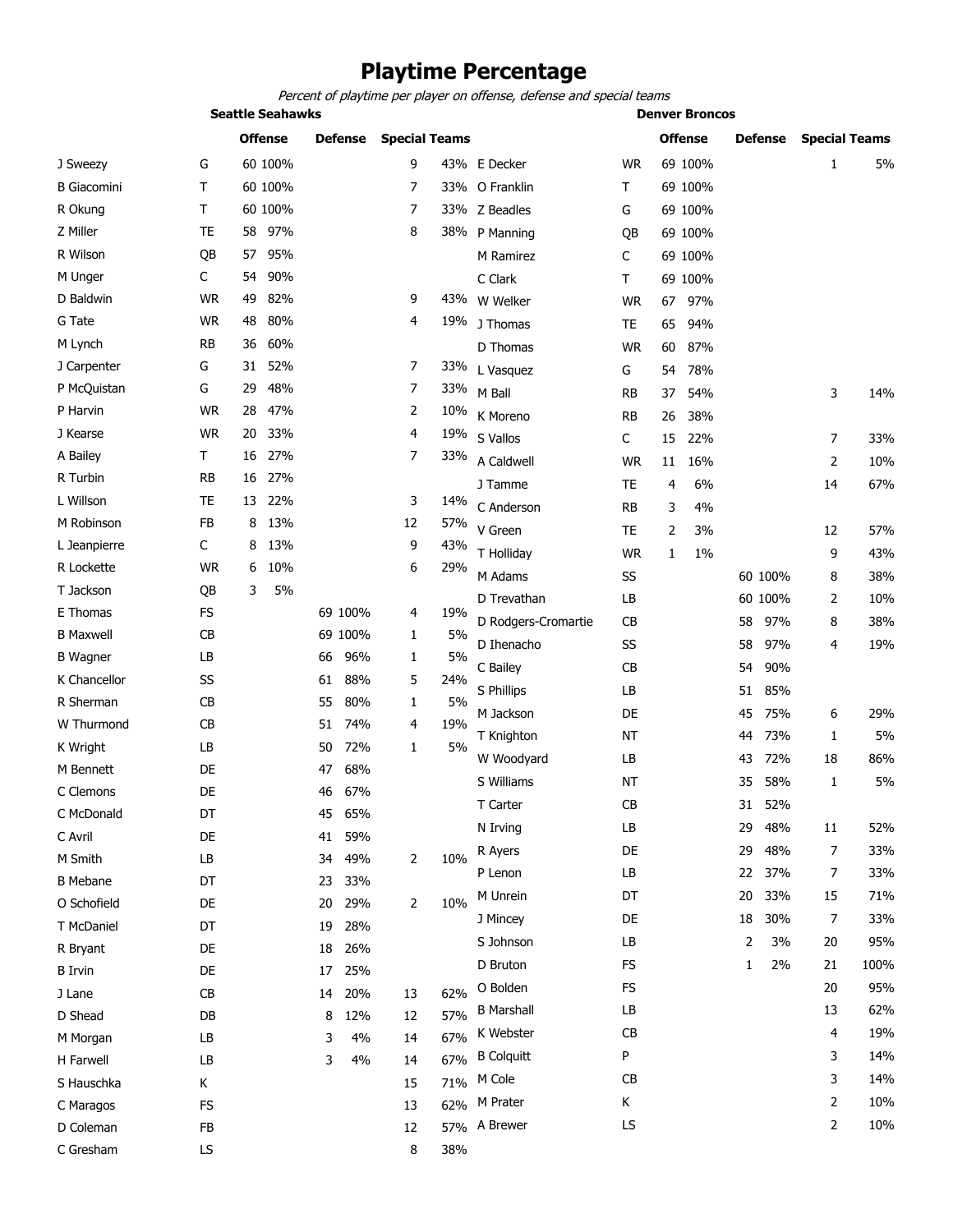# **Playtime Percentage**

*Percent of playtime per player on offense, defense and special teams*

|                    |                | <b>Seattle Seahawks</b> |                |                      |     | <b>Denver Broncos</b> |           |                |         |         |         |                      |      |
|--------------------|----------------|-------------------------|----------------|----------------------|-----|-----------------------|-----------|----------------|---------|---------|---------|----------------------|------|
|                    | <b>Offense</b> |                         | <b>Defense</b> | <b>Special Teams</b> |     |                       |           | <b>Offense</b> |         | Defense |         | <b>Special Teams</b> |      |
| J Sweezy           | G              | 60 100%                 |                | 9                    |     | 43% E Decker          | <b>WR</b> |                | 69 100% |         |         | $\mathbf{1}$         | 5%   |
| <b>B</b> Giacomini | Τ              | 60 100%                 |                | 7                    |     | 33% O Franklin        | T         |                | 69 100% |         |         |                      |      |
| R Okung            | Τ              | 60 100%                 |                | 7                    |     | 33% Z Beadles         | G         |                | 69 100% |         |         |                      |      |
| Z Miller           | <b>TE</b>      | 97%<br>58               |                | 8                    |     | 38% P Manning         | QB        |                | 69 100% |         |         |                      |      |
| R Wilson           | QB             | 95%<br>57               |                |                      |     | M Ramirez             | С         |                | 69 100% |         |         |                      |      |
| M Unger            | C              | 90%<br>54               |                |                      |     | C Clark               | T.        |                | 69 100% |         |         |                      |      |
| D Baldwin          | <b>WR</b>      | 49<br>82%               |                | 9                    |     | 43% W Welker          | <b>WR</b> |                | 67 97%  |         |         |                      |      |
| G Tate             | <b>WR</b>      | 80%<br>48               |                | 4                    |     | 19% J Thomas          | TE        | 65             | 94%     |         |         |                      |      |
| M Lynch            | <b>RB</b>      | 60%<br>36               |                |                      |     | D Thomas              | <b>WR</b> | 60             | 87%     |         |         |                      |      |
| J Carpenter        | G              | 52%<br>31               |                | 7                    | 33% | L Vasquez             | G         | 54             | 78%     |         |         |                      |      |
| P McQuistan        | G              | 48%<br>29               |                | 7                    |     | 33% M Ball            | RB        | 37             | 54%     |         |         | 3                    | 14%  |
| P Harvin           | <b>WR</b>      | 47%<br>28               |                | 2                    | 10% | K Moreno              | <b>RB</b> | 26             | 38%     |         |         |                      |      |
| J Kearse           | <b>WR</b>      | 33%<br>20               |                | 4                    | 19% | S Vallos              | C         | 15             | 22%     |         |         | 7                    | 33%  |
| A Bailey           | T.             | 27%<br>16               |                | $\overline{7}$       | 33% | A Caldwell            | <b>WR</b> | 11             | 16%     |         |         | 2                    | 10%  |
| R Turbin           | <b>RB</b>      | 27%<br>16               |                |                      |     | J Tamme               | <b>TE</b> | $\overline{4}$ | 6%      |         |         | 14                   | 67%  |
| L Willson          | <b>TE</b>      | 22%<br>13               |                | 3                    | 14% | C Anderson            | <b>RB</b> | 3              | 4%      |         |         |                      |      |
| M Robinson         | FB             | 13%<br>8                |                | 12                   | 57% | V Green               | TE        | 2              | 3%      |         |         | 12                   | 57%  |
| L Jeanpierre       | C              | 13%<br>8                |                | 9                    | 43% | T Holliday            | <b>WR</b> | 1              | 1%      |         |         | 9                    | 43%  |
| R Lockette         | <b>WR</b>      | 10%<br>6                |                | 6                    | 29% | M Adams               | SS        |                |         |         | 60 100% | 8                    | 38%  |
| T Jackson          | QB             | 3<br>5%                 |                |                      |     | D Trevathan           | LB        |                |         |         | 60 100% | 2                    | 10%  |
| E Thomas           | FS             |                         | 69 100%        | 4                    | 19% |                       |           |                |         |         |         |                      |      |
| <b>B</b> Maxwell   | CB             |                         | 69 100%        | 1                    | 5%  | D Rodgers-Cromartie   | CВ        |                |         | 58      | 97%     | 8                    | 38%  |
| <b>B</b> Wagner    | LB             |                         | 96%<br>66      | 1                    | 5%  | D Ihenacho            | SS        |                |         | 58      | 97%     | 4                    | 19%  |
| K Chancellor       | SS             |                         | 88%<br>61      | 5                    | 24% | C Bailey              | CB        |                |         | 54      | 90%     |                      |      |
| R Sherman          | CB             |                         | 80%<br>55      | 1                    | 5%  | S Phillips            | LB        |                |         | 51      | 85%     |                      |      |
| W Thurmond         | <b>CB</b>      |                         | 51<br>74%      | 4                    | 19% | M Jackson             | DE        |                |         | 45      | 75%     | 6                    | 29%  |
| K Wright           | LB             |                         | 72%<br>50      | $\mathbf{1}$         | 5%  | T Knighton            | <b>NT</b> |                |         | 44      | 73%     | 1                    | 5%   |
| M Bennett          | DE             |                         | 68%<br>47      |                      |     | W Woodyard            | LB        |                |         | 43      | 72%     | 18                   | 86%  |
| C Clemons          | DE             |                         | 67%<br>46      |                      |     | S Williams            | <b>NT</b> |                |         | 35      | 58%     | 1                    | 5%   |
| C McDonald         | DT             |                         | 45<br>65%      |                      |     | T Carter              | CB        |                |         | 31      | 52%     |                      |      |
| C Avril            | DE             |                         | 41<br>59%      |                      |     | N Irving              | LB        |                |         | 29      | 48%     | 11                   | 52%  |
| M Smith            | LB             |                         | 49%<br>34      | 2                    | 10% | R Ayers               | DE        |                |         | 29      | 48%     | $\overline{7}$       | 33%  |
| <b>B</b> Mebane    | DT             |                         | 33%<br>23      |                      |     | P Lenon               | LB        |                |         | 22      | 37%     | 7                    | 33%  |
| O Schofield        | DE             |                         | 29%<br>20      | $\overline{2}$       | 10% | M Unrein              | DT        |                |         | 20      | 33%     | 15                   | 71%  |
| T McDaniel         | DT             |                         | 19<br>28%      |                      |     | J Mincey              | DE        |                |         | 18      | 30%     | 7                    | 33%  |
| R Bryant           | DE             |                         | 18<br>26%      |                      |     | S Johnson             | LB        |                |         | 2       | 3%      | 20                   | 95%  |
| <b>B</b> Irvin     | DE             |                         | 25%<br>17      |                      |     | D Bruton              | FS        |                |         | 1       | 2%      | 21                   | 100% |
| J Lane             | CB             |                         | 20%<br>14      | 13                   | 62% | O Bolden              | <b>FS</b> |                |         |         |         | 20                   | 95%  |
| D Shead            | DB             |                         | 8<br>12%       | 12                   | 57% | <b>B</b> Marshall     | LB        |                |         |         |         | 13                   | 62%  |
| M Morgan           | LB             |                         | 3<br>4%        | 14                   | 67% | K Webster             | CB        |                |         |         |         | 4                    | 19%  |
| H Farwell          | LB             |                         | 3<br>4%        | 14                   | 67% | <b>B</b> Colquitt     | P         |                |         |         |         | 3                    | 14%  |
| S Hauschka         | K.             |                         |                | 15                   | 71% | M Cole                | CB        |                |         |         |         | 3                    | 14%  |
| C Maragos          | FS             |                         |                | 13                   | 62% | M Prater              | Κ         |                |         |         |         | 2                    | 10%  |
| D Coleman          | FB             |                         |                | 12                   |     | 57% A Brewer          | LS        |                |         |         |         | 2                    | 10%  |
| C Gresham          | LS             |                         |                | 8                    | 38% |                       |           |                |         |         |         |                      |      |